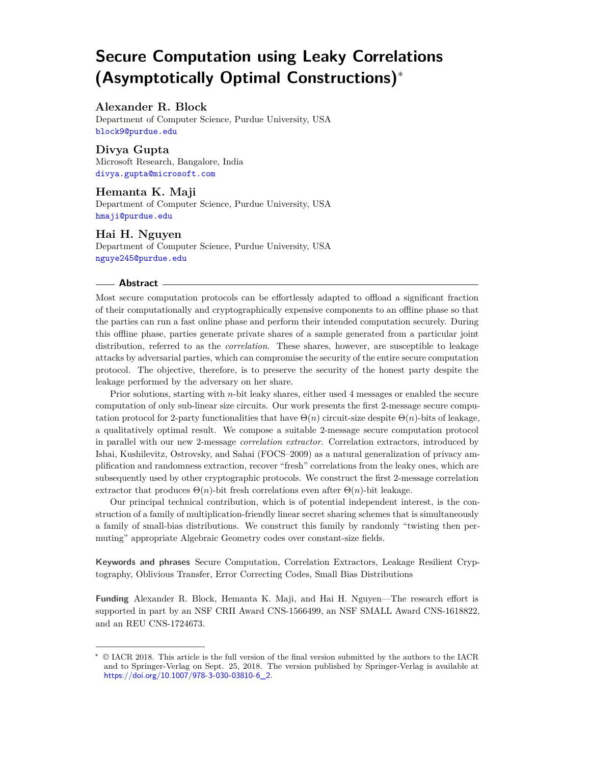# **Secure Computation using Leaky Correlations (Asymptotically Optimal Constructions)**<sup>∗</sup>

#### **Alexander R. Block**

Department of Computer Science, Purdue University, USA [block9@purdue.edu](mailto:block9@purdue.edu)

**Divya Gupta** Microsoft Research, Bangalore, India [divya.gupta@microsoft.com](mailto:divya.gupta@microsoft.com)

**Hemanta K. Maji** Department of Computer Science, Purdue University, USA [hmaji@purdue.edu](mailto:hmaji@purdue.edu)

#### **Hai H. Nguyen**

Department of Computer Science, Purdue University, USA [nguye245@purdue.edu](mailto:nguye245@purdue.edu)

#### **Abstract**

Most secure computation protocols can be effortlessly adapted to offload a significant fraction of their computationally and cryptographically expensive components to an offline phase so that the parties can run a fast online phase and perform their intended computation securely. During this offline phase, parties generate private shares of a sample generated from a particular joint distribution, referred to as the *correlation*. These shares, however, are susceptible to leakage attacks by adversarial parties, which can compromise the security of the entire secure computation protocol. The objective, therefore, is to preserve the security of the honest party despite the leakage performed by the adversary on her share.

Prior solutions, starting with *n*-bit leaky shares, either used 4 messages or enabled the secure computation of only sub-linear size circuits. Our work presents the first 2-message secure computation protocol for 2-party functionalities that have  $\Theta(n)$  circuit-size despite  $\Theta(n)$ -bits of leakage, a qualitatively optimal result. We compose a suitable 2-message secure computation protocol in parallel with our new 2-message *correlation extractor*. Correlation extractors, introduced by Ishai, Kushilevitz, Ostrovsky, and Sahai (FOCS–2009) as a natural generalization of privacy amplification and randomness extraction, recover "fresh" correlations from the leaky ones, which are subsequently used by other cryptographic protocols. We construct the first 2-message correlation extractor that produces  $\Theta(n)$ -bit fresh correlations even after  $\Theta(n)$ -bit leakage.

Our principal technical contribution, which is of potential independent interest, is the construction of a family of multiplication-friendly linear secret sharing schemes that is simultaneously a family of small-bias distributions. We construct this family by randomly "twisting then permuting" appropriate Algebraic Geometry codes over constant-size fields.

**Keywords and phrases** Secure Computation, Correlation Extractors, Leakage Resilient Cryptography, Oblivious Transfer, Error Correcting Codes, Small Bias Distributions

**Funding** Alexander R. Block, Hemanta K. Maji, and Hai H. Nguyen—The research effort is supported in part by an NSF CRII Award CNS-1566499, an NSF SMALL Award CNS-1618822, and an REU CNS-1724673.

<sup>∗</sup> © IACR 2018. This article is the full version of the final version submitted by the authors to the IACR and to Springer-Verlag on Sept. 25, 2018. The version published by Springer-Verlag is available at [https://doi.org/10.1007/978-3-030-03810-6\\_2](https://doi.org/10.1007/978-3-030-03810-6_2).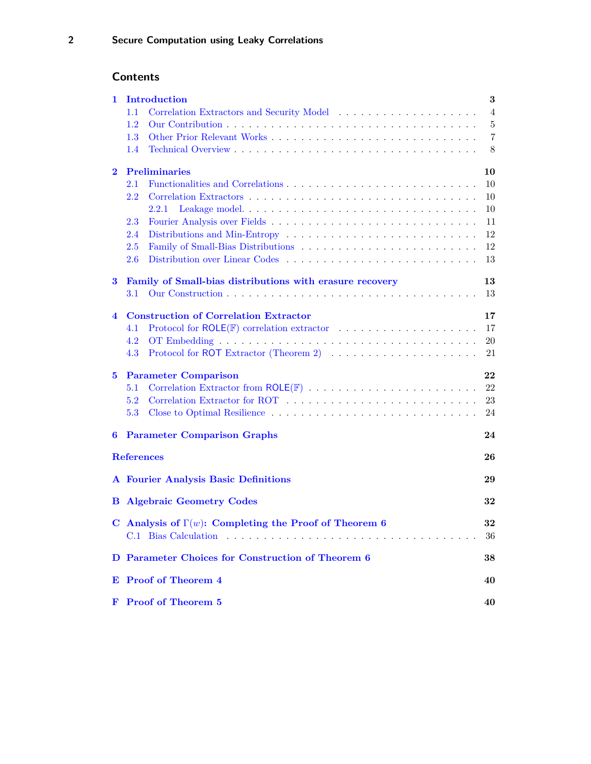## **Contents**

| 1.                               | Introduction                                                                                      |                 |  |  |  |  |
|----------------------------------|---------------------------------------------------------------------------------------------------|-----------------|--|--|--|--|
|                                  | 1.1                                                                                               | $\overline{4}$  |  |  |  |  |
|                                  | 1.2                                                                                               | $\overline{5}$  |  |  |  |  |
|                                  | $1.3\,$                                                                                           | $\overline{7}$  |  |  |  |  |
|                                  | 1.4                                                                                               | 8               |  |  |  |  |
| <b>Preliminaries</b><br>$\bf{2}$ |                                                                                                   |                 |  |  |  |  |
|                                  | 2.1                                                                                               | 10              |  |  |  |  |
|                                  | $2.2\,$                                                                                           | 10              |  |  |  |  |
|                                  | 2.2.1                                                                                             | 10              |  |  |  |  |
|                                  | 2.3                                                                                               | 11              |  |  |  |  |
|                                  | 2.4                                                                                               | 12              |  |  |  |  |
|                                  | 2.5                                                                                               | 12              |  |  |  |  |
|                                  | Distribution over Linear Codes<br>2.6                                                             | 13              |  |  |  |  |
| 3                                | Family of Small-bias distributions with erasure recovery                                          | 13              |  |  |  |  |
|                                  | 3.1                                                                                               | 13              |  |  |  |  |
| $\overline{\mathbf{4}}$          | <b>Construction of Correlation Extractor</b>                                                      | 17              |  |  |  |  |
|                                  | Protocol for ROLE( $F$ ) correlation extractor $\ldots \ldots \ldots \ldots \ldots \ldots$<br>4.1 | 17              |  |  |  |  |
|                                  | 4.2                                                                                               | 20              |  |  |  |  |
|                                  | 4.3                                                                                               | 21              |  |  |  |  |
| 5                                | <b>Parameter Comparison</b>                                                                       | 22              |  |  |  |  |
|                                  | 5.1                                                                                               | 22              |  |  |  |  |
|                                  | 5.2                                                                                               | 23              |  |  |  |  |
|                                  | 5.3                                                                                               | 24              |  |  |  |  |
| 6                                | <b>Parameter Comparison Graphs</b>                                                                | 24              |  |  |  |  |
|                                  | <b>References</b>                                                                                 | 26              |  |  |  |  |
|                                  | <b>A</b> Fourier Analysis Basic Definitions                                                       | 29              |  |  |  |  |
|                                  |                                                                                                   |                 |  |  |  |  |
|                                  | 32<br><b>Algebraic Geometry Codes</b><br>$\bf{B}$                                                 |                 |  |  |  |  |
|                                  | C Analysis of $\Gamma(w)$ : Completing the Proof of Theorem 6                                     | $\bf{32}$<br>36 |  |  |  |  |
|                                  |                                                                                                   |                 |  |  |  |  |
|                                  | D Parameter Choices for Construction of Theorem 6                                                 | 38              |  |  |  |  |
|                                  | E Proof of Theorem 4                                                                              | 40              |  |  |  |  |
|                                  | F Proof of Theorem 5                                                                              | 40              |  |  |  |  |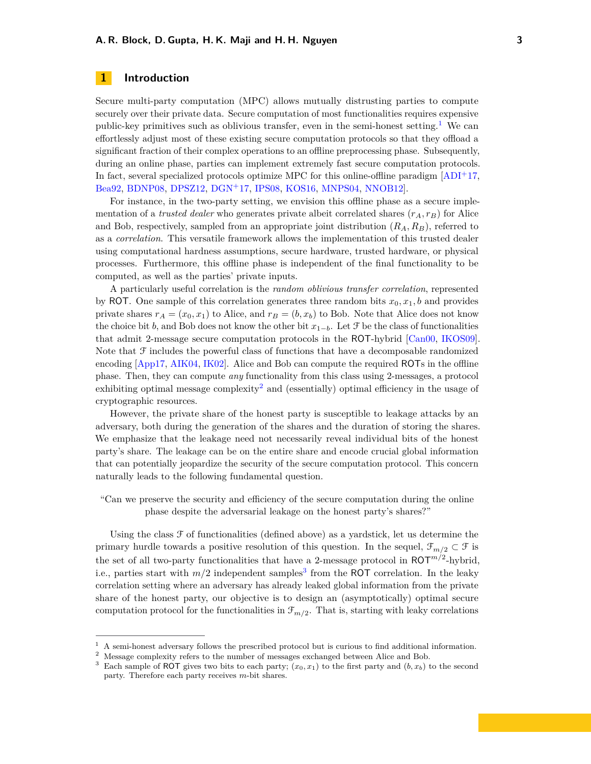#### <span id="page-2-4"></span><span id="page-2-0"></span>**1 Introduction**

Secure multi-party computation (MPC) allows mutually distrusting parties to compute securely over their private data. Secure computation of most functionalities requires expensive public-key primitives such as oblivious transfer, even in the semi-honest setting.<sup>[1](#page-2-1)</sup> We can effortlessly adjust most of these existing secure computation protocols so that they offload a significant fraction of their complex operations to an offline preprocessing phase. Subsequently, during an online phase, parties can implement extremely fast secure computation protocols. In fact, several specialized protocols optimize MPC for this online-offline paradigm  $[ADI<sup>+</sup>17$  $[ADI<sup>+</sup>17$ , [Bea92,](#page-25-1) [BDNP08,](#page-25-2) [DPSZ12,](#page-26-0) [DGN](#page-25-3)<sup>+</sup>17, [IPS08,](#page-26-1) [KOS16,](#page-27-0) [MNPS04,](#page-27-1) [NNOB12\]](#page-27-2).

For instance, in the two-party setting, we envision this offline phase as a secure implementation of a *trusted dealer* who generates private albeit correlated shares  $(r_A, r_B)$  for Alice and Bob, respectively, sampled from an appropriate joint distribution (*RA, RB*), referred to as a *correlation*. This versatile framework allows the implementation of this trusted dealer using computational hardness assumptions, secure hardware, trusted hardware, or physical processes. Furthermore, this offline phase is independent of the final functionality to be computed, as well as the parties' private inputs.

A particularly useful correlation is the *random oblivious transfer correlation*, represented by ROT. One sample of this correlation generates three random bits  $x_0, x_1, b$  and provides private shares  $r_A = (x_0, x_1)$  to Alice, and  $r_B = (b, x_b)$  to Bob. Note that Alice does not know the choice bit *b*, and Bob does not know the other bit  $x_{1-b}$ . Let  $\mathcal F$  be the class of functionalities that admit 2-message secure computation protocols in the ROT-hybrid [\[Can00,](#page-25-4) [IKOS09\]](#page-26-2). Note that  $\mathcal F$  includes the powerful class of functions that have a decomposable randomized encoding [\[App17,](#page-25-5) [AIK04,](#page-25-6) [IK02\]](#page-26-3). Alice and Bob can compute the required ROTs in the offline phase. Then, they can compute *any* functionality from this class using 2-messages, a protocol exhibiting optimal message complexity<sup>[2](#page-2-2)</sup> and (essentially) optimal efficiency in the usage of cryptographic resources.

However, the private share of the honest party is susceptible to leakage attacks by an adversary, both during the generation of the shares and the duration of storing the shares. We emphasize that the leakage need not necessarily reveal individual bits of the honest party's share. The leakage can be on the entire share and encode crucial global information that can potentially jeopardize the security of the secure computation protocol. This concern naturally leads to the following fundamental question.

"Can we preserve the security and efficiency of the secure computation during the online phase despite the adversarial leakage on the honest party's shares?"

Using the class  $\mathcal F$  of functionalities (defined above) as a yardstick, let us determine the primary hurdle towards a positive resolution of this question. In the sequel,  $\mathcal{F}_{m/2} \subset \mathcal{F}$  is the set of all two-party functionalities that have a 2-message protocol in  $\text{ROT}^{m/2}$ -hybrid, i.e., parties start with  $m/2$  independent samples<sup>[3](#page-2-3)</sup> from the ROT correlation. In the leaky correlation setting where an adversary has already leaked global information from the private share of the honest party, our objective is to design an (asymptotically) optimal secure computation protocol for the functionalities in  $\mathcal{F}_{m/2}$ . That is, starting with leaky correlations

<span id="page-2-1"></span><sup>1</sup> A semi-honest adversary follows the prescribed protocol but is curious to find additional information.

<span id="page-2-2"></span><sup>2</sup> Message complexity refers to the number of messages exchanged between Alice and Bob.

<span id="page-2-3"></span>Each sample of ROT gives two bits to each party;  $(x_0, x_1)$  to the first party and  $(b, x_b)$  to the second party. Therefore each party receives *m*-bit shares.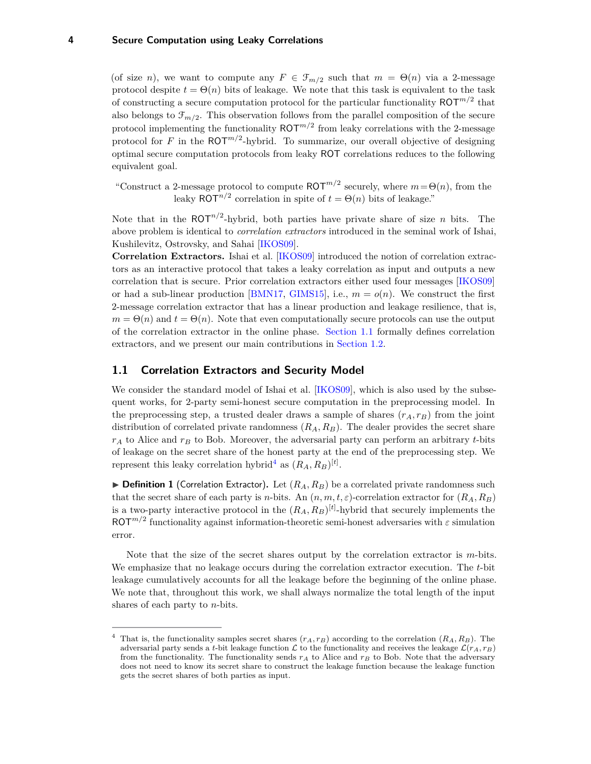#### <span id="page-3-3"></span>**4 Secure Computation using Leaky Correlations**

(of size *n*), we want to compute any  $F \in \mathcal{F}_{m/2}$  such that  $m = \Theta(n)$  via a 2-message protocol despite  $t = \Theta(n)$  bits of leakage. We note that this task is equivalent to the task of constructing a secure computation protocol for the particular functionality  $\text{ROT}^{m/2}$  that also belongs to  $\mathcal{F}_{m/2}$ . This observation follows from the parallel composition of the secure protocol implementing the functionality  $\text{ROT}^{m/2}$  from leaky correlations with the 2-message protocol for *F* in the ROT*m/*<sup>2</sup> -hybrid. To summarize, our overall objective of designing optimal secure computation protocols from leaky ROT correlations reduces to the following equivalent goal.

"Construct a 2-message protocol to compute  $\text{ROT}^{m/2}$  securely, where  $m = \Theta(n)$ , from the leaky  $\text{ROT}^{n/2}$  correlation in spite of  $t = \Theta(n)$  bits of leakage."

Note that in the  $ROT<sup>n/2</sup>$ -hybrid, both parties have private share of size *n* bits. The above problem is identical to *correlation extractors* introduced in the seminal work of Ishai, Kushilevitz, Ostrovsky, and Sahai [\[IKOS09\]](#page-26-2).

**Correlation Extractors.** Ishai et al. [\[IKOS09\]](#page-26-2) introduced the notion of correlation extractors as an interactive protocol that takes a leaky correlation as input and outputs a new correlation that is secure. Prior correlation extractors either used four messages [\[IKOS09\]](#page-26-2) or had a sub-linear production [\[BMN17,](#page-25-7) [GIMS15\]](#page-26-4), i.e.,  $m = o(n)$ . We construct the first 2-message correlation extractor that has a linear production and leakage resilience, that is,  $m = \Theta(n)$  and  $t = \Theta(n)$ . Note that even computationally secure protocols can use the output of the correlation extractor in the online phase. [Section 1.1](#page-3-0) formally defines correlation extractors, and we present our main contributions in [Section 1.2.](#page-4-0)

#### <span id="page-3-0"></span>**1.1 Correlation Extractors and Security Model**

We consider the standard model of Ishai et al. [\[IKOS09\]](#page-26-2), which is also used by the subsequent works, for 2-party semi-honest secure computation in the preprocessing model. In the preprocessing step, a trusted dealer draws a sample of shares  $(r_A, r_B)$  from the joint distribution of correlated private randomness (*RA, RB*). The dealer provides the secret share  $r_A$  to Alice and  $r_B$  to Bob. Moreover, the adversarial party can perform an arbitrary *t*-bits of leakage on the secret share of the honest party at the end of the preprocessing step. We represent this leaky correlation hybrid<sup>[4](#page-3-1)</sup> as  $(R_A, R_B)^{[t]}$ .

<span id="page-3-2"></span> $\triangleright$  **Definition 1** (Correlation Extractor). Let  $(R_A, R_B)$  be a correlated private randomness such that the secret share of each party is *n*-bits. An  $(n, m, t, \varepsilon)$ -correlation extractor for  $(R_A, R_B)$ is a two-party interactive protocol in the  $(R_A, R_B)^{[t]}$ -hybrid that securely implements the  $ROT<sup>m/2</sup>$  functionality against information-theoretic semi-honest adversaries with  $\varepsilon$  simulation error.

Note that the size of the secret shares output by the correlation extractor is *m*-bits. We emphasize that no leakage occurs during the correlation extractor execution. The *t*-bit leakage cumulatively accounts for all the leakage before the beginning of the online phase. We note that, throughout this work, we shall always normalize the total length of the input shares of each party to *n*-bits.

<span id="page-3-1"></span><sup>&</sup>lt;sup>4</sup> That is, the functionality samples secret shares  $(r_A, r_B)$  according to the correlation  $(R_A, R_B)$ . The adversarial party sends a *t*-bit leakage function  $\mathcal L$  to the functionality and receives the leakage  $\mathcal L(r_A, r_B)$ from the functionality. The functionality sends  $r_A$  to Alice and  $r_B$  to Bob. Note that the adversary does not need to know its secret share to construct the leakage function because the leakage function gets the secret shares of both parties as input.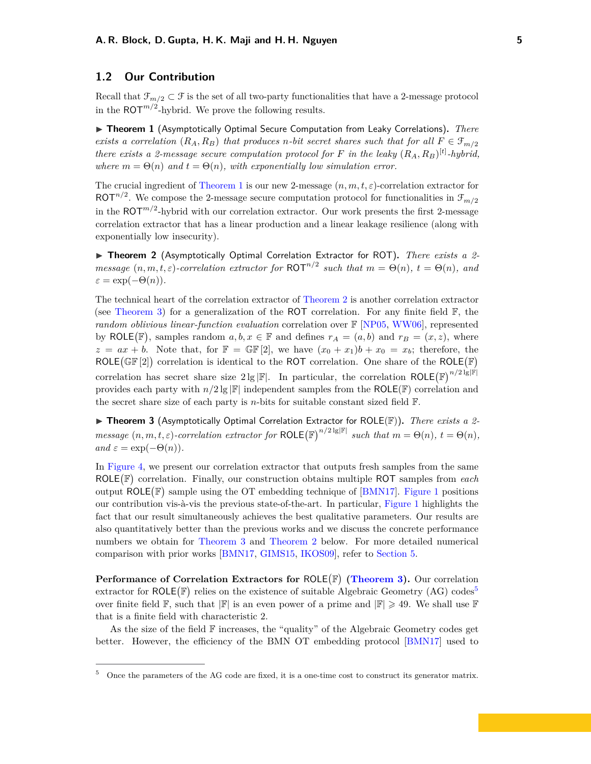#### <span id="page-4-5"></span><span id="page-4-0"></span>**1.2 Our Contribution**

Recall that  $\mathcal{F}_{m/2} \subset \mathcal{F}$  is the set of all two-party functionalities that have a 2-message protocol in the  $ROT<sup>m/2</sup>$ -hybrid. We prove the following results.

<span id="page-4-2"></span>▶ **Theorem 1** (Asymptotically Optimal Secure Computation from Leaky Correlations). *There exists a correlation*  $(R_A, R_B)$  *that produces n*-bit secret shares such that for all  $F \in \mathcal{F}_{m/2}$ *there exists a 2-message secure computation protocol for*  $F$  *in the leaky*  $(R_A, R_B)$ <sup>[t]</sup>-hybrid, *where*  $m = \Theta(n)$  *and*  $t = \Theta(n)$ *, with exponentially low simulation error.* 

The crucial ingredient of [Theorem 1](#page-4-2) is our new 2-message  $(n, m, t, \varepsilon)$ -correlation extractor for ROT<sup> $n/2$ </sup>. We compose the 2-message secure computation protocol for functionalities in  $\mathcal{F}_{m/2}$ in the  $\mathrm{ROT}^{m/2}$ -hybrid with our correlation extractor. Our work presents the first 2-message correlation extractor that has a linear production and a linear leakage resilience (along with exponentially low insecurity).

<span id="page-4-1"></span>▶ **Theorem 2** (Asymptotically Optimal Correlation Extractor for ROT). *There exists a 2message*  $(n, m, t, \varepsilon)$ -correlation extractor for  $\text{ROT}^{n/2}$  such that  $m = \Theta(n)$ ,  $t = \Theta(n)$ , and  $\varepsilon = \exp(-\Theta(n)).$ 

The technical heart of the correlation extractor of [Theorem 2](#page-4-1) is another correlation extractor (see [Theorem 3\)](#page-4-3) for a generalization of the ROT correlation. For any finite field  $\mathbb{F}$ , the *random oblivious linear-function evaluation* correlation over F [\[NP05,](#page-27-3) [WW06\]](#page-27-4), represented by ROLE(F), samples random  $a, b, x \in \mathbb{F}$  and defines  $r_A = (a, b)$  and  $r_B = (x, z)$ , where  $z = ax + b$ . Note that, for  $\mathbb{F} = \mathbb{GF}[2]$ , we have  $(x_0 + x_1)b + x_0 = x_b$ ; therefore, the ROLE  $(\mathbb{GF}[2])$  correlation is identical to the ROT correlation. One share of the ROLE  $(\mathbb{F})$ correlation has secret share size  $2\lg|\mathbb{F}|$ . In particular, the correlation ROLE  $(\mathbb{F})^{n/2\lg|\mathbb{F}|}$ provides each party with  $n/2 \lg |\mathbb{F}|$  independent samples from the ROLE( $\mathbb{F}$ ) correlation and the secret share size of each party is *n*-bits for suitable constant sized field F.

<span id="page-4-3"></span>▶ Theorem 3 (Asymptotically Optimal Correlation Extractor for ROLE(F)). *There exists a 2message*  $(n, m, t, \varepsilon)$ -correlation extractor for  $\text{ROLE}(\mathbb{F})^{n/2 \lg |\mathbb{F}|}$  such that  $m = \Theta(n)$ ,  $t = \Theta(n)$ ,  $and \varepsilon = \exp(-\Theta(n)).$ 

In [Figure 4,](#page-17-0) we present our correlation extractor that outputs fresh samples from the same ROLE<sup>(F)</sup> correlation. Finally, our construction obtains multiple ROT samples from *each* output  $ROLE(\mathbb{F})$  sample using the OT embedding technique of [\[BMN17\]](#page-25-7). [Figure 1](#page-5-1) positions our contribution vis-à-vis the previous state-of-the-art. In particular, [Figure 1](#page-5-1) highlights the fact that our result simultaneously achieves the best qualitative parameters. Our results are also quantitatively better than the previous works and we discuss the concrete performance numbers we obtain for [Theorem 3](#page-4-3) and [Theorem 2](#page-4-1) below. For more detailed numerical comparison with prior works [\[BMN17,](#page-25-7) [GIMS15,](#page-26-4) [IKOS09\]](#page-26-2), refer to [Section 5.](#page-21-0)

**Performance of Correlation Extractors for ROLE(F) [\(Theorem 3\)](#page-4-3).** Our correlation extractor for  $ROLE(\mathbb{F})$  relies on the existence of suitable Algebraic Geometry (AG) codes<sup>[5](#page-4-4)</sup> over finite field  $\mathbb{F}$ , such that  $|\mathbb{F}|$  is an even power of a prime and  $|\mathbb{F}| \geq 49$ . We shall use  $\mathbb{F}$ that is a finite field with characteristic 2.

As the size of the field  $\mathbb F$  increases, the "quality" of the Algebraic Geometry codes get better. However, the efficiency of the BMN OT embedding protocol [\[BMN17\]](#page-25-7) used to

<span id="page-4-4"></span><sup>&</sup>lt;sup>5</sup> Once the parameters of the AG code are fixed, it is a one-time cost to construct its generator matrix.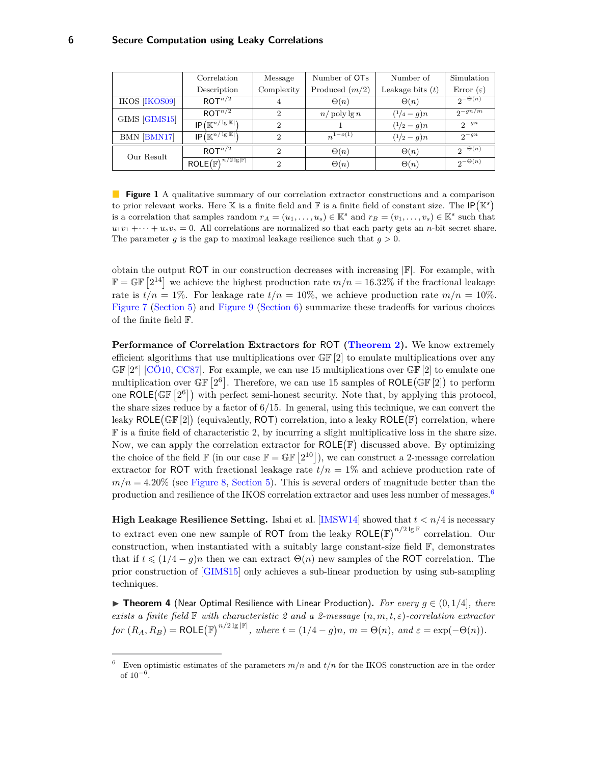<span id="page-5-3"></span><span id="page-5-1"></span>

|                      | Correlation                                                   | Message        | Number of OT <sub>s</sub><br>Number of |                    | Simulation            |
|----------------------|---------------------------------------------------------------|----------------|----------------------------------------|--------------------|-----------------------|
|                      | Description                                                   | Complexity     | Produced $(m/2)$                       | Leakage bits $(t)$ | Error $(\varepsilon)$ |
| <b>IKOS [IKOS09]</b> | ROT <sup>n/2</sup>                                            | 4              | $\Theta(n)$                            | $\Theta(n)$        | $2^{-\Theta(n)}$      |
| GIMS [GIMS15]        | ROT <sup>n/2</sup>                                            | $\mathfrak{D}$ | $n/\operatorname{poly}\lg n$           | $(1/4 - q)n$       | $2^{-gn/m}$           |
|                      | $IP(\mathbb{K}^{n/\sqrt{\lg  \mathbb{K} }})$                  | $\overline{2}$ |                                        | $(1/2 - q)n$       | $2^{-gn}$             |
| BMN [BMN17]          | $IP(\mathbb{K}^{n/\lg  \mathbb{K} })$                         | 2              | $n^{1-o(1)}$                           | $(1/2 - g)n$       | $2^{-gn}$             |
| Our Result           | ROT <sup>n/2</sup>                                            | $\mathcal{D}$  | $\Theta(n)$                            | $\Theta(n)$        | $2^{-\Theta(n)}$      |
|                      | $\mathsf{ROLE}(\overline{\mathbb{F}})^{n/2 \lg  \mathbb{F} }$ | $\overline{2}$ | $\Theta(n)$                            | $\Theta(n)$        | $2^{-\Theta(n)}$      |

**Figure 1** A qualitative summary of our correlation extractor constructions and a comparison to prior relevant works. Here K is a finite field and F is a finite field of constant size. The  $IP(\mathbb{K}^s)$ is a correlation that samples random  $r_A = (u_1, \ldots, u_s) \in \mathbb{K}^s$  and  $r_B = (v_1, \ldots, v_s) \in \mathbb{K}^s$  such that  $u_1v_1 + \cdots + u_sv_s = 0$ . All correlations are normalized so that each party gets an *n*-bit secret share. The parameter *g* is the gap to maximal leakage resilience such that  $g > 0$ .

obtain the output ROT in our construction decreases with increasing  $\mathbb{F}$ . For example, with  $\mathbb{F} = \mathbb{GF} [2^{14}]$  we achieve the highest production rate  $m/n = 16.32\%$  if the fractional leakage rate is  $t/n = 1\%$ . For leakage rate  $t/n = 10\%$ , we achieve production rate  $m/n = 10\%$ . [Figure 7](#page-22-1) [\(Section 5\)](#page-21-0) and [Figure 9](#page-24-0) [\(Section 6\)](#page-23-1) summarize these tradeoffs for various choices of the finite field F.

**Performance of Correlation Extractors for** ROT **[\(Theorem 2\)](#page-4-1).** We know extremely efficient algorithms that use multiplications over  $\mathbb{GF}[2]$  to emulate multiplications over any GF<sup>[2<sup>s</sup>]</sub> [\[CÖ10,](#page-25-8) [CC87\]](#page-25-9). For example, we can use 15 multiplications over GF<sup>[2]</sup> to emulate one</sup> multiplication over  $\mathbb{GF}\left[2^6\right]$ . Therefore, we can use 15 samples of ROLE( $\mathbb{GF}\left[2\right]$ ) to perform one ROLE  $(\mathbb{GF}\left[2^6\right])$  with perfect semi-honest security. Note that, by applying this protocol, the share sizes reduce by a factor of 6*/*15. In general, using this technique, we can convert the leaky ROLE (GF [2]) (equivalently, ROT) correlation, into a leaky ROLE (F) correlation, where F is a finite field of characteristic 2, by incurring a slight multiplicative loss in the share size. Now, we can apply the correlation extractor for  $ROLE(\mathbb{F})$  discussed above. By optimizing the choice of the field  $\mathbb{F}$  (in our case  $\mathbb{F} = \mathbb{GF} [2^{10}]$ ), we can construct a 2-message correlation extractor for ROT with fractional leakage rate  $t/n = 1\%$  and achieve production rate of  $m/n = 4.20\%$  (see [Figure 8,](#page-23-2) [Section 5\)](#page-21-0). This is several orders of magnitude better than the production and resilience of the IKOS correlation extractor and uses less number of messages.<sup>[6](#page-5-2)</sup>

**High Leakage Resilience Setting.** Ishai et al. [\[IMSW14\]](#page-26-5) showed that *t < n/*4 is necessary to extract even one new sample of ROT from the leaky  $\text{ROLE}(\mathbb{F})^{n/2 \lg \mathbb{F}}$  correlation. Our construction, when instantiated with a suitably large constant-size field F, demonstrates that if  $t \leq (1/4 - g)n$  then we can extract  $\Theta(n)$  new samples of the ROT correlation. The prior construction of [\[GIMS15\]](#page-26-4) only achieves a sub-linear production by using sub-sampling techniques.

<span id="page-5-0"></span>▶ **Theorem 4** (Near Optimal Resilience with Linear Production). For every  $g \in (0, 1/4]$ *, there exists a finite field* F *with characteristic 2 and a 2-message* (*n, m, t, ε*)*-correlation extractor*  $for$   $(R_A, R_B) = \text{ROLE}(\mathbb{F})^{n/2 \lg |\mathbb{F}|}, where$   $t = (1/4 - g)n, m = \Theta(n), and \varepsilon = \exp(-\Theta(n)).$ 

<span id="page-5-2"></span><sup>&</sup>lt;sup>6</sup> Even optimistic estimates of the parameters  $m/n$  and  $t/n$  for the IKOS construction are in the order of 10<sup>−</sup><sup>6</sup> .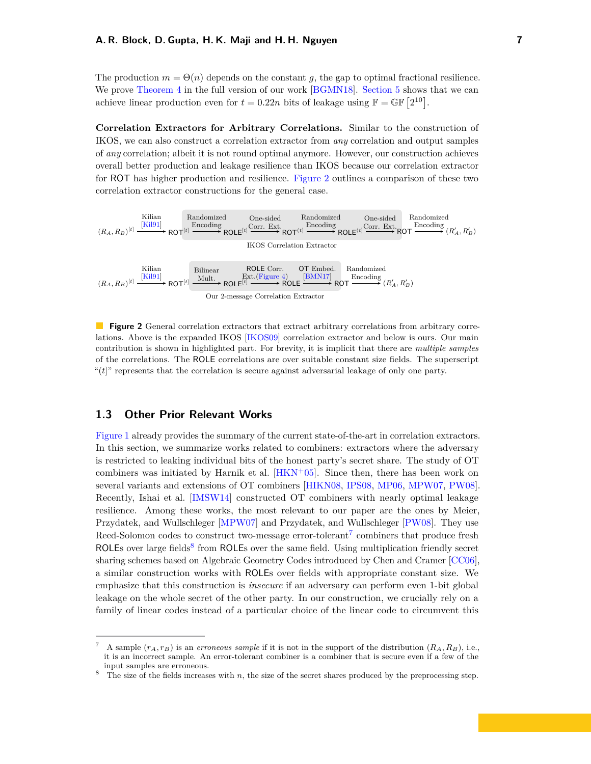<span id="page-6-4"></span>The production  $m = \Theta(n)$  depends on the constant g, the gap to optimal fractional resilience. We prove [Theorem 4](#page-5-0) in the full version of our work [\[BGMN18\]](#page-25-10). [Section 5](#page-21-0) shows that we can achieve linear production even for  $t = 0.22n$  bits of leakage using  $\mathbb{F} = \mathbb{GF} [2^{10}]$ .

**Correlation Extractors for Arbitrary Correlations.** Similar to the construction of IKOS, we can also construct a correlation extractor from *any* correlation and output samples of *any* correlation; albeit it is not round optimal anymore. However, our construction achieves overall better production and leakage resilience than IKOS because our correlation extractor for ROT has higher production and resilience. [Figure 2](#page-6-1) outlines a comparison of these two correlation extractor constructions for the general case.

<span id="page-6-1"></span>

**Figure 2** General correlation extractors that extract arbitrary correlations from arbitrary correlations. Above is the expanded IKOS [\[IKOS09\]](#page-26-2) correlation extractor and below is ours. Our main contribution is shown in highlighted part. For brevity, it is implicit that there are *multiple samples* of the correlations. The ROLE correlations are over suitable constant size fields. The superscript " $(t$ <sup>"</sup> represents that the correlation is secure against adversarial leakage of only one party.

#### <span id="page-6-0"></span>**1.3 Other Prior Relevant Works**

[Figure 1](#page-5-1) already provides the summary of the current state-of-the-art in correlation extractors. In this section, we summarize works related to combiners: extractors where the adversary is restricted to leaking individual bits of the honest party's secret share. The study of OT combiners was initiated by Harnik et al.  $[HKN+05]$  $[HKN+05]$ . Since then, there has been work on several variants and extensions of OT combiners [\[HIKN08,](#page-26-8) [IPS08,](#page-26-1) [MP06,](#page-27-5) [MPW07,](#page-27-6) [PW08\]](#page-27-7). Recently, Ishai et al. [\[IMSW14\]](#page-26-5) constructed OT combiners with nearly optimal leakage resilience. Among these works, the most relevant to our paper are the ones by Meier, Przydatek, and Wullschleger [\[MPW07\]](#page-27-6) and Przydatek, and Wullschleger [\[PW08\]](#page-27-7). They use Reed-Solomon codes to construct two-message error-tolerant<sup>[7](#page-6-2)</sup> combiners that produce fresh ROLEs over large fields<sup>[8](#page-6-3)</sup> from ROLEs over the same field. Using multiplication friendly secret sharing schemes based on Algebraic Geometry Codes introduced by Chen and Cramer [\[CC06\]](#page-25-11), a similar construction works with ROLEs over fields with appropriate constant size. We emphasize that this construction is *insecure* if an adversary can perform even 1-bit global leakage on the whole secret of the other party. In our construction, we crucially rely on a family of linear codes instead of a particular choice of the linear code to circumvent this

<span id="page-6-2"></span>A sample  $(r_A, r_B)$  is an *erroneous sample* if it is not in the support of the distribution  $(R_A, R_B)$ , i.e., it is an incorrect sample. An error-tolerant combiner is a combiner that is secure even if a few of the input samples are erroneous.

<span id="page-6-3"></span><sup>&</sup>lt;sup>8</sup> The size of the fields increases with *n*, the size of the secret shares produced by the preprocessing step.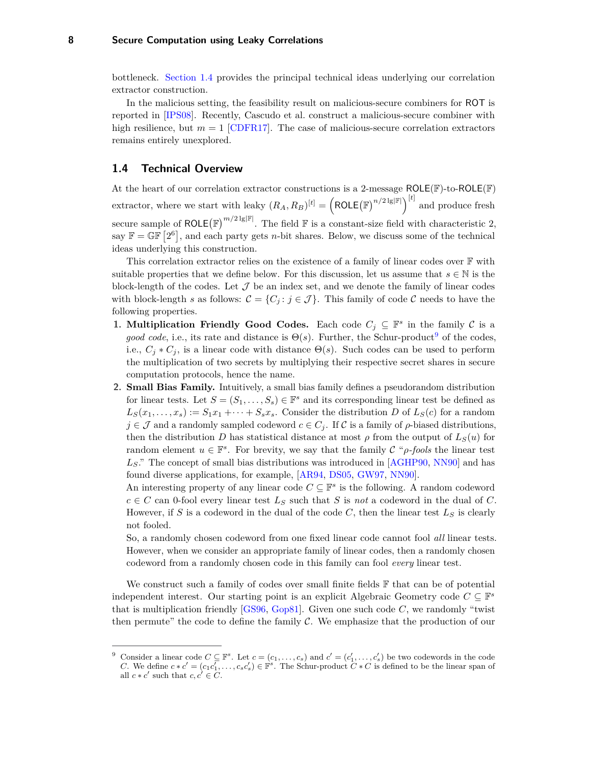#### <span id="page-7-2"></span>**8 Secure Computation using Leaky Correlations**

bottleneck. [Section 1.4](#page-7-0) provides the principal technical ideas underlying our correlation extractor construction.

In the malicious setting, the feasibility result on malicious-secure combiners for ROT is reported in [\[IPS08\]](#page-26-1). Recently, Cascudo et al. construct a malicious-secure combiner with high resilience, but  $m = 1$  [\[CDFR17\]](#page-25-12). The case of malicious-secure correlation extractors remains entirely unexplored.

#### <span id="page-7-0"></span>**1.4 Technical Overview**

At the heart of our correlation extractor constructions is a 2-message ROLE(F)-to-ROLE(F) extractor, where we start with leaky  $(R_A, R_B)^{[t]} = \left(\text{ROLE}(\mathbb{F})^{n/2 \lg |\mathbb{F}|}\right)^{[t]}$  and produce fresh secure sample of ROLE( $\mathbb{F}$ )<sup>*m*/2 lg| $\mathbb{F}$ |</sup>. The field  $\mathbb{F}$  is a constant-size field with characteristic 2, say  $\mathbb{F} = \mathbb{GF} [2^6]$ , and each party gets *n*-bit shares. Below, we discuss some of the technical ideas underlying this construction.

This correlation extractor relies on the existence of a family of linear codes over F with suitable properties that we define below. For this discussion, let us assume that  $s \in \mathbb{N}$  is the block-length of the codes. Let  $\mathcal J$  be an index set, and we denote the family of linear codes with block-length *s* as follows:  $\mathcal{C} = \{C_j : j \in \mathcal{J}\}\.$  This family of code  $\mathcal{C}$  needs to have the following properties.

- **1. Multiplication Friendly Good Codes.** Each code  $C_j \subseteq \mathbb{F}^s$  in the family  $C$  is a *good code*, i.e., its rate and distance is  $\Theta(s)$ . Further, the Schur-product<sup>[9](#page-7-1)</sup> of the codes, i.e.,  $C_j * C_j$ , is a linear code with distance  $\Theta(s)$ . Such codes can be used to perform the multiplication of two secrets by multiplying their respective secret shares in secure computation protocols, hence the name.
- **2. Small Bias Family.** Intuitively, a small bias family defines a pseudorandom distribution for linear tests. Let  $S = (S_1, \ldots, S_s) \in \mathbb{F}^s$  and its corresponding linear test be defined as  $L_S(x_1, \ldots, x_s) := S_1x_1 + \cdots + S_sx_s$ . Consider the distribution *D* of  $L_S(c)$  for a random  $j \in \mathcal{J}$  and a randomly sampled codeword  $c \in C_j$ . If C is a family of  $\rho$ -biased distributions, then the distribution *D* has statistical distance at most  $\rho$  from the output of  $L_S(u)$  for random element  $u \in \mathbb{F}^s$ . For brevity, we say that the family  $\mathcal{C}$  "*ρ*-fools the linear test *LS*." The concept of small bias distributions was introduced in [\[AGHP90,](#page-25-13) [NN90\]](#page-27-8) and has found diverse applications, for example, [\[AR94,](#page-25-14) [DS05,](#page-26-9) [GW97,](#page-26-10) [NN90\]](#page-27-8).

An interesting property of any linear code  $C \subseteq \mathbb{F}^s$  is the following. A random codeword  $c \in C$  can 0-fool every linear test  $L_S$  such that *S* is *not* a codeword in the dual of *C*. However, if *S* is a codeword in the dual of the code *C*, then the linear test *L<sup>S</sup>* is clearly not fooled.

So, a randomly chosen codeword from one fixed linear code cannot fool *all* linear tests. However, when we consider an appropriate family of linear codes, then a randomly chosen codeword from a randomly chosen code in this family can fool *every* linear test.

We construct such a family of codes over small finite fields  $\mathbb F$  that can be of potential independent interest. Our starting point is an explicit Algebraic Geometry code  $C \subseteq \mathbb{F}^s$ that is multiplication friendly  $[GS96, Gop81]$  $[GS96, Gop81]$  $[GS96, Gop81]$ . Given one such code  $C$ , we randomly "twist then permute" the code to define the family  $\mathcal C$ . We emphasize that the production of our

<span id="page-7-1"></span><sup>&</sup>lt;sup>9</sup> Consider a linear code  $C \subseteq \mathbb{F}^s$ . Let  $c = (c_1, \ldots, c_s)$  and  $c' = (c'_1, \ldots, c'_s)$  be two codewords in the code *C*. We define  $c * c' = (c_1 c_1', \ldots, c_s c_s') \in \mathbb{F}^s$ . The Schur-product  $C * C$  is defined to be the linear span of all  $c * c'$  such that  $c, c' \in \overline{C}$ .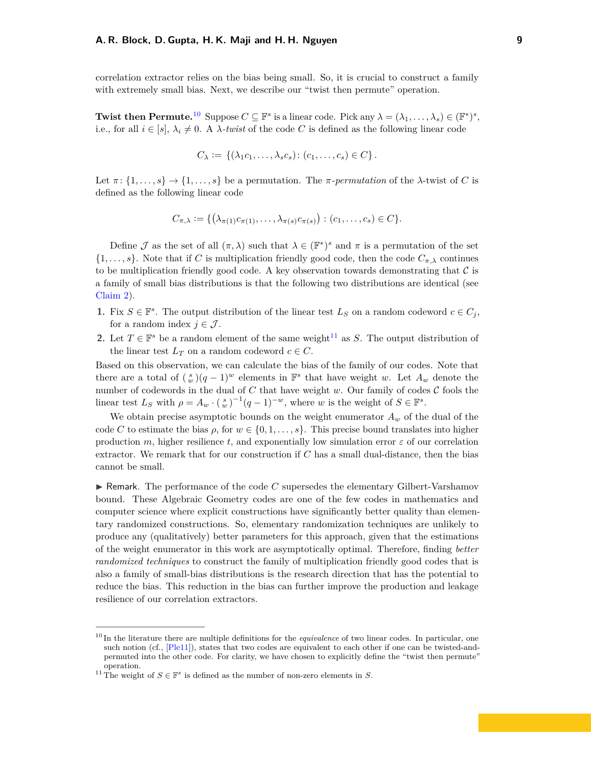<span id="page-8-2"></span>correlation extractor relies on the bias being small. So, it is crucial to construct a family with extremely small bias. Next, we describe our "twist then permute" operation.

**Twist then Permute.**<sup>[10](#page-8-0)</sup> Suppose  $C \subseteq \mathbb{F}^s$  is a linear code. Pick any  $\lambda = (\lambda_1, \dots, \lambda_s) \in (\mathbb{F}^*)^s$ , i.e., for all  $i \in [s]$ ,  $\lambda_i \neq 0$ . A  $\lambda$ *-twist* of the code C is defined as the following linear code

$$
C_{\lambda} := \{(\lambda_1 c_1, \ldots, \lambda_s c_s) : (c_1, \ldots, c_s) \in C\}.
$$

Let  $\pi$ :  $\{1, \ldots, s\}$   $\rightarrow$   $\{1, \ldots, s\}$  be a permutation. The  $\pi$ -*permutation* of the  $\lambda$ -twist of *C* is defined as the following linear code

$$
C_{\pi,\lambda} := \{ \left( \lambda_{\pi(1)} c_{\pi(1)}, \ldots, \lambda_{\pi(s)} c_{\pi(s)} \right) : (c_1, \ldots, c_s) \in C \}.
$$

Define  $\mathcal J$  as the set of all  $(\pi, \lambda)$  such that  $\lambda \in (\mathbb{F}^*)^s$  and  $\pi$  is a permutation of the set  $\{1,\ldots,s\}$ . Note that if *C* is multiplication friendly good code, then the code  $C_{\pi,\lambda}$  continues to be multiplication friendly good code. A key observation towards demonstrating that  $\mathcal C$  is a family of small bias distributions is that the following two distributions are identical (see [Claim 2\)](#page-14-0).

- **1.** Fix  $S \in \mathbb{F}^s$ . The output distribution of the linear test  $L_S$  on a random codeword  $c \in C_j$ , for a random index  $j \in \mathcal{J}$ .
- **2.** Let  $T \in \mathbb{F}^s$  be a random element of the same weight<sup>[11](#page-8-1)</sup> as *S*. The output distribution of the linear test  $L_T$  on a random codeword  $c \in C$ .

Based on this observation, we can calculate the bias of the family of our codes. Note that there are a total of  $\binom{s}{w}(q-1)^w$  elements in  $\mathbb{F}^s$  that have weight *w*. Let  $A_w$  denote the number of codewords in the dual of  $C$  that have weight  $w$ . Our family of codes  $C$  fools the linear test  $L_S$  with  $\rho = A_w \cdot \left(\frac{s}{w}\right)^{-1} (q-1)^{-w}$ , where *w* is the weight of  $S \in \mathbb{F}^s$ .

We obtain precise asymptotic bounds on the weight enumerator  $A_w$  of the dual of the code *C* to estimate the bias  $\rho$ , for  $w \in \{0, 1, \ldots, s\}$ . This precise bound translates into higher production *m*, higher resilience *t*, and exponentially low simulation error  $\varepsilon$  of our correlation extractor. We remark that for our construction if *C* has a small dual-distance, then the bias cannot be small.

 $\triangleright$  Remark. The performance of the code C supersedes the elementary Gilbert-Varshamov bound. These Algebraic Geometry codes are one of the few codes in mathematics and computer science where explicit constructions have significantly better quality than elementary randomized constructions. So, elementary randomization techniques are unlikely to produce any (qualitatively) better parameters for this approach, given that the estimations of the weight enumerator in this work are asymptotically optimal. Therefore, finding *better randomized techniques* to construct the family of multiplication friendly good codes that is also a family of small-bias distributions is the research direction that has the potential to reduce the bias. This reduction in the bias can further improve the production and leakage resilience of our correlation extractors.

<span id="page-8-0"></span><sup>10</sup> In the literature there are multiple definitions for the *equivalence* of two linear codes. In particular, one such notion (cf., [\[Ple11\]](#page-27-9)), states that two codes are equivalent to each other if one can be twisted-andpermuted into the other code. For clarity, we have chosen to explicitly define the "twist then permute" operation.

<span id="page-8-1"></span><sup>&</sup>lt;sup>11</sup> The weight of  $S \in \mathbb{F}^s$  is defined as the number of non-zero elements in *S*.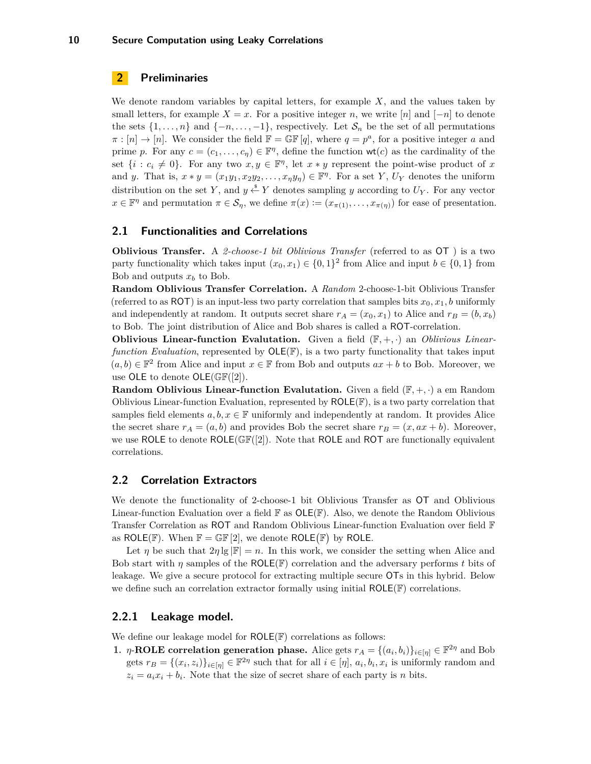#### <span id="page-9-0"></span>**2 Preliminaries**

We denote random variables by capital letters, for example *X*, and the values taken by small letters, for example  $X = x$ . For a positive integer *n*, we write [*n*] and [-*n*] to denote the sets  $\{1, \ldots, n\}$  and  $\{-n, \ldots, -1\}$ , respectively. Let  $S_n$  be the set of all permutations  $\pi : [n] \to [n]$ . We consider the field  $\mathbb{F} = \mathbb{GF}[q]$ , where  $q = p^a$ , for a positive integer *a* and prime *p*. For any  $c = (c_1, \ldots, c_n) \in \mathbb{F}^n$ , define the function  $\mathsf{wt}(c)$  as the cardinality of the set  $\{i : c_i \neq 0\}$ . For any two  $x, y \in \mathbb{F}^{\eta}$ , let  $x * y$  represent the point-wise product of x and *y*. That is,  $x * y = (x_1y_1, x_2y_2, \ldots, x_\eta y_\eta) \in \mathbb{F}^{\eta}$ . For a set *Y*,  $U_Y$  denotes the uniform distribution on the set *Y*, and  $y \stackrel{\$}{\leftarrow} Y$  denotes sampling *y* according to  $U_Y$ . For any vector  $x \in \mathbb{F}^{\eta}$  and permutation  $\pi \in \mathcal{S}_{\eta}$ , we define  $\pi(x) := (x_{\pi(1)}, \dots, x_{\pi(\eta)})$  for ease of presentation.

#### <span id="page-9-1"></span>**2.1 Functionalities and Correlations**

**Oblivious Transfer.** A *2-choose-1 bit Oblivious Transfer* (referred to as OT ) is a two party functionality which takes input  $(x_0, x_1) \in \{0, 1\}^2$  from Alice and input  $b \in \{0, 1\}$  from Bob and outputs  $x_b$  to Bob.

**Random Oblivious Transfer Correlation.** A *Random* 2-choose-1-bit Oblivious Transfer (referred to as ROT) is an input-less two party correlation that samples bits  $x_0, x_1, b$  uniformly and independently at random. It outputs secret share  $r_A = (x_0, x_1)$  to Alice and  $r_B = (b, x_b)$ to Bob. The joint distribution of Alice and Bob shares is called a ROT-correlation.

**Oblivious Linear-function Evalutation.** Given a field  $(F, +, \cdot)$  an *Oblivious Linearfunction Evaluation*, represented by  $OLE(\mathbb{F})$ , is a two party functionality that takes input  $(a, b) \in \mathbb{F}^2$  from Alice and input  $x \in \mathbb{F}$  from Bob and outputs  $ax + b$  to Bob. Moreover, we use OLE to denote  $OLE(\mathbb{GF}([2]).$ 

**Random Oblivious Linear-function Evalutation.** Given a field  $(\mathbb{F}, +, \cdot)$  a em Random Oblivious Linear-function Evaluation, represented by  $ROLE(\mathbb{F})$ , is a two party correlation that samples field elements  $a, b, x \in \mathbb{F}$  uniformly and independently at random. It provides Alice the secret share  $r_A = (a, b)$  and provides Bob the secret share  $r_B = (x, ax + b)$ . Moreover, we use ROLE to denote  $ROLE(\mathbb{GF}([2])$ . Note that ROLE and ROT are functionally equivalent correlations.

#### <span id="page-9-2"></span>**2.2 Correlation Extractors**

We denote the functionality of 2-choose-1 bit Oblivious Transfer as OT and Oblivious Linear-function Evaluation over a field  $\mathbb F$  as  $OLE(\mathbb F)$ . Also, we denote the Random Oblivious Transfer Correlation as ROT and Random Oblivious Linear-function Evaluation over field F as ROLE(F). When  $\mathbb{F} = \mathbb{GF}[2]$ , we denote ROLE(F) by ROLE.

Let *η* be such that  $2\eta \lg |\mathbb{F}| = n$ . In this work, we consider the setting when Alice and Bob start with  $\eta$  samples of the ROLE(F) correlation and the adversary performs t bits of leakage. We give a secure protocol for extracting multiple secure OTs in this hybrid. Below we define such an correlation extractor formally using initial ROLE(F) correlations.

#### <span id="page-9-3"></span>**2.2.1 Leakage model.**

We define our leakage model for  $ROLE(\mathbb{F})$  correlations as follows:

**1.** *η*-**ROLE** correlation generation phase. Alice gets  $r_A = \{(a_i, b_i)\}_{i \in [\eta]} \in \mathbb{F}^{2\eta}$  and Bob gets  $r_B = \{(x_i, z_i)\}_{i \in [\eta]} \in \mathbb{F}^{2\eta}$  such that for all  $i \in [\eta]$ ,  $a_i, b_i, x_i$  is uniformly random and  $z_i = a_i x_i + b_i$ . Note that the size of secret share of each party is *n* bits.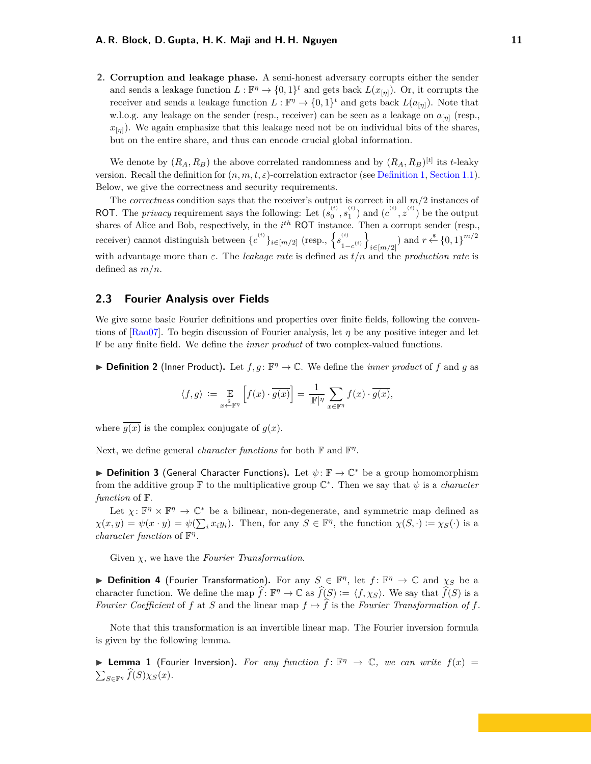<span id="page-10-1"></span>**2. Corruption and leakage phase.** A semi-honest adversary corrupts either the sender and sends a leakage function  $L : \mathbb{F}^{\eta} \to \{0,1\}^t$  and gets back  $L(x_{[\eta]}).$  Or, it corrupts the receiver and sends a leakage function  $L : \mathbb{F}^{\eta} \to \{0,1\}^t$  and gets back  $L(a_{[\eta]})$ . Note that w.l.o.g. any leakage on the sender (resp., receiver) can be seen as a leakage on *a*[*η*] (resp.,  $x_{[n]}$ ). We again emphasize that this leakage need not be on individual bits of the shares, but on the entire share, and thus can encode crucial global information.

We denote by  $(R_A, R_B)$  the above correlated randomness and by  $(R_A, R_B)^{[t]}$  its *t*-leaky version. Recall the definition for  $(n, m, t, \varepsilon)$ -correlation extractor (see [Definition 1,](#page-3-2) [Section 1.1\)](#page-3-0). Below, we give the correctness and security requirements.

The *correctness* condition says that the receiver's output is correct in all *m/*2 instances of ROT. The *privacy* requirement says the following: Let  $(s_0^{(i)}, s_1^{(i)})$  and  $(c^{(i)}, z^{(i)})$  be the output shares of Alice and Bob, respectively, in the *i*<sup>th</sup> ROT instance. Then a corrupt sender (resp., receiver) cannot distinguish between  $\{c^{(i)}\}_{i \in [m/2]}$  (resp.,  $\{s^{(i)}_i\}$  $\binom{i}{1-c}$ <sup>(*i*)</sup>  $\sum_{i \in [m/2]}$  and  $r \stackrel{\$}{\leftarrow} \{0,1\}^{m/2}$ with advantage more than *ε*. The *leakage rate* is defined as *t/n* and the *production rate* is defined as *m/n*.

#### <span id="page-10-0"></span>**2.3 Fourier Analysis over Fields**

We give some basic Fourier definitions and properties over finite fields, following the conventions of  $[Ra007]$ . To begin discussion of Fourier analysis, let  $\eta$  be any positive integer and let F be any finite field. We define the *inner product* of two complex-valued functions.

<span id="page-10-5"></span>**Definition 2** (Inner Product). Let  $f, g: \mathbb{F}^{\eta} \to \mathbb{C}$ . We define the *inner product* of  $f$  and  $g$  as

$$
\langle f,g\rangle\,:=\,\mathop{\mathbb{E}}_{x\stackrel{\$}{\leftarrow}\mathbb{F}^\eta}\left[f(x)\cdot\overline{g(x)}\right]=\frac{1}{|\mathbb{F}|^\eta}\sum_{x\in\mathbb{F}^\eta}f(x)\cdot\overline{g(x)},
$$

where  $\overline{q(x)}$  is the complex conjugate of  $q(x)$ .

Next, we define general *character functions* for both **F** and **F**<sup>*n*</sup>.

<span id="page-10-2"></span>**► Definition 3** (General Character Functions). Let  $\psi$ :  $\mathbb{F} \to \mathbb{C}^*$  be a group homomorphism from the additive group  $\mathbb F$  to the multiplicative group  $\mathbb C^*$ . Then we say that  $\psi$  is a *character function* of F.

Let  $\chi: \mathbb{F}^{\eta} \times \mathbb{F}^{\eta} \to \mathbb{C}^*$  be a bilinear, non-degenerate, and symmetric map defined as  $\chi(x, y) = \psi(x \cdot y) = \psi(\sum_i x_i y_i)$ . Then, for any  $S \in \mathbb{F}^{\eta}$ , the function  $\chi(S, \cdot) := \chi_S(\cdot)$  is a *character function* of F *η* .

Given *χ*, we have the *Fourier Transformation*.

<span id="page-10-3"></span>**Definition 4** (Fourier Transformation). For any  $S \in \mathbb{F}^{\eta}$ , let  $f: \mathbb{F}^{\eta} \to \mathbb{C}$  and  $\chi_S$  be a character function. We define the map  $\widehat{f}: \mathbb{F}^{\eta} \to \mathbb{C}$  as  $\widehat{f}(S) := \langle f, \chi_S \rangle$ . We say that  $\widehat{f}(S)$  is a *Fourier Coefficient* of *f* at *S* and the linear map  $f \mapsto \hat{f}$  is the *Fourier Transformation of f*.

Note that this transformation is an invertible linear map. The Fourier inversion formula is given by the following lemma.

<span id="page-10-4"></span>**Example 1** (Fourier Inversion). For any function  $f: \mathbb{F}^n \to \mathbb{C}$ , we can write  $f(x) =$  $\sum_{S \in \mathbb{F}^{\eta}} f(S) \chi_S(x)$ .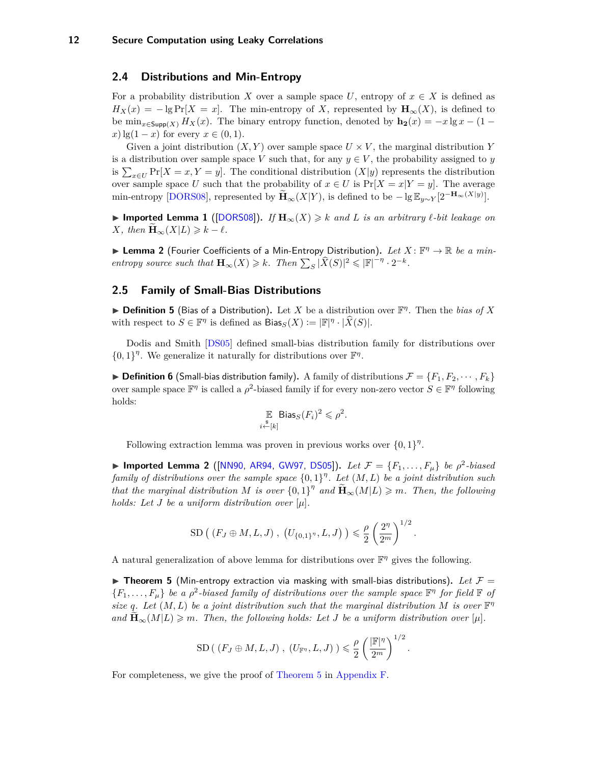#### <span id="page-11-4"></span><span id="page-11-0"></span>**2.4 Distributions and Min-Entropy**

For a probability distribution *X* over a sample space *U*, entropy of  $x \in X$  is defined as  $H_X(x) = -\lg \Pr[X = x]$ . The min-entropy of *X*, represented by  $\mathbf{H}_{\infty}(X)$ , is defined to be  $\min_{x \in \text{Supp}(X)} H_X(x)$ . The binary entropy function, denoted by  $\mathbf{h}_2(x) = -x \lg x - (1$  $f(x)$  lg(1 – *x*) for every  $x \in (0,1)$ .

Given a joint distribution  $(X, Y)$  over sample space  $U \times V$ , the marginal distribution Y is a distribution over sample space *V* such that, for any  $y \in V$ , the probability assigned to *y* is  $\sum_{x \in U} \Pr[X = x, Y = y]$ . The conditional distribution  $(X|y)$  represents the distribution over sample space *U* such that the probability of  $x \in U$  is  $Pr[X = x|Y = y]$ . The average min-entropy [\[DORS08\]](#page-25-15), represented by  $\widetilde{\mathbf{H}}_{\infty}(X|Y)$ , is defined to be  $-\lg \mathbb{E}_{y \sim Y}[2^{-\mathbf{H}_{\infty}(X|y)}]$ .

<span id="page-11-3"></span>**► Imported Lemma 1** ([\[DORS08\]](#page-25-15)). If  $\mathbf{H}_{\infty}(X) \geq k$  and L is an arbitrary  $\ell$ -bit leakage on  $X$ *, then*  $\mathbf{H}_{\infty}(X|L) \geq k - \ell$ *.* 

<span id="page-11-5"></span>**Example 2** (Fourier Coefficients of a Min-Entropy Distribution). Let  $X: \mathbb{F}^n \to \mathbb{R}$  be a min*entropy source such that*  $\mathbf{H}_{\infty}(X) \geq k$ *. Then*  $\sum_{S} |\widehat{X}(S)|^2 \leq |\mathbb{F}|^{-\eta} \cdot 2^{-k}$ *.* 

#### <span id="page-11-1"></span>**2.5 Family of Small-Bias Distributions**

**► Definition 5** (Bias of a Distribution). Let *X* be a distribution over  $\mathbb{F}^n$ . Then the *bias of X* with respect to  $S \in \mathbb{F}^{\eta}$  is defined as  $Bias_S(X) := |\mathbb{F}|^{\eta} \cdot |\widehat{X}(S)|$ .

Dodis and Smith [\[DS05\]](#page-26-9) defined small-bias distribution family for distributions over  $\{0,1\}^{\eta}$ . We generalize it naturally for distributions over  $\mathbb{F}^{\eta}$ .

 $\triangleright$  **Definition 6** (Small-bias distribution family). A family of distributions  $\mathcal{F} = \{F_1, F_2, \dots, F_k\}$ over sample space  $\mathbb{F}^{\eta}$  is called a  $\rho^2$ -biased family if for every non-zero vector  $S \in \mathbb{F}^{\eta}$  following holds:

$$
\mathbb{E}_{i \stackrel{\$}{\leftarrow} [k]} \text{Bias}_S(F_i)^2 \leq \rho^2.
$$

Following extraction lemma was proven in previous works over  $\{0,1\}^n$ .

▶ Imported Lemma 2 ([\[NN90,](#page-27-8) [AR94,](#page-25-14) [GW97,](#page-26-10) [DS05\]](#page-26-9)). *Let*  $\mathcal{F} = \{F_1, ..., F_\mu\}$  *be*  $\rho^2$ -biased *family of distributions over the sample space* {0*,* 1} *η . Let* (*M, L*) *be a joint distribution such that the marginal distribution M is over*  $\{0,1\}^{\eta}$  *and*  $\widetilde{\mathbf{H}}_{\infty}(M|L) \geq m$ *. Then, the following holds: Let J be a uniform distribution over* [*µ*]*.*

SD 
$$
( (F_J \oplus M, L, J) , (U_{\{0,1\}^n}, L, J) ) \leq \frac{\rho}{2} \left( \frac{2^{\eta}}{2^m} \right)^{1/2}
$$
.

A natural generalization of above lemma for distributions over  $\mathbb{F}^{\eta}$  gives the following.

<span id="page-11-2"></span> $\triangleright$  **Theorem 5** (Min-entropy extraction via masking with small-bias distributions). Let  $\mathcal{F} =$  ${F_1, \ldots, F_\mu}$  *be a*  $\rho^2$ -biased family of distributions over the sample space  $\mathbb{F}^{\eta}$  for field  $\mathbb{F}$  of *size* q. Let  $(M, L)$  be a joint distribution such that the marginal distribution M is over  $\mathbb{F}^{\eta}$ and  $\mathbf{H}_{\infty}(M|L) \geq m$ . Then, the following holds: Let *J* be a uniform distribution over  $|\mu|$ .

$$
\mathrm{SD}(\ (F_J \oplus M, L, J) \ ,\ (U_{\mathbb{F}^{\eta}}, L, J) \ ) \leqslant \frac{\rho}{2} \left( \frac{|\mathbb{F}|^{\eta}}{2^m} \right)^{1/2}.
$$

For completeness, we give the proof of [Theorem 5](#page-11-2) in [Appendix F.](#page-39-1)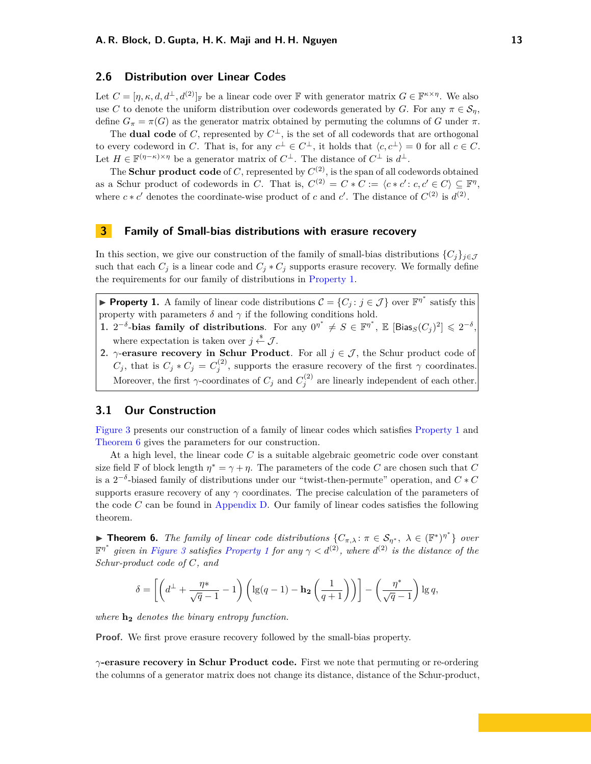#### <span id="page-12-0"></span>**2.6 Distribution over Linear Codes**

Let  $C = [\eta, \kappa, d, d^{\perp}, d^{(2)}]$  be a linear code over F with generator matrix  $G \in \mathbb{F}^{\kappa \times \eta}$ . We also use *C* to denote the uniform distribution over codewords generated by *G*. For any  $\pi \in \mathcal{S}_n$ , define  $G_{\pi} = \pi(G)$  as the generator matrix obtained by permuting the columns of *G* under  $\pi$ .

The **dual code** of *C*, represented by  $C^{\perp}$ , is the set of all codewords that are orthogonal to every codeword in *C*. That is, for any  $c^{\perp} \in C^{\perp}$ , it holds that  $\langle c, c^{\perp} \rangle = 0$  for all  $c \in C$ . Let  $H \in \mathbb{F}^{(\eta - \kappa) \times \eta}$  be a generator matrix of  $C^{\perp}$ . The distance of  $C^{\perp}$  is  $d^{\perp}$ .

The **Schur product code** of  $C$ , represented by  $C^{(2)}$ , is the span of all codewords obtained as a Schur product of codewords in *C*. That is,  $C^{(2)} = C * C := \langle c * c' : c, c' \in C \rangle \subseteq \mathbb{F}^{\eta}$ , where  $c * c'$  denotes the coordinate-wise product of *c* and *c'*. The distance of  $C^{(2)}$  is  $d^{(2)}$ .

#### <span id="page-12-1"></span>**3 Family of Small-bias distributions with erasure recovery**

In this section, we give our construction of the family of small-bias distributions  ${C_j}_{j \in J}$ such that each  $C_j$  is a linear code and  $C_j * C_j$  supports erasure recovery. We formally define the requirements for our family of distributions in [Property 1.](#page-12-4)

<span id="page-12-4"></span>**Property 1.** A family of linear code distributions  $\mathcal{C} = \{C_j : j \in \mathcal{J}\}\)$  over  $\mathbb{F}^{\eta^*}$  satisfy this property with parameters  $\delta$  and  $\gamma$  if the following conditions hold.

- 1.  $2^{-\delta}$ -bias family of distributions. For any  $0^{n^*} \neq S \in \mathbb{F}^{n^*}$ ,  $\mathbb{E} [\text{Bias}_{S}(C_j)^2] \leq 2^{-\delta}$ , where expectation is taken over  $j \stackrel{\hspace{0.1em}\mathsf{\scriptscriptstyle\$}}{\leftarrow} \mathcal{J}$ .
- **2.**  $\gamma$ -**erasure recovery in Schur Product**. For all  $j \in \mathcal{J}$ , the Schur product code of *C*<sub>*j*</sub>, that is  $C_j * C_j = C_j^{(2)}$ , supports the erasure recovery of the first *γ* coordinates. Moreover, the first  $\gamma$ -coordinates of  $C_j$  and  $C_j^{(2)}$  are linearly independent of each other.

#### <span id="page-12-2"></span>**3.1 Our Construction**

[Figure 3](#page-13-0) presents our construction of a family of linear codes which satisfies [Property 1](#page-12-4) and [Theorem 6](#page-12-3) gives the parameters for our construction.

At a high level, the linear code *C* is a suitable algebraic geometric code over constant size field F of block length  $\eta^* = \gamma + \eta$ . The parameters of the code *C* are chosen such that *C* is a  $2^{-\delta}$ -biased family of distributions under our "twist-then-permute" operation, and  $C * C$ supports erasure recovery of any *γ* coordinates. The precise calculation of the parameters of the code *C* can be found in [Appendix D.](#page-37-0) Our family of linear codes satisfies the following theorem.

<span id="page-12-3"></span>**Find Theorem 6.** *The family of linear code distributions*  $\{C_{\pi,\lambda}: \pi \in S_{\eta^*}, \lambda \in (\mathbb{F}^*)^{\eta^*}\}\$  *over*  $\mathbb{F}^{\eta^*}$  given in [Figure 3](#page-13-0) satisfies [Property 1](#page-12-4) for any  $\gamma < d^{(2)}$ , where  $d^{(2)}$  is the distance of the *Schur-product code of C, and*

$$
\delta = \left[ \left( d^{\perp} + \frac{\eta^*}{\sqrt{q} - 1} - 1 \right) \left( \lg(q - 1) - \mathbf{h_2} \left( \frac{1}{q + 1} \right) \right) \right] - \left( \frac{\eta^*}{\sqrt{q} - 1} \right) \lg q,
$$

*where* **h<sup>2</sup>** *denotes the binary entropy function.*

**Proof.** We first prove erasure recovery followed by the small-bias property.

*γ***-erasure recovery in Schur Product code.** First we note that permuting or re-ordering the columns of a generator matrix does not change its distance, distance of the Schur-product,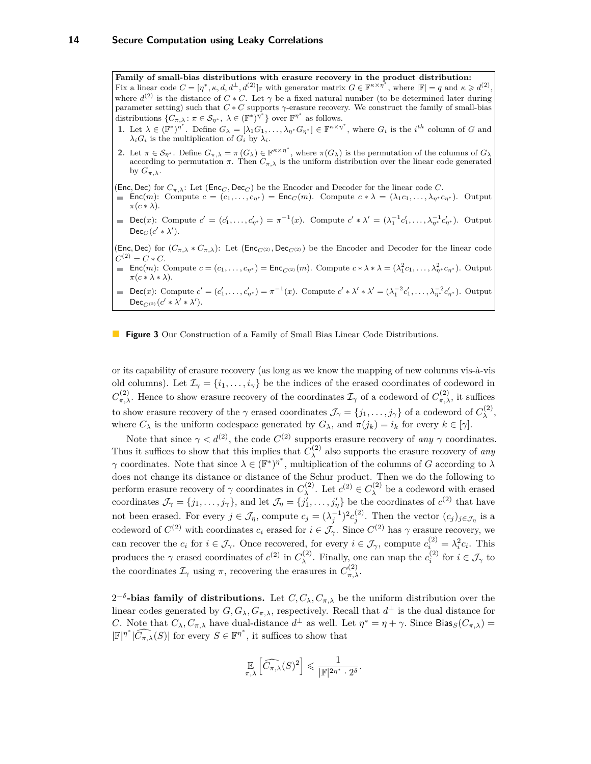<span id="page-13-0"></span>**Family of small-bias distributions with erasure recovery in the product distribution:** Fix a linear code  $C = [\eta^*, \kappa, d, d^{\perp}, d^{(2)}]_F$  with generator matrix  $G \in \mathbb{F}^{\kappa \times \eta^*}$ , where  $|\mathbb{F}| = q$  and  $\kappa \geq d^{(2)}$ , where  $d^{(2)}$  is the distance of  $C * C$ . Let  $\gamma$  be a fixed natural number (to be determined later during parameter setting) such that  $C * C$  supports  $\gamma$ -erasure recovery. We construct the family of small-bias distributions  $\{C_{\pi,\lambda}: \pi \in \mathcal{S}_{\eta^*}, \lambda \in (\mathbb{F}^*)^{\eta^*}\}$  over  $\mathbb{F}^{\eta^*}$  as follows.

- 1. Let  $\lambda \in (\mathbb{F}^*)^{\eta^*}$ . Define  $G_{\lambda} = [\lambda_1 G_1, \ldots, \lambda_{\eta^*} G_{\eta^*}] \in \mathbb{F}^{\kappa \times \eta^*}$ , where  $G_i$  is the  $i^{th}$  column of G and  $\lambda_i G_i$  is the multiplication of  $G_i$  by  $\lambda_i$ .
- **2.** Let  $\pi \in \mathcal{S}_{\eta^*}$ . Define  $G_{\pi,\lambda} = \pi(G_{\lambda}) \in \mathbb{F}^{\kappa \times \eta^*}$ , where  $\pi(G_{\lambda})$  is the permutation of the columns of  $G_{\lambda}$ according to permutation  $\pi$ . Then  $C_{\pi,\lambda}$  is the uniform distribution over the linear code generated by  $G_{\pi,\lambda}$ .
- (Enc, Dec) for  $C_{\pi,\lambda}$ : Let (Enc<sub>*C*</sub>, Dec<sub>*C*</sub>) be the Encoder and Decoder for the linear code *C*.
- $\mathsf{Enc}(m)$ : Compute  $c = (c_1, \ldots, c_{n^*}) = \mathsf{Enc}_C(m)$ . Compute  $c * \lambda = (\lambda_1 c_1, \ldots, \lambda_{n^*} c_{n^*})$ . Output  $\pi(c * \lambda)$ .
- Dec(x): Compute  $c' = (c'_1, \ldots, c'_{\eta^*}) = \pi^{-1}(x)$ . Compute  $c' * \lambda' = (\lambda_1^{-1} c'_1, \ldots, \lambda_{\eta^*}^{-1} c'_{\eta^*})$ . Output  $Dec_C(c' * \lambda')$ .

(Enc, Dec) for  $(C_{\pi,\lambda} * C_{\pi,\lambda})$ : Let (Enc<sub>*C*(2)</sub>, Dec<sub>*C*(2)</sub>) be the Encoder and Decoder for the linear code  $C^{(2)} = C * C$ .

 $\textsf{Enc}(m)$ : Compute  $c = (c_1, \ldots, c_{\eta^*}) = \textsf{Enc}_{C^{(2)}}(m)$ . Compute  $c * \lambda * \lambda = (\lambda_1^2 c_1, \ldots, \lambda_{\eta^*}^2 c_{\eta^*})$ . Output  $\pi(c * \lambda * \lambda).$ 

Dec(x): Compute  $c' = (c'_1, \ldots, c'_{\eta^*}) = \pi^{-1}(x)$ . Compute  $c' * \lambda' * \lambda' = (\lambda_1^{-2}c'_1, \ldots, \lambda_{\eta^*}^{-2}c'_{\eta^*})$ . Output  $Dec_{C^{(2)}}(c' * \lambda' * \lambda').$ 

**Figure 3** Our Construction of a Family of Small Bias Linear Code Distributions.

or its capability of erasure recovery (as long as we know the mapping of new columns vis-à-vis old columns). Let  $\mathcal{I}_{\gamma} = \{i_1, \ldots, i_{\gamma}\}\$  be the indices of the erased coordinates of codeword in *C*<sup>(2)</sup><sub>π,λ</sub>. Hence to show erasure recovery of the coordinates  $\mathcal{I}_{\gamma}$  of a codeword of  $C_{\pi,\lambda}^{(2)}$ , it suffices to show erasure recovery of the  $\gamma$  erased coordinates  $\mathcal{J}_{\gamma} = \{j_1, \ldots, j_{\gamma}\}\$  of a codeword of  $C_{\lambda}^{(2)}$ *λ* , where  $C_{\lambda}$  is the uniform codespace generated by  $G_{\lambda}$ , and  $\pi(j_k) = i_k$  for every  $k \in [\gamma]$ .

Note that since  $\gamma < d^{(2)}$ , the code  $C^{(2)}$  supports erasure recovery of *any*  $\gamma$  coordinates. Thus it suffices to show that this implies that  $C_{\lambda}^{(2)}$ *λ* also supports the erasure recovery of *any γ* coordinates. Note that since  $\lambda \in (\mathbb{F}^*)^{\eta^*}$ , multiplication of the columns of *G* according to  $\lambda$ does not change its distance or distance of the Schur product. Then we do the following to perform erasure recovery of  $\gamma$  coordinates in  $C_{\lambda}^{(2)}$ *λ*. Let *c*<sup>(2)</sup> ∈ *C*<sub>λ</sub><sup>(2)</sup>  $\lambda^{(2)}$  be a codeword with erased coordinates  $\mathcal{J}_{\gamma} = \{j_1, \ldots, j_{\gamma}\}\$ , and let  $\mathcal{J}_{\eta} = \{j'_1, \ldots, j'_{\eta}\}\$ be the coordinates of  $c^{(2)}$  that have not been erased. For every  $j \in \mathcal{J}_\eta$ , compute  $c_j = (\lambda_j^{-1})^2 c_j^{(2)}$ . Then the vector  $(c_j)_{j \in \mathcal{J}_\eta}$  is a codeword of  $C^{(2)}$  with coordinates  $c_i$  erased for  $i \in \mathcal{J}_{\gamma}$ . Since  $C^{(2)}$  has  $\gamma$  erasure recovery, we can recover the  $c_i$  for  $i \in \mathcal{J}_\gamma$ . Once recovered, for every  $i \in \mathcal{J}_\gamma$ , compute  $c_i^{(2)} = \lambda_i^2 c_i$ . This produces the  $\gamma$  erased coordinates of  $c^{(2)}$  in  $C_{\lambda}^{(2)}$ <sup>(2)</sup>  $\chi$  **i**. Finally, one can map the  $c_i^{(2)}$  for  $i \in \mathcal{J}_\gamma$  to the coordinates  $\mathcal{I}_{\gamma}$  using  $\pi$ , recovering the erasures in  $C_{\pi,\lambda}^{(2)}$ .

 $2^{-δ}$ **-bias family of distributions.** Let *C*, *C*<sub>*λ*</sub>, *C*<sub>*π*</sub>, *λ* be the uniform distribution over the linear codes generated by  $G, G_\lambda, G_{\pi,\lambda}$ , respectively. Recall that  $d^\perp$  is the dual distance for *C*. Note that  $C_{\lambda}, C_{\pi, \lambda}$  have dual-distance  $d^{\perp}$  as well. Let  $\eta^* = \eta + \gamma$ . Since Bias<sub>*S*</sub>( $C_{\pi, \lambda}$ ) =  $|\mathbb{F}|^{\eta^*}$  | $\widehat{C_{\pi,\lambda}}(S)$ | for every  $S \in \mathbb{F}^{\eta^*}$ , it suffices to show that

$$
\mathop{\mathbb{E}}_{\pi,\lambda}\left[\widehat{C_{\pi,\lambda}}(S)^2\right] \leqslant \frac{1}{|\mathbb{F}|^{2\eta^*} \cdot 2^{\delta}}.
$$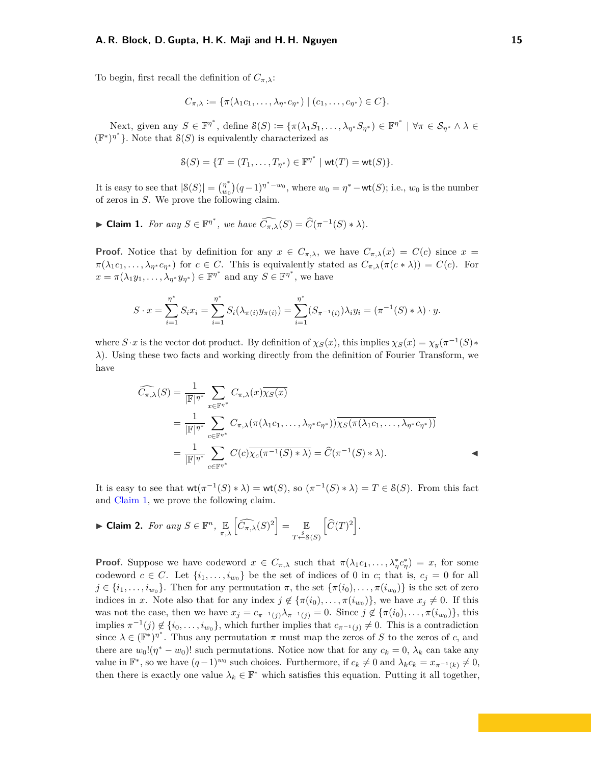#### **A. R. Block, D. Gupta, H. K. Maji and H. H. Nguyen 15**

To begin, first recall the definition of  $C_{\pi,\lambda}$ :

$$
C_{\pi,\lambda} := \{ \pi(\lambda_1 c_1, \dots, \lambda_{\eta^*} c_{\eta^*}) \mid (c_1, \dots, c_{\eta^*}) \in C \}.
$$

Next, given any  $S \in \mathbb{F}^{\eta^*}$ , define  $\mathcal{S}(S) := \{ \pi(\lambda_1 S_1, \dots, \lambda_{\eta^*} S_{\eta^*}) \in \mathbb{F}^{\eta^*} \mid \forall \pi \in \mathcal{S}_{\eta^*} \land \lambda \in \mathcal{S}_{\eta^*} \}$  $(\mathbb{F}^*)^{\eta^*}$ . Note that  $S(S)$  is equivalently characterized as

$$
\mathcal{S}(S) = \{ T = (T_1, \ldots, T_{\eta^*}) \in \mathbb{F}^{\eta^*} \mid \text{wt}(T) = \text{wt}(S) \}.
$$

It is easy to see that  $|\mathcal{S}(S)| = \binom{n^*}{m}$  $w_0^{(n+1)}(q-1)^{n^*-\omega_0}$ , where  $w_0 = n^*-\text{wt}(S)$ ; i.e.,  $w_0$  is the number of zeros in *S*. We prove the following claim.

<span id="page-14-1"></span>► Claim 1. *For any*  $S \in \mathbb{F}^{\eta^*}$ , we have  $\widehat{C_{\pi,\lambda}}(S) = \widehat{C}(\pi^{-1}(S) * \lambda)$ .

**Proof.** Notice that by definition for any  $x \in C_{\pi,\lambda}$ , we have  $C_{\pi,\lambda}(x) = C(c)$  since  $x =$  $\pi(\lambda_1 c_1, \ldots, \lambda_{\eta^*} c_{\eta^*})$  for  $c \in C$ . This is equivalently stated as  $C_{\pi,\lambda}(\pi(c * \lambda)) = C(c)$ . For  $x = \pi(\lambda_1 y_1, \dots, \lambda_{\eta^*} y_{\eta^*}) \in \mathbb{F}^{\eta^*}$  and any  $S \in \mathbb{F}^{\eta^*}$ , we have

$$
S \cdot x = \sum_{i=1}^{\eta^*} S_i x_i = \sum_{i=1}^{\eta^*} S_i (\lambda_{\pi(i)} y_{\pi(i)}) = \sum_{i=1}^{\eta^*} (S_{\pi^{-1}(i)}) \lambda_i y_i = (\pi^{-1}(S) * \lambda) \cdot y.
$$

where  $S \cdot x$  is the vector dot product. By definition of  $\chi_S(x)$ , this implies  $\chi_S(x) = \chi_y(\pi^{-1}(S) *$ *λ*). Using these two facts and working directly from the definition of Fourier Transform, we have

$$
\widehat{C_{\pi,\lambda}}(S) = \frac{1}{|\mathbb{F}|^{\eta^*}} \sum_{x \in \mathbb{F}^{\eta^*}} C_{\pi,\lambda}(x) \overline{\chi_S(x)}
$$
\n
$$
= \frac{1}{|\mathbb{F}|^{\eta^*}} \sum_{c \in \mathbb{F}^{\eta^*}} C_{\pi,\lambda}(\pi(\lambda_1 c_1, \dots, \lambda_{\eta^*} c_{\eta^*})) \overline{\chi_S(\pi(\lambda_1 c_1, \dots, \lambda_{\eta^*} c_{\eta^*}))}
$$
\n
$$
= \frac{1}{|\mathbb{F}|^{\eta^*}} \sum_{c \in \mathbb{F}^{\eta^*}} C(c) \overline{\chi_c(\pi^{-1}(S) * \lambda)} = \widehat{C}(\pi^{-1}(S) * \lambda).
$$

It is easy to see that  $wt(\pi^{-1}(S) * \lambda) = wt(S)$ , so  $(\pi^{-1}(S) * \lambda) = T \in S(S)$ . From this fact and [Claim 1,](#page-14-1) we prove the following claim.

<span id="page-14-0"></span>▶ Claim 2. For any 
$$
S \in \mathbb{F}^n
$$
,  $\underset{\pi,\lambda}{\mathbb{E}} \left[ \widehat{C_{\pi,\lambda}}(S)^2 \right] = \underset{T \stackrel{s}{\leftarrow} S(S)}{\mathbb{E}} \left[ \widehat{C}(T)^2 \right]$ .

**Proof.** Suppose we have codeword  $x \in C_{\pi,\lambda}$  such that  $\pi(\lambda_1 c_1, \ldots, \lambda_n^* c_n^*) = x$ , for some codeword  $c \in C$ . Let  $\{i_1, \ldots, i_{w_0}\}$  be the set of indices of 0 in *c*; that is,  $c_j = 0$  for all  $j \in \{i_1, \ldots, i_{w_0}\}$ . Then for any permutation  $\pi$ , the set  $\{\pi(i_0), \ldots, \pi(i_{w_0})\}$  is the set of zero indices in *x*. Note also that for any index  $j \notin {\{\pi(i_0), \ldots, \pi(i_{w_0})\}}$ , we have  $x_j \neq 0$ . If this was not the case, then we have  $x_j = c_{\pi^{-1}(j)} \lambda_{\pi^{-1}(j)} = 0$ . Since  $j \notin \{\pi(i_0), \ldots, \pi(i_{w_0})\}$ , this implies  $\pi^{-1}(j) \notin \{i_0, \ldots, i_{w_0}\}\$ , which further implies that  $c_{\pi^{-1}(j)} \neq 0$ . This is a contradiction since  $\lambda \in (\mathbb{F}^*)^{\eta^*}$ . Thus any permutation  $\pi$  must map the zeros of *S* to the zeros of *c*, and there are  $w_0!(\eta^* - w_0)!$  such permutations. Notice now that for any  $c_k = 0$ ,  $\lambda_k$  can take any value in  $\mathbb{F}^*$ , so we have  $(q-1)^{w_0}$  such choices. Furthermore, if  $c_k \neq 0$  and  $\lambda_k c_k = x_{\pi^{-1}(k)} \neq 0$ , then there is exactly one value  $\lambda_k \in \mathbb{F}^*$  which satisfies this equation. Putting it all together,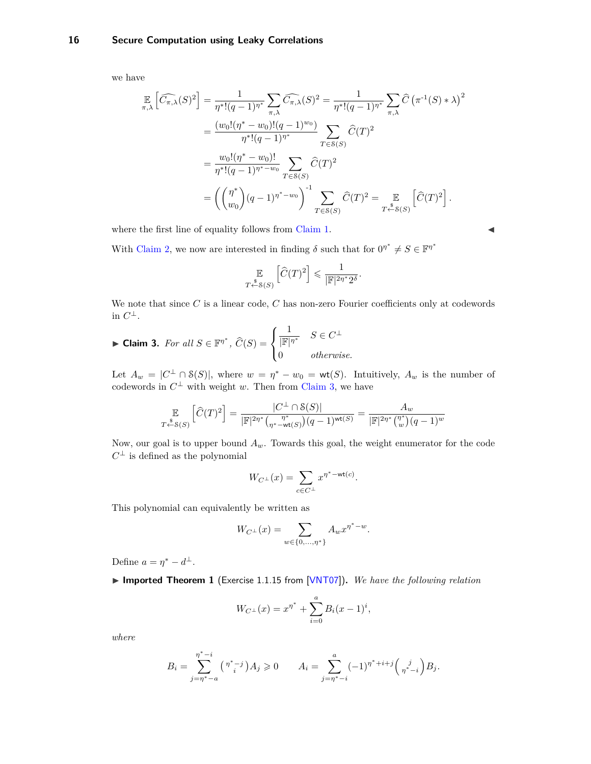#### <span id="page-15-1"></span>**16 Secure Computation using Leaky Correlations**

we have

$$
\mathbb{E}\left[\widehat{C_{\pi,\lambda}}(S)^2\right] = \frac{1}{\eta^*!(q-1)^{\eta^*}} \sum_{\pi,\lambda} \widehat{C_{\pi,\lambda}}(S)^2 = \frac{1}{\eta^*!(q-1)^{\eta^*}} \sum_{\pi,\lambda} \widehat{C} \left(\pi^{-1}(S) * \lambda\right)^2
$$

$$
= \frac{(w_0!(\eta^* - w_0)!(q-1)^{w_0})}{\eta^*!(q-1)^{\eta^*}} \sum_{T \in S(S)} \widehat{C}(T)^2
$$

$$
= \frac{w_0!(\eta^* - w_0)!}{\eta^*!(q-1)^{\eta^* - w_0}} \sum_{T \in S(S)} \widehat{C}(T)^2
$$

$$
= \left(\binom{\eta^*}{w_0}(q-1)^{\eta^* - w_0}\right)^{-1} \sum_{T \in S(S)} \widehat{C}(T)^2 = \mathbb{E}\left[\widehat{C}(T)^2\right].
$$

where the first line of equality follows from [Claim 1.](#page-14-1)

With [Claim 2,](#page-14-0) we now are interested in finding  $\delta$  such that for  $0^{\eta^*} \neq S \in \mathbb{F}^{\eta^*}$ 

$$
\mathbb{E}_{T \stackrel{\$}{\leftarrow} \mathcal{S}(S)} \left[ \widehat{C}(T)^2 \right] \leq \frac{1}{|\mathbb{F}|^{2\eta^*} 2^{\delta}}.
$$

We note that since *C* is a linear code, *C* has non-zero Fourier coefficients only at codewords in  $C^{\perp}$ .

<span id="page-15-0"></span>
$$
\blacktriangleright \text{Claim 3. For all } S \in \mathbb{F}^{\eta^*}, \ \widehat{C}(S) = \begin{cases} \frac{1}{|\mathbb{F}|^{\eta^*}} & S \in C^\perp \\ 0 & \text{otherwise.} \end{cases}
$$

Let  $A_w = |C^{\perp} \cap S(S)|$ , where  $w = \eta^* - w_0 = \text{wt}(S)$ . Intuitively,  $A_w$  is the number of codewords in  $C^{\perp}$  with weight *w*. Then from [Claim 3,](#page-15-0) we have

$$
\mathop{\mathbb{E}}_{T \stackrel{\$}{\leftarrow} S(S)} \left[ \widehat{C}(T)^2 \right] = \frac{|C^\perp \cap S(S)|}{|\mathbb{F}|^{2\eta^*} \binom{\eta^*}{\eta^* - \text{wt}(S)} (q-1)^{\text{wt}(S)}} = \frac{A_w}{|\mathbb{F}|^{2\eta^*} \binom{\eta^*}{w} (q-1)^w}
$$

Now, our goal is to upper bound *Aw*. Towards this goal, the weight enumerator for the code  $C^{\perp}$  is defined as the polynomial

$$
W_{C^\perp}(x)=\sum_{c\in C^\perp}x^{\eta^*-\textnormal{wt}(c)}.
$$

This polynomial can equivalently be written as

$$
W_{C^{\perp}}(x) = \sum_{w \in \{0, ..., \eta^*\}} A_w x^{\eta^* - w}.
$$

Define  $a = \eta^* - d^{\perp}$ .

▶ Imported Theorem 1 (Exercise 1.1.15 from [\[VNT07\]](#page-27-11)). We have the following relation

$$
W_{C^{\perp}}(x) = x^{\eta^*} + \sum_{i=0}^{a} B_i (x-1)^i,
$$

*where*

$$
B_i = \sum_{j=\eta^*-a}^{\eta^*-i} {\binom{\eta^*-j}{i}} A_j \geq 0 \qquad A_i = \sum_{j=\eta^*-i}^a (-1)^{\eta^*+i+j} {\binom{i}{\eta^*-i}} B_j.
$$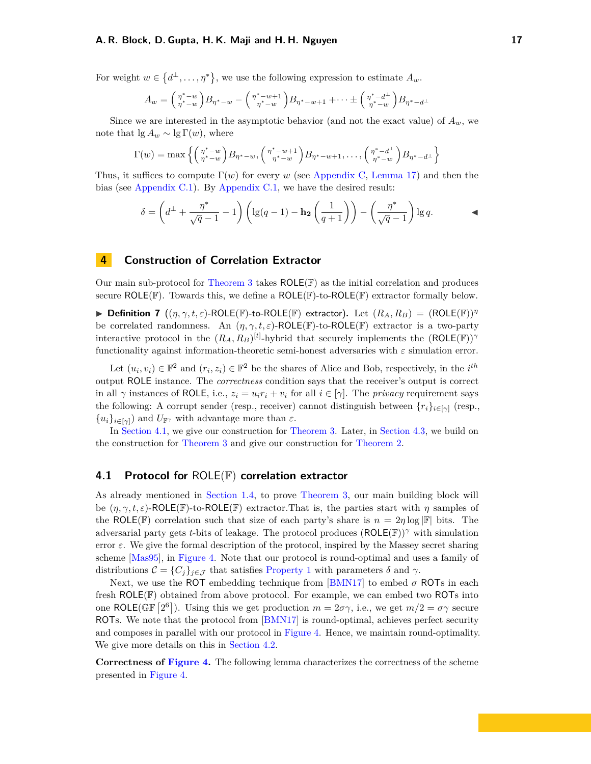#### <span id="page-16-2"></span>**A. R. Block, D. Gupta, H. K. Maji and H. H. Nguyen 17**

For weight  $w \in \{d^{\perp}, \ldots, \eta^*\}$ , we use the following expression to estimate  $A_w$ .

$$
A_w = \binom{\eta^* - w}{\eta^* - w} B_{\eta^* - w} - \binom{\eta^* - w + 1}{\eta^* - w} B_{\eta^* - w + 1} + \dots \pm \binom{\eta^* - d^{\perp}}{\eta^* - w} B_{\eta^* - d^{\perp}}
$$

Since we are interested in the asymptotic behavior (and not the exact value) of  $A_w$ , we note that  $\lg A_w \sim \lg \Gamma(w)$ , where

$$
\Gamma(w) = \max \left\{ \left( \begin{array}{c} \eta^* - w \\ \eta^* - w \end{array} \right) B_{\eta^* - w}, \left( \begin{array}{c} \eta^* - w + 1 \\ \eta^* - w \end{array} \right) B_{\eta^* - w + 1}, \dots, \left( \begin{array}{c} \eta^* - d^\perp \\ \eta^* - w \end{array} \right) B_{\eta^* - d^\perp} \right\}
$$

Thus, it suffices to compute  $\Gamma(w)$  for every *w* (see [Appendix C,](#page-31-1) [Lemma 17\)](#page-33-0) and then the bias (see [Appendix C.1\)](#page-35-0). By [Appendix C.1,](#page-35-0) we have the desired result:

$$
\delta = \left(d^{\perp} + \frac{\eta^*}{\sqrt{q}-1} - 1\right) \left(\lg(q-1) - \mathbf{h_2}\left(\frac{1}{q+1}\right)\right) - \left(\frac{\eta^*}{\sqrt{q}-1}\right) \lg q.
$$

#### <span id="page-16-0"></span>**4 Construction of Correlation Extractor**

Our main sub-protocol for [Theorem 3](#page-4-3) takes  $ROLE(\mathbb{F})$  as the initial correlation and produces secure ROLE( $F$ ). Towards this, we define a ROLE( $F$ )-to-ROLE( $F$ ) extractor formally below.

 $\triangleright$  **Definition 7**  $((\eta, \gamma, t, \varepsilon)$ -ROLE(F)-to-ROLE(F) extractor). Let  $(R_A, R_B) = (ROLE(\mathbb{F}))^{\eta}$ be correlated randomness. An  $(\eta, \gamma, t, \varepsilon)$ -ROLE(F)-to-ROLE(F) extractor is a two-party interactive protocol in the  $(R_A, R_B)^{[t]}$ -hybrid that securely implements the  $(\textsf{ROLE}(\mathbb{F}))^{\gamma}$ functionality against information-theoretic semi-honest adversaries with *ε* simulation error.

Let  $(u_i, v_i) \in \mathbb{F}^2$  and  $(r_i, z_i) \in \mathbb{F}^2$  be the shares of Alice and Bob, respectively, in the  $i^{th}$ output ROLE instance. The *correctness* condition says that the receiver's output is correct in all  $\gamma$  instances of ROLE, i.e.,  $z_i = u_i r_i + v_i$  for all  $i \in [\gamma]$ . The *privacy* requirement says the following: A corrupt sender (resp., receiver) cannot distinguish between  $\{r_i\}_{i\in[\gamma]}$  (resp.,  ${u_i}_{i \in [\gamma]}$  and  $U_{\mathbb{F}^\gamma}$  with advantage more than  $\varepsilon$ .

In [Section 4.1,](#page-16-1) we give our construction for [Theorem 3.](#page-4-3) Later, in [Section 4.3,](#page-20-0) we build on the construction for [Theorem 3](#page-4-3) and give our construction for [Theorem 2.](#page-4-1)

#### <span id="page-16-1"></span>**4.1 Protocol for** ROLE(F) **correlation extractor**

As already mentioned in [Section 1.4,](#page-7-0) to prove [Theorem 3,](#page-4-3) our main building block will be  $(\eta, \gamma, t, \varepsilon)$ -ROLE(F)-to-ROLE(F) extractor. That is, the parties start with  $\eta$  samples of the ROLE(F) correlation such that size of each party's share is  $n = 2\eta \log |\mathbb{F}|$  bits. The adversarial party gets *t*-bits of leakage. The protocol produces (ROLE(F))*<sup>γ</sup>* with simulation error  $\varepsilon$ . We give the formal description of the protocol, inspired by the Massey secret sharing scheme [\[Mas95\]](#page-27-12), in [Figure 4.](#page-17-0) Note that our protocol is round-optimal and uses a family of distributions  $\mathcal{C} = \{C_j\}_{j \in \mathcal{J}}$  that satisfies [Property 1](#page-12-4) with parameters  $\delta$  and  $\gamma$ .

Next, we use the ROT embedding technique from  $[BMN17]$  to embed  $\sigma$  ROTs in each fresh ROLE( $F$ ) obtained from above protocol. For example, we can embed two ROTs into one ROLE( $\mathbb{GF}\left[2^6\right]$ ). Using this we get production  $m = 2\sigma\gamma$ , i.e., we get  $m/2 = \sigma\gamma$  secure ROTs. We note that the protocol from [\[BMN17\]](#page-25-7) is round-optimal, achieves perfect security and composes in parallel with our protocol in [Figure 4.](#page-17-0) Hence, we maintain round-optimality. We give more details on this in [Section 4.2.](#page-19-0)

**Correctness of [Figure 4.](#page-17-0)** The following lemma characterizes the correctness of the scheme presented in [Figure 4.](#page-17-0)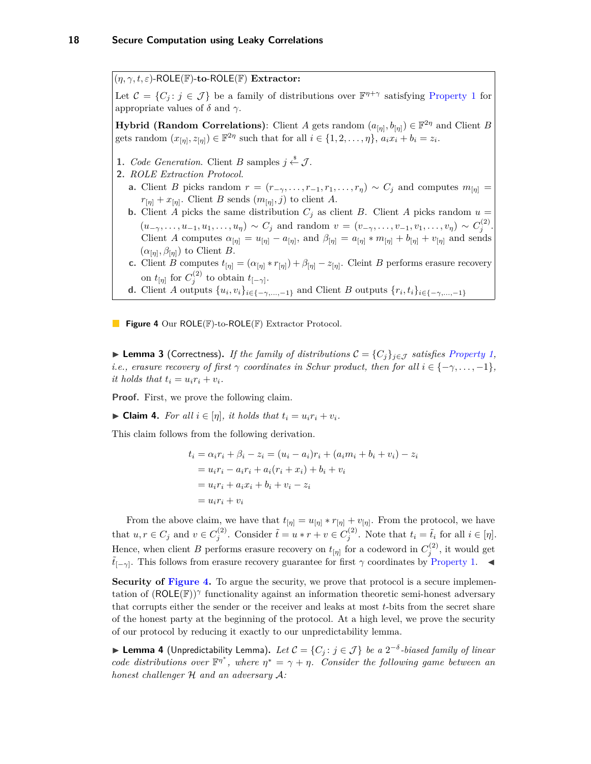<span id="page-17-0"></span> $(\eta, \gamma, t, \varepsilon)$ -ROLE(F)-to-ROLE(F) **Extractor:** 

Let  $\mathcal{C} = \{C_j : j \in \mathcal{J}\}\$ be a family of distributions over  $\mathbb{F}^{\eta+\gamma}$  satisfying [Property 1](#page-12-4) for appropriate values of  $\delta$  and  $\gamma$ .

**Hybrid (Random Correlations)**: Client *A* gets random  $(a_{[\eta]}, b_{[\eta]}) \in \mathbb{F}^{2\eta}$  and Client *B* gets random  $(x_{[\eta]}, z_{[\eta]}) \in \mathbb{F}^{2\eta}$  such that for all  $i \in \{1, 2, \ldots, \eta\}$ ,  $a_i x_i + b_i = z_i$ .

- **1.** *Code Generation*. Client *B* samples  $j \stackrel{\$}{\leftarrow} \mathcal{J}$ .
- **2.** *ROLE Extraction Protocol.*
	- **a.** Client *B* picks random  $r = (r_{-\gamma}, \ldots, r_{-1}, r_1, \ldots, r_n) \sim C_j$  and computes  $m_{[\eta]} =$  $r_{[\eta]} + x_{[\eta]}$ . Client *B* sends  $(m_{[\eta]}, j)$  to client *A*.
	- **b.** Client *A* picks the same distribution  $C_j$  as client *B*. Client *A* picks random  $u =$  $(u_{-\gamma},...,u_{-1},u_1,...,u_{\eta}) \sim C_j$  and random  $v = (v_{-\gamma},...,v_{-1},v_1,...,v_{\eta}) \sim C_j^{(2)}$ . Client *A* computes  $\alpha_{[\eta]} = u_{[\eta]} - a_{[\eta]}$ , and  $\beta_{[\eta]} = a_{[\eta]} * m_{[\eta]} + b_{[\eta]} + v_{[\eta]}$  and sends  $(\alpha_{\eta}, \beta_{\eta})$  to Client *B*.
	- **c.** Client *B* computes  $t_{[\eta]} = (\alpha_{[\eta]} * r_{[\eta]}) + \beta_{[\eta]} z_{[\eta]}$ . Cleint *B* performs erasure recovery on  $t_{[\eta]}$  for  $C_j^{(2)}$  to obtain  $t_{[-\gamma]}.$
	- **d.** Client *A* outputs  $\{u_i, v_i\}_{i \in \{-\gamma, ..., -1\}}$  and Client *B* outputs  $\{r_i, t_i\}_{i \in \{-\gamma, ..., -1\}}$

**Figure 4** Our ROLE(F)-to-ROLE(F) Extractor Protocol.

▶ **Lemma 3** (Correctness). If the family of distributions  $\mathcal{C} = \{C_j\}_{j \in \mathcal{J}}$  satisfies [Property 1,](#page-12-4) *i.e., erasure recovery of first*  $\gamma$  *coordinates in Schur product, then for all*  $i \in \{-\gamma, \ldots, -1\}$ *,*  $it holds that t_i = u_i r_i + v_i.$ 

**Proof.** First, we prove the following claim.

 $\triangleright$  **Claim 4.** For all  $i \in [\eta]$ , it holds that  $t_i = u_i r_i + v_i$ .

This claim follows from the following derivation.

$$
t_i = \alpha_i r_i + \beta_i - z_i = (u_i - a_i)r_i + (a_i m_i + b_i + v_i) - z_i
$$
  
=  $u_i r_i - a_i r_i + a_i (r_i + x_i) + b_i + v_i$   
=  $u_i r_i + a_i x_i + b_i + v_i - z_i$   
=  $u_i r_i + v_i$ 

From the above claim, we have that  $t_{[\eta]} = u_{[\eta]} * r_{[\eta]} + v_{[\eta]}$ . From the protocol, we have that  $u, r \in C_j$  and  $v \in C_j^{(2)}$ . Consider  $\tilde{t} = u * r + v \in C_j^{(2)}$ . Note that  $t_i = \tilde{t}_i$  for all  $i \in [\eta]$ . Hence, when client *B* performs erasure recovery on  $t_{[\eta]}$  for a codeword in  $C_j^{(2)}$ , it would get  $\tilde{t}_{[-\gamma]}$ . This follows from erasure recovery guarantee for first  $\gamma$  coordinates by [Property 1.](#page-12-4)  $\blacktriangleleft$ 

**Security of [Figure 4.](#page-17-0)** To argue the security, we prove that protocol is a secure implementation of (ROLE(F))*<sup>γ</sup>* functionality against an information theoretic semi-honest adversary that corrupts either the sender or the receiver and leaks at most *t*-bits from the secret share of the honest party at the beginning of the protocol. At a high level, we prove the security of our protocol by reducing it exactly to our unpredictability lemma.

<span id="page-17-1"></span>▶ **Lemma 4** (Unpredictability Lemma). Let  $C = \{C_j : j \in \mathcal{J}\}\$  be a  $2^{-\delta}$ -biased family of linear *code distributions over*  $\mathbb{F}^{\eta^*}$ , where  $\eta^* = \gamma + \eta$ . Consider the following game between an *honest challenger* H *and an adversary* A*:*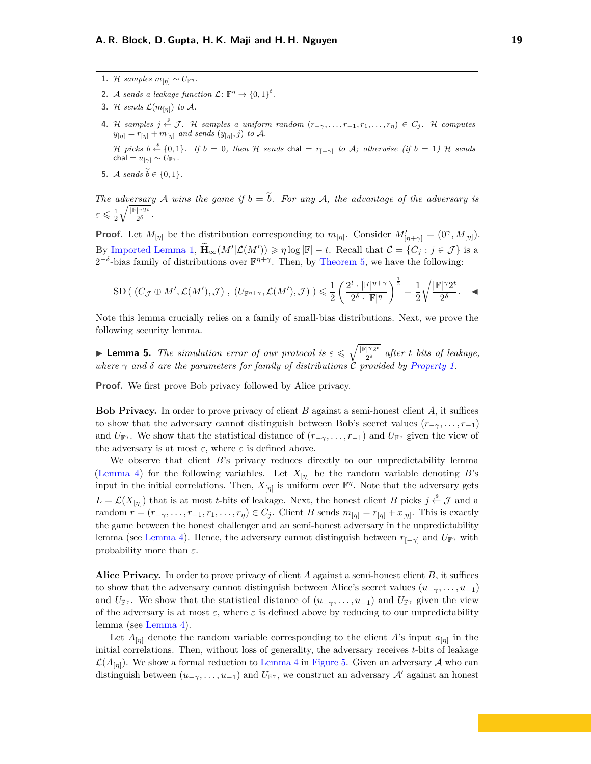**1.** H samples  $m_{\lfloor \eta \rfloor} \sim U_{\mathbb{F}^{\eta}}$ . **2.** A sends a leakage function  $\mathcal{L}: \mathbb{F}^{\eta} \to \{0,1\}^t$ . **3.** H sends  $\mathcal{L}(m_{[n]})$  to A. **4.** H samples  $j \stackrel{s}{\leftarrow} \mathcal{J}$ . H samples a uniform random  $(r_{−\gamma}, \ldots, r_{-1}, r_1, \ldots, r_n) \in C_j$ . H computes  $y_{[\eta]} = r_{[\eta]} + m_{[\eta]}$  *and sends*  $(y_{[\eta]}, j)$  *to* A.  $\mathcal{H}$  picks  $b \stackrel{s}{\leftarrow} \{0,1\}$ . If  $b = 0$ , then  $\mathcal{H}$  sends  $\mathsf{chal} = r_{[-\gamma]}$  to  $\mathcal{A}$ ; otherwise (if  $b = 1$ )  $\mathcal{H}$  sends  $\mathsf{chal} = u_{[\gamma]} \sim U_{\mathbb{F}^\gamma}$  *.* **5.** A sends  $\widetilde{b} \in \{0, 1\}$ 

*The adversary* A *wins the game if*  $b = \tilde{b}$ *. For any* A, the advantage of the adversary is  $\varepsilon \leqslant \frac{1}{2} \sqrt{\frac{|\mathbb{F}|^\gamma 2^t}{2^\delta}}$  $\frac{1}{2^{\delta}}$ .

**Proof.** Let  $M_{[\eta]}$  be the distribution corresponding to  $m_{[\eta]}$ . Consider  $M'_{[\eta+\gamma]} = (0^{\gamma}, M_{[\eta]}).$ By [Imported Lemma 1,](#page-11-3)  $\widetilde{\mathbf{H}}_{\infty}(M'|\mathcal{L}(M')) \geqslant \eta \log |\mathbb{F}| - t$ . Recall that  $\mathcal{C} = \{C_j : j \in \mathcal{J}\}\$ is a  $2^{-\delta}$ -bias family of distributions over  $\mathbb{F}^{\eta+\gamma}$ . Then, by [Theorem 5,](#page-11-2) we have the following:

$$
\mathrm{SD}\left(\ (C_{\mathcal{J}} \oplus M', \mathcal{L}(M'), \mathcal{J}\right)\, ,\ \left(U_{\mathbb{F}^{\eta + \gamma}}, \mathcal{L}(M'), \mathcal{J}\right)\right) \leqslant \frac{1}{2}\left(\frac{2^t \cdot |\mathbb{F}|^{\eta + \gamma}}{2^{\delta} \cdot |\mathbb{F}|^{\eta}}\right)^{\frac{1}{2}} = \frac{1}{2} \sqrt{\frac{|\mathbb{F}|^{\gamma} 2^t}{2^{\delta}}}.
$$

Note this lemma crucially relies on a family of small-bias distributions. Next, we prove the following security lemma.

**Example 1 Lemma 5.** *The simulation error of our protocol is*  $\epsilon \leq \sqrt{\frac{|\mathbb{F}|^2 2^t}{2^{\delta}}}$  $\frac{1}{2^{\delta}}$  *after t bits of leakage*, *where*  $\gamma$  *and*  $\delta$  *are the parameters for family of distributions*  $\dot{C}$  *provided by [Property 1.](#page-12-4)* 

**Proof.** We first prove Bob privacy followed by Alice privacy.

**Bob Privacy.** In order to prove privacy of client *B* against a semi-honest client *A*, it suffices to show that the adversary cannot distinguish between Bob's secret values  $(r_{-\gamma}, \ldots, r_{-1})$ and  $U_{\mathbb{F}\gamma}$ . We show that the statistical distance of  $(r_{-\gamma}, \ldots, r_{-1})$  and  $U_{\mathbb{F}\gamma}$  given the view of the adversary is at most  $\varepsilon$ , where  $\varepsilon$  is defined above.

We observe that client *B*'s privacy reduces directly to our unpredictability lemma [\(Lemma 4\)](#page-17-1) for the following variables. Let  $X_{[\eta]}$  be the random variable denoting *B*'s input in the initial correlations. Then,  $X_{[\eta]}$  is uniform over  $\mathbb{F}^{\eta}$ . Note that the adversary gets  $L = \mathcal{L}(X_{[\eta]})$  that is at most *t*-bits of leakage. Next, the honest client *B* picks  $j \stackrel{\$}{\leftarrow} \mathcal{J}$  and a random  $r = (r_{-\gamma}, \ldots, r_{-1}, r_1, \ldots, r_{\eta}) \in C_j$ . Client *B* sends  $m_{[\eta]} = r_{[\eta]} + x_{[\eta]}$ . This is exactly the game between the honest challenger and an semi-honest adversary in the unpredictability lemma (see [Lemma 4\)](#page-17-1). Hence, the adversary cannot distinguish between  $r_{[-\gamma]}$  and  $U_{\mathbb{F}^{\gamma}}$  with probability more than *ε*.

**Alice Privacy.** In order to prove privacy of client *A* against a semi-honest client *B*, it suffices to show that the adversary cannot distinguish between Alice's secret values  $(u_{-\gamma},...,u_{-1})$ and  $U_{\mathbb{F}^\gamma}$ . We show that the statistical distance of  $(u_{-\gamma},...,u_{-1})$  and  $U_{\mathbb{F}^\gamma}$  given the view of the adversary is at most  $\varepsilon$ , where  $\varepsilon$  is defined above by reducing to our unpredictability lemma (see [Lemma 4\)](#page-17-1).

Let  $A_{[\eta]}$  denote the random variable corresponding to the client *A*'s input  $a_{[\eta]}$  in the initial correlations. Then, without loss of generality, the adversary receives *t*-bits of leakage  $\mathcal{L}(A_{\lceil n \rceil})$ . We show a formal reduction to [Lemma 4](#page-17-1) in [Figure 5.](#page-19-1) Given an adversary A who can distinguish between  $(u_{-\gamma},...,u_{-1})$  and  $U_{\mathbb{F}^{\gamma}}$ , we construct an adversary  $\mathcal{A}'$  against an honest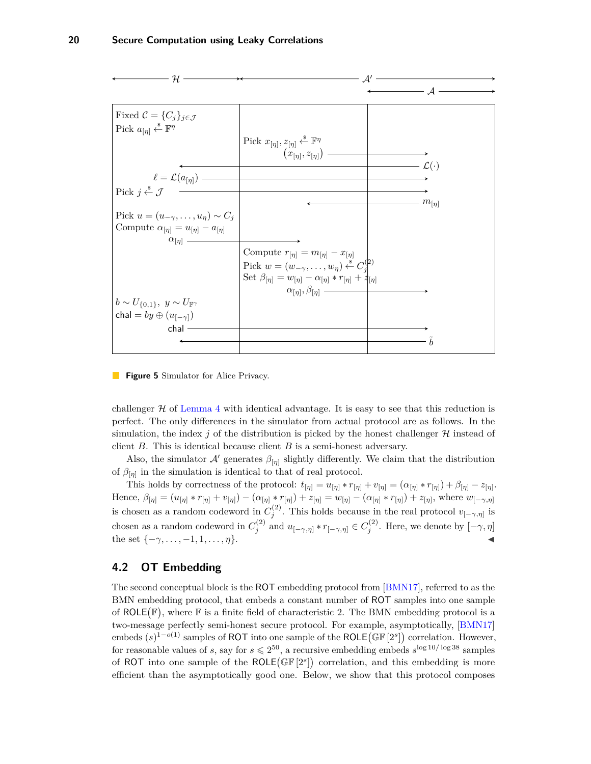<span id="page-19-2"></span><span id="page-19-1"></span>

**Figure 5** Simulator for Alice Privacy.

challenger  $H$  of [Lemma 4](#page-17-1) with identical advantage. It is easy to see that this reduction is perfect. The only differences in the simulator from actual protocol are as follows. In the simulation, the index  $j$  of the distribution is picked by the honest challenger  $\mathcal{H}$  instead of client *B*. This is identical because client *B* is a semi-honest adversary.

Also, the simulator  $\mathcal{A}'$  generates  $\beta_{[\eta]}$  slightly differently. We claim that the distribution of  $\beta_{[\eta]}$  in the simulation is identical to that of real protocol.

This holds by correctness of the protocol:  $t_{[\eta]} = u_{[\eta]} * r_{[\eta]} + v_{[\eta]} = (\alpha_{[\eta]} * r_{[\eta]}) + \beta_{[\eta]} - z_{[\eta]}$ . Hence,  $\beta_{[\eta]} = (u_{[\eta]} * r_{[\eta]} + v_{[\eta]}) - (\alpha_{[\eta]} * r_{[\eta]}) + z_{[\eta]} = w_{[\eta]} - (\alpha_{[\eta]} * r_{[\eta]}) + z_{[\eta]},$  where  $w_{[-\gamma,\eta]}$ is chosen as a random codeword in  $C_j^{(2)}$ . This holds because in the real protocol  $v_{[-\gamma,\eta]}$  is chosen as a random codeword in  $C_j^{(2)}$  and  $u_{[-\gamma,\eta]} * r_{[-\gamma,\eta]} \in C_j^{(2)}$ . Here, we denote by  $[-\gamma,\eta]$ the set  $\{-\gamma, \ldots, -1, 1, \ldots, \eta\}.$ 

#### <span id="page-19-0"></span>**4.2 OT Embedding**

The second conceptual block is the ROT embedding protocol from [\[BMN17\]](#page-25-7), referred to as the BMN embedding protocol, that embeds a constant number of ROT samples into one sample of  $ROLE(\mathbb{F})$ , where  $\mathbb F$  is a finite field of characteristic 2. The BMN embedding protocol is a two-message perfectly semi-honest secure protocol. For example, asymptotically, [\[BMN17\]](#page-25-7) embeds  $(s)^{1-o(1)}$  samples of ROT into one sample of the ROLE( $\mathbb{GF}[2^s]$ ) correlation. However, for reasonable values of *s*, say for  $s \le 2^{50}$ , a recursive embedding embeds  $s^{\log 10/\log 38}$  samples of ROT into one sample of the ROLE  $(\mathbb{GF}[2^s])$  correlation, and this embedding is more efficient than the asymptotically good one. Below, we show that this protocol composes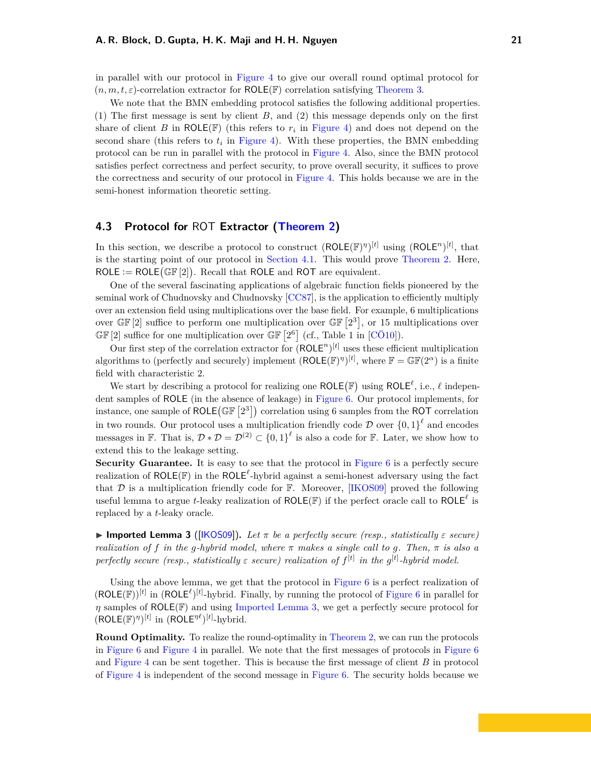<span id="page-20-2"></span>in parallel with our protocol in [Figure 4](#page-17-0) to give our overall round optimal protocol for  $(n, m, t, \varepsilon)$ -correlation extractor for ROLE(F) correlation satisfying [Theorem 3.](#page-4-3)

We note that the BMN embedding protocol satisfies the following additional properties. (1) The first message is sent by client *B*, and (2) this message depends only on the first share of client *B* in ROLE( $F$ ) (this refers to  $r_i$  in [Figure 4\)](#page-17-0) and does not depend on the second share (this refers to  $t_i$  in [Figure 4\)](#page-17-0). With these properties, the BMN embedding protocol can be run in parallel with the protocol in [Figure 4.](#page-17-0) Also, since the BMN protocol satisfies perfect correctness and perfect security, to prove overall security, it suffices to prove the correctness and security of our protocol in [Figure 4.](#page-17-0) This holds because we are in the semi-honest information theoretic setting.

#### <span id="page-20-0"></span>**4.3 Protocol for** ROT **Extractor [\(Theorem 2\)](#page-4-1)**

In this section, we describe a protocol to construct  $(ROLE(\mathbb{F})^{\eta})^{[t]}$  using  $(ROLE^{\eta})^{[t]}$ , that is the starting point of our protocol in [Section 4.1.](#page-16-1) This would prove [Theorem 2.](#page-4-1) Here,  $ROLE := ROLE(\mathbb{GF}[2])$ . Recall that ROLE and ROT are equivalent.

One of the several fascinating applications of algebraic function fields pioneered by the seminal work of Chudnovsky and Chudnovsky [\[CC87\]](#page-25-9), is the application to efficiently multiply over an extension field using multiplications over the base field. For example, 6 multiplications over  $\mathbb{GF}[2]$  suffice to perform one multiplication over  $\mathbb{GF}[2^3]$ , or 15 multiplications over  $\mathbb{GF}[2]$  suffice for one multiplication over  $\mathbb{GF}[2^6]$  (cf., Table 1 in [\[CÖ10\]](#page-25-8)).

Our first step of the correlation extractor for  $(ROLE<sup>n</sup>)<sup>[t]</sup>$  uses these efficient multiplication algorithms to (perfectly and securely) implement  $(\text{ROLE}(\mathbb{F})^{\eta})^{[t]}$ , where  $\mathbb{F} = \mathbb{GF}(2^{\alpha})$  is a finite field with characteristic 2.

We start by describing a protocol for realizing one  $ROLE(\mathbb{F})$  using  $ROLE^{\ell}$ , i.e.,  $\ell$  independent samples of ROLE (in the absence of leakage) in [Figure 6.](#page-21-2) Our protocol implements, for instance, one sample of ROLE( $\mathbb{GF}\left[2^{3}\right]$ ) correlation using 6 samples from the ROT correlation in two rounds. Our protocol uses a multiplication friendly code  $D$  over  $\{0,1\}^{\ell}$  and encodes messages in F. That is,  $\mathcal{D} * \mathcal{D} = \mathcal{D}^{(2)} \subset \{0,1\}^{\ell}$  is also a code for F. Later, we show how to extend this to the leakage setting.

**Security Guarantee.** It is easy to see that the protocol in [Figure 6](#page-21-2) is a perfectly secure realization of  $ROLE(\mathbb{F})$  in the  $ROLE^{\ell}$ -hybrid against a semi-honest adversary using the fact that  $D$  is a multiplication friendly code for  $\mathbb{F}$ . Moreover, [\[IKOS09\]](#page-26-2) proved the following useful lemma to argue *t*-leaky realization of  $ROLE(\mathbb{F})$  if the perfect oracle call to  $ROLE^{\ell}$  is replaced by a *t*-leaky oracle.

<span id="page-20-1"></span>**Imported Lemma 3** ([\[IKOS09\]](#page-26-2)). Let  $\pi$  be a perfectly secure (resp., statistically  $\varepsilon$  secure) *realization of f in the g-hybrid model, where*  $\pi$  *makes* a single call to q. Then,  $\pi$  *is also a perfectly secure (resp., statistically ε secure) realization of f* [*t*] *in the g* [*t*] *-hybrid model.*

Using the above lemma, we get that the protocol in [Figure 6](#page-21-2) is a perfect realization of  $(ROLE(\mathbb{F}))^{[t]}$  in  $(ROLE^{\ell})^{[t]}$ -hybrid. Finally, by running the protocol of [Figure 6](#page-21-2) in parallel for *η* samples of ROLE(F) and using [Imported Lemma 3,](#page-20-1) we get a perfectly secure protocol for  $(ROLE(\mathbb{F})^{\eta})^{[t]}$  in  $(ROLE^{\eta \ell})^{[t]}$ -hybrid.

**Round Optimality.** To realize the round-optimality in [Theorem 2,](#page-4-1) we can run the protocols in [Figure 6](#page-21-2) and [Figure 4](#page-17-0) in parallel. We note that the first messages of protocols in [Figure 6](#page-21-2) and [Figure 4](#page-17-0) can be sent together. This is because the first message of client *B* in protocol of [Figure 4](#page-17-0) is independent of the second message in [Figure 6.](#page-21-2) The security holds because we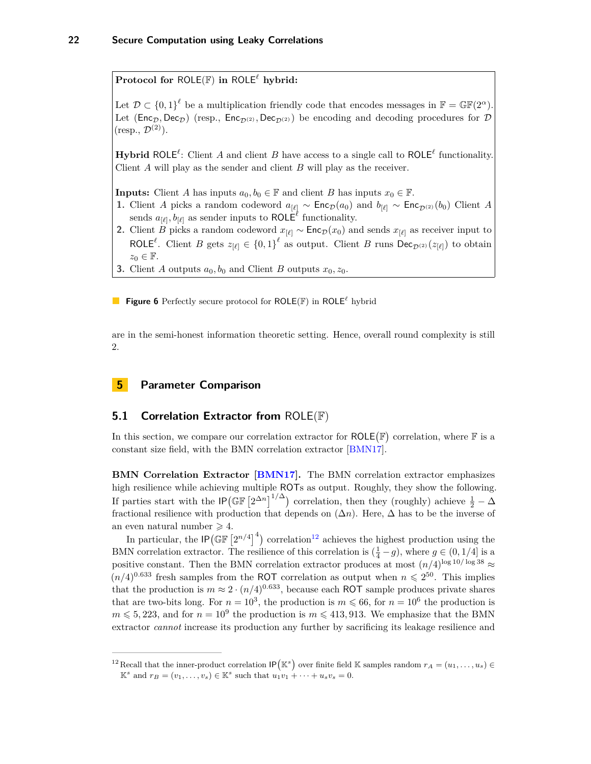<span id="page-21-4"></span><span id="page-21-2"></span>**Protocol for ROLE(F) in ROLE<sup>** $\ell$ **</sup> hybrid:** 

Let  $\mathcal{D} \subset \{0,1\}^{\ell}$  be a multiplication friendly code that encodes messages in  $\mathbb{F} = \mathbb{GF}(2^{\alpha})$ . Let ( $\text{Enc}_{\mathcal{D}}$ ,  $\text{Dec}_{\mathcal{D}}$ ) (resp.,  $\text{Enc}_{\mathcal{D}(2)}$ ,  $\text{Dec}_{\mathcal{D}(2)}$ ) be encoding and decoding procedures for  $\mathcal{D}$  $(r\text{esp.}, \mathcal{D}^{(2)})$ .

**Hybrid** ROLE<sup> $\ell$ </sup>: Client *A* and client *B* have access to a single call to ROLE<sup> $\ell$ </sup> functionality. Client *A* will play as the sender and client *B* will play as the receiver.

**Inputs:** Client *A* has inputs  $a_0, b_0 \in \mathbb{F}$  and client *B* has inputs  $x_0 \in \mathbb{F}$ .

- **1.** Client *A* picks a random codeword  $a_{[\ell]} \sim \text{Enc}_{\mathcal{D}}(a_0)$  and  $b_{[\ell]} \sim \text{Enc}_{\mathcal{D}^{(2)}}(b_0)$  Client *A* sends  $a_{[\ell]}, b_{[\ell]}$  as sender inputs to ROLE<sup> $\ell$ </sup> functionality.
- **2.** Client *B* picks a random codeword  $x_{[\ell]} \sim \text{Enc}_{\mathcal{D}}(x_0)$  and sends  $x_{[\ell]}$  as receiver input to ROLE<sup> $\ell$ </sup>. Client *B* gets  $z_{[\ell]} \in \{0,1\}^{\ell}$  as output. Client *B* runs Dec<sub>*D*<sup>(2)</sup>( $z_{[\ell]}$ ) to obtain</sub>  $z_0 \in \mathbb{F}$ .
- **3.** Client *A* outputs  $a_0, b_0$  and Client *B* outputs  $x_0, z_0$ .

**Figure 6** Perfectly secure protocol for ROLE(F) in ROLE*`* hybrid

are in the semi-honest information theoretic setting. Hence, overall round complexity is still 2.

#### <span id="page-21-0"></span>**5 Parameter Comparison**

#### <span id="page-21-1"></span>**5.1 Correlation Extractor from** ROLE(F)

In this section, we compare our correlation extractor for  $ROLE(\mathbb{F})$  correlation, where  $\mathbb F$  is a constant size field, with the BMN correlation extractor [\[BMN17\]](#page-25-7).

**BMN Correlation Extractor [\[BMN17\]](#page-25-7).** The BMN correlation extractor emphasizes high resilience while achieving multiple ROTs as output. Roughly, they show the following. If parties start with the  $\mathsf{IP}(\mathbb{GF}\left[2^{\Delta n}\right]^{1/\Delta})$  correlation, then they (roughly) achieve  $\frac{1}{2}-\Delta$ fractional resilience with production that depends on (∆*n*). Here, ∆ has to be the inverse of an even natural number  $\geq 4$ .

In particular, the  $IP(\mathbb{GF} [2^{n/4}]^4)$  correlation<sup>[12](#page-21-3)</sup> achieves the highest production using the BMN correlation extractor. The resilience of this correlation is  $(\frac{1}{4} - g)$ , where  $g \in (0, 1/4]$  is a positive constant. Then the BMN correlation extractor produces at most  $(n/4)^{\log 10/\log 38} \approx$  $(n/4)^{0.633}$  fresh samples from the ROT correlation as output when  $n \leq 2^{50}$ . This implies that the production is  $m \approx 2 \cdot (n/4)^{0.633}$ , because each ROT sample produces private shares that are two-bits long. For  $n = 10^3$ , the production is  $m \le 66$ , for  $n = 10^6$  the production is  $m \leq 5,223$ , and for  $n = 10^9$  the production is  $m \leq 413,913$ . We emphasize that the BMN extractor *cannot* increase its production any further by sacrificing its leakage resilience and

<span id="page-21-3"></span><sup>&</sup>lt;sup>12</sup> Recall that the inner-product correlation  $IP(\mathbb{K}^s)$  over finite field K samples random  $r_A = (u_1, \ldots, u_s) \in$  $\mathbb{K}^s$  and  $r_B = (v_1, \ldots, v_s) \in \mathbb{K}^s$  such that  $u_1v_1 + \cdots + u_sv_s = 0$ .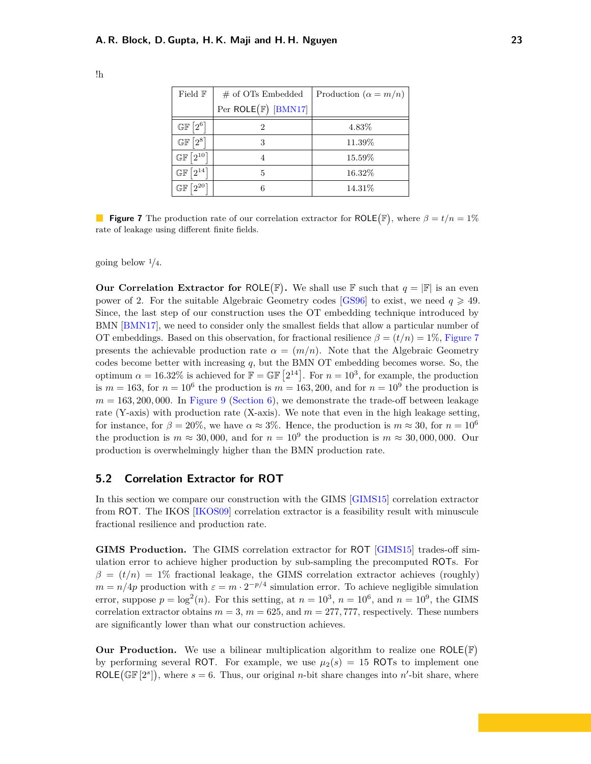| Field F                                          | $#$ of OTs Embedded            | Production ( $\alpha = m/n$ ) |  |  |
|--------------------------------------------------|--------------------------------|-------------------------------|--|--|
|                                                  | Per $ROLE(\mathbb{F})$ [BMN17] |                               |  |  |
| $\mathbb{GF}\left[2^6\right]$                    | 2                              | 4.83%                         |  |  |
| $12^{8}1$<br>$\mathbb{G}\mathbb{F}$              | 3                              | 11.39%                        |  |  |
| $\mathbb{GF}\left[2^{10}\right]$                 |                                | 15.59%                        |  |  |
| $12^{14}$<br>$\mathbb{G}\mathbb{F}$              | 5                              | 16.32%                        |  |  |
| $\Omega$ <sup>20</sup><br>$\mathbb{G}\mathbb{F}$ | 6                              | 14.31\%                       |  |  |

<span id="page-22-2"></span><span id="page-22-1"></span>!h

**Figure 7** The production rate of our correlation extractor for ROLE( $\mathbb{F}$ ), where  $\beta = t/n = 1\%$ rate of leakage using different finite fields.

going below <sup>1</sup>*/*4.

**Our Correlation Extractor for ROLE**( $\mathbb{F}$ ). We shall use  $\mathbb{F}$  such that  $q = |\mathbb{F}|$  is an even power of 2. For the suitable Algebraic Geometry codes [\[GS96\]](#page-26-11) to exist, we need  $q \geqslant 49$ . Since, the last step of our construction uses the OT embedding technique introduced by BMN [\[BMN17\]](#page-25-7), we need to consider only the smallest fields that allow a particular number of OT embeddings. Based on this observation, for fractional resilience  $\beta = (t/n) = 1\%$ , [Figure 7](#page-22-1) presents the achievable production rate  $\alpha = (m/n)$ . Note that the Algebraic Geometry codes become better with increasing *q*, but the BMN OT embedding becomes worse. So, the optimum  $\alpha = 16.32\%$  is achieved for  $\mathbb{F} = \mathbb{GF}\left[2^{14}\right]$ . For  $n = 10^3$ , for example, the production is  $m = 163$ , for  $n = 10^6$  the production is  $m = 163, 200$ , and for  $n = 10^9$  the production is  $m = 163,200,000$ . In [Figure 9](#page-24-0) [\(Section 6\)](#page-23-1), we demonstrate the trade-off between leakage rate (Y-axis) with production rate (X-axis). We note that even in the high leakage setting, for instance, for  $\beta = 20\%$ , we have  $\alpha \approx 3\%$ . Hence, the production is  $m \approx 30$ , for  $n = 10^6$ the production is  $m \approx 30,000$ , and for  $n = 10^9$  the production is  $m \approx 30,000,000$ . Our production is overwhelmingly higher than the BMN production rate.

#### <span id="page-22-0"></span>**5.2 Correlation Extractor for ROT**

In this section we compare our construction with the GIMS [\[GIMS15\]](#page-26-4) correlation extractor from ROT. The IKOS [\[IKOS09\]](#page-26-2) correlation extractor is a feasibility result with minuscule fractional resilience and production rate.

**GIMS Production.** The GIMS correlation extractor for ROT [\[GIMS15\]](#page-26-4) trades-off simulation error to achieve higher production by sub-sampling the precomputed ROTs. For  $\beta = (t/n) = 1\%$  fractional leakage, the GIMS correlation extractor achieves (roughly)  $m = n/4p$  production with  $\varepsilon = m \cdot 2^{-p/4}$  simulation error. To achieve negligible simulation error, suppose  $p = \log^2(n)$ . For this setting, at  $n = 10^3$ ,  $n = 10^6$ , and  $n = 10^9$ , the GIMS correlation extractor obtains  $m = 3$ ,  $m = 625$ , and  $m = 277,777$ , respectively. These numbers are significantly lower than what our construction achieves.

**Our Production.** We use a bilinear multiplication algorithm to realize one  $ROLE(\mathbb{F})$ by performing several ROT. For example, we use  $\mu_2(s) = 15$  ROTs to implement one ROLE( $\mathbb{GF}[2^s]$ ), where  $s = 6$ . Thus, our original *n*-bit share changes into *n'*-bit share, where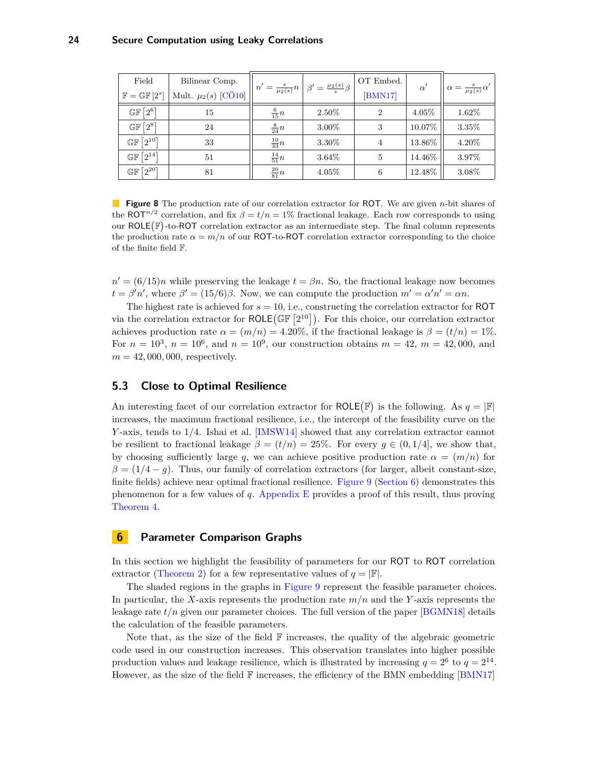<span id="page-23-3"></span><span id="page-23-2"></span>

| Field                            | Bilinear Comp.          |                  | $n' = \frac{s}{\mu_2(s)}n\left[\beta' = \frac{\mu_2(s)}{s}\beta\right]$ | OT Embed.      | $\alpha'$ | $\alpha = \frac{s}{\mu_2(s)} \alpha'$ |
|----------------------------------|-------------------------|------------------|-------------------------------------------------------------------------|----------------|-----------|---------------------------------------|
| $\mathbb{F} = \mathbb{GF}[2^s]$  | Mult. $\mu_2(s)$ [CÖ10] |                  |                                                                         | [BMN17]        |           |                                       |
| $\mathbb{GF}\left[2^6\right]$    | 15                      | $\frac{6}{15}n$  | 2.50%                                                                   | $\overline{2}$ | 4.05%     | 1.62%                                 |
| $\mathbb{GF}\left[2^8\right]$    | 24                      | $\frac{8}{24}n$  | 3.00%                                                                   | 3              | 10.07%    | $3.35\%$                              |
| $\mathbb{GF}\left[2^{10}\right]$ | 33                      | $\frac{10}{33}n$ | 3.30%                                                                   | 4              | 13.86%    | $4.20\%$                              |
| $\mathbb{GF}\left[2^{14}\right]$ | 51                      | $\frac{14}{51}n$ | 3.64%                                                                   | 5              | 14.46%    | $3.97\%$                              |
| $\mathbb{GF}\left[2^{20}\right]$ | 81                      | $\frac{20}{81}n$ | 4.05%                                                                   | 6              | 12.48%    | $3.08\%$                              |

**Figure 8** The production rate of our correlation extractor for ROT. We are given *n*-bit shares of the ROT<sup>n/2</sup> correlation, and fix  $\beta = t/n = 1\%$  fractional leakage. Each row corresponds to using our  $ROLE(\mathbb{F})$ -to-ROT correlation extractor as an intermediate step. The final column represents the production rate  $\alpha = m/n$  of our ROT-to-ROT correlation extractor corresponding to the choice of the finite field F.

 $n' = (6/15)n$  while preserving the leakage  $t = \beta n$ . So, the fractional leakage now becomes  $t = \beta' n'$ , where  $\beta' = (15/6)\beta$ . Now, we can compute the production  $m' = \alpha' n' = \alpha n$ .

The highest rate is achieved for *s* = 10, i.e., constructing the correlation extractor for ROT via the correlation extractor for  $ROLE(\mathbb{GF}[2^{10}])$ . For this choice, our correlation extractor achieves production rate  $\alpha = (m/n) = 4.20\%$ , if the fractional leakage is  $\beta = (t/n) = 1\%$ . For  $n = 10^3$ ,  $n = 10^6$ , and  $n = 10^9$ , our construction obtains  $m = 42$ ,  $m = 42,000$ , and  $m = 42,000,000$ , respectively.

#### <span id="page-23-0"></span>**5.3 Close to Optimal Resilience**

An interesting facet of our correlation extractor for ROLE( $\mathbb{F}$ ) is the following. As  $q = |\mathbb{F}|$ increases, the maximum fractional resilience, i.e., the intercept of the feasibility curve on the *Y* -axis, tends to 1*/*4. Ishai et al. [\[IMSW14\]](#page-26-5) showed that any correlation extractor cannot be resilient to fractional leakage  $\beta = (t/n) = 25\%$ . For every  $g \in (0, 1/4]$ , we show that, by choosing sufficiently large q, we can achieve positive production rate  $\alpha = (m/n)$  for  $\beta = (1/4 - g)$ . Thus, our family of correlation extractors (for larger, albeit constant-size, finite fields) achieve near optimal fractional resilience. [Figure 9](#page-24-0) [\(Section 6\)](#page-23-1) demonstrates this phenomenon for a few values of *q*. [Appendix E](#page-39-0) provides a proof of this result, thus proving [Theorem 4.](#page-5-0)

#### <span id="page-23-1"></span>**6 Parameter Comparison Graphs**

In this section we highlight the feasibility of parameters for our ROT to ROT correlation extractor [\(Theorem 2\)](#page-4-1) for a few representative values of  $q = |\mathbb{F}|$ .

The shaded regions in the graphs in [Figure 9](#page-24-0) represent the feasible parameter choices. In particular, the *X*-axis represents the production rate *m/n* and the *Y* -axis represents the leakage rate  $t/n$  given our parameter choices. The full version of the paper  $[BGMN18]$  details the calculation of the feasible parameters.

Note that, as the size of the field  $\mathbb F$  increases, the quality of the algebraic geometric code used in our construction increases. This observation translates into higher possible production values and leakage resilience, which is illustrated by increasing  $q = 2^6$  to  $q = 2^{14}$ . However, as the size of the field  $\mathbb F$  increases, the efficiency of the BMN embedding [\[BMN17\]](#page-25-7)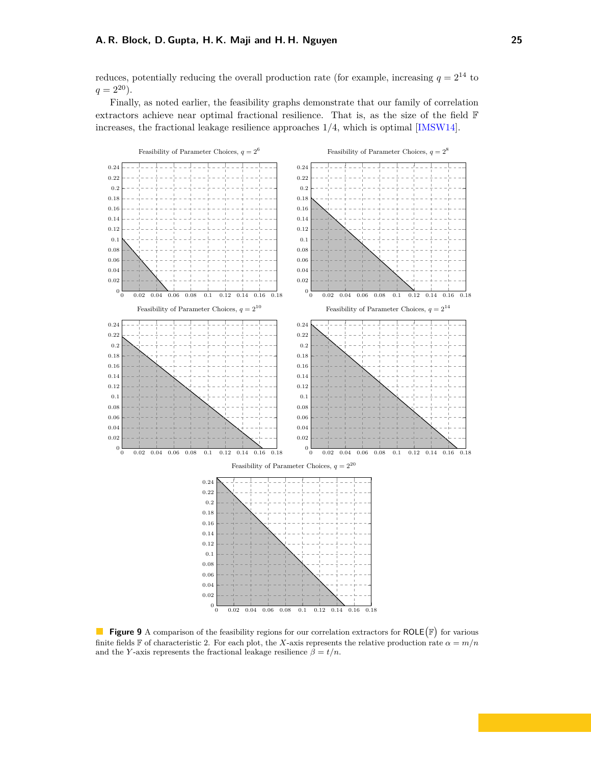#### <span id="page-24-1"></span>**A. R. Block, D. Gupta, H. K. Maji and H. H. Nguyen 25**

reduces, potentially reducing the overall production rate (for example, increasing  $q = 2^{14}$  to  $q = 2^{20}$ .

Finally, as noted earlier, the feasibility graphs demonstrate that our family of correlation extractors achieve near optimal fractional resilience. That is, as the size of the field F increases, the fractional leakage resilience approaches 1*/*4, which is optimal [\[IMSW14\]](#page-26-5).

<span id="page-24-0"></span>

**Figure 9** A comparison of the feasibility regions for our correlation extractors for  $ROLE(\mathbb{F})$  for various finite fields F of characteristic 2. For each plot, the *X*-axis represents the relative production rate  $\alpha = m/n$ and the *Y*-axis represents the fractional leakage resilience  $\hat{\beta} = t/n$ .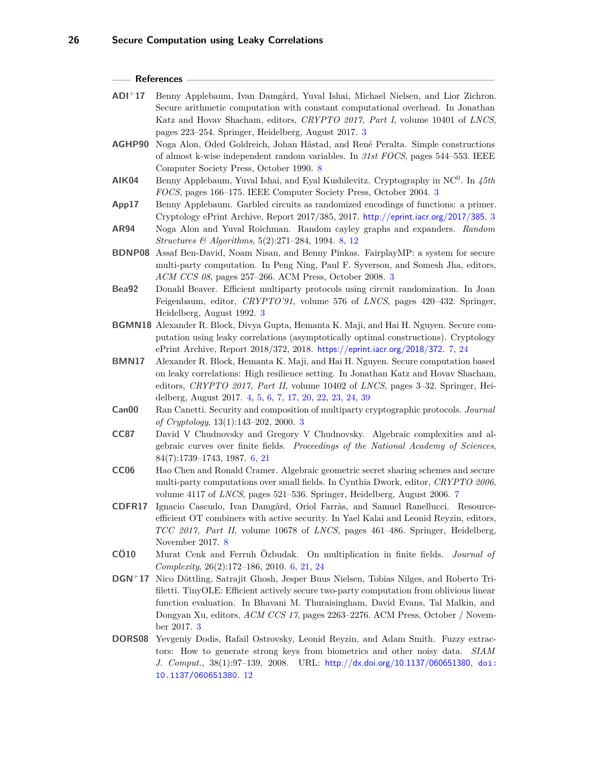#### **References**

- <span id="page-25-0"></span>**ADI**<sup>+</sup>**17** Benny Applebaum, Ivan Damgård, Yuval Ishai, Michael Nielsen, and Lior Zichron. Secure arithmetic computation with constant computational overhead. In Jonathan Katz and Hovav Shacham, editors, *CRYPTO 2017, Part I*, volume 10401 of *LNCS*, pages 223–254. Springer, Heidelberg, August 2017. [3](#page-2-4)
- <span id="page-25-13"></span>**AGHP90** Noga Alon, Oded Goldreich, Johan Håstad, and René Peralta. Simple constructions of almost k-wise independent random variables. In *31st FOCS*, pages 544–553. IEEE Computer Society Press, October 1990. [8](#page-7-2)
- <span id="page-25-6"></span>**AIK04** Benny Applebaum, Yuval Ishai, and Eyal Kushilevitz. Cryptography in NC<sup>0</sup> . In *45th FOCS*, pages 166–175. IEEE Computer Society Press, October 2004. [3](#page-2-4)
- <span id="page-25-5"></span>**App17** Benny Applebaum. Garbled circuits as randomized encodings of functions: a primer. Cryptology ePrint Archive, Report 2017/385, 2017. <http://eprint.iacr.org/2017/385>. [3](#page-2-4)
- <span id="page-25-14"></span>**AR94** Noga Alon and Yuval Roichman. Random cayley graphs and expanders. *Random Structures & Algorithms*, 5(2):271–284, 1994. [8,](#page-7-2) [12](#page-11-4)
- <span id="page-25-2"></span>**BDNP08** Assaf Ben-David, Noam Nisan, and Benny Pinkas. FairplayMP: a system for secure multi-party computation. In Peng Ning, Paul F. Syverson, and Somesh Jha, editors, *ACM CCS 08*, pages 257–266. ACM Press, October 2008. [3](#page-2-4)
- <span id="page-25-1"></span>**Bea92** Donald Beaver. Efficient multiparty protocols using circuit randomization. In Joan Feigenbaum, editor, *CRYPTO'91*, volume 576 of *LNCS*, pages 420–432. Springer, Heidelberg, August 1992. [3](#page-2-4)
- <span id="page-25-10"></span>**BGMN18** Alexander R. Block, Divya Gupta, Hemanta K. Maji, and Hai H. Nguyen. Secure computation using leaky correlations (asymptotically optimal constructions). Cryptology ePrint Archive, Report 2018/372, 2018. <https://eprint.iacr.org/2018/372>. [7,](#page-6-4) [24](#page-23-3)
- <span id="page-25-7"></span>**BMN17** Alexander R. Block, Hemanta K. Maji, and Hai H. Nguyen. Secure computation based on leaky correlations: High resilience setting. In Jonathan Katz and Hovav Shacham, editors, *CRYPTO 2017, Part II*, volume 10402 of *LNCS*, pages 3–32. Springer, Heidelberg, August 2017. [4,](#page-3-3) [5,](#page-4-5) [6,](#page-5-3) [7,](#page-6-4) [17,](#page-16-2) [20,](#page-19-2) [22,](#page-21-4) [23,](#page-22-2) [24,](#page-23-3) [39](#page-38-0)
- <span id="page-25-4"></span>**Can00** Ran Canetti. Security and composition of multiparty cryptographic protocols. *Journal of Cryptology*, 13(1):143–202, 2000. [3](#page-2-4)
- <span id="page-25-9"></span>**CC87** David V Chudnovsky and Gregory V Chudnovsky. Algebraic complexities and algebraic curves over finite fields. *Proceedings of the National Academy of Sciences*, 84(7):1739–1743, 1987. [6,](#page-5-3) [21](#page-20-2)
- <span id="page-25-11"></span>**CC06** Hao Chen and Ronald Cramer. Algebraic geometric secret sharing schemes and secure multi-party computations over small fields. In Cynthia Dwork, editor, *CRYPTO 2006*, volume 4117 of *LNCS*, pages 521–536. Springer, Heidelberg, August 2006. [7](#page-6-4)
- <span id="page-25-12"></span>**CDFR17** Ignacio Cascudo, Ivan Damgård, Oriol Farràs, and Samuel Ranellucci. Resourceefficient OT combiners with active security. In Yael Kalai and Leonid Reyzin, editors, *TCC 2017, Part II*, volume 10678 of *LNCS*, pages 461–486. Springer, Heidelberg, November 2017. [8](#page-7-2)
- <span id="page-25-8"></span>**CÖ10** Murat Cenk and Ferruh Özbudak. On multiplication in finite fields. *Journal of Complexity*, 26(2):172–186, 2010. [6,](#page-5-3) [21,](#page-20-2) [24](#page-23-3)
- <span id="page-25-3"></span>**DGN**<sup>+</sup>**17** Nico Döttling, Satrajit Ghosh, Jesper Buus Nielsen, Tobias Nilges, and Roberto Trifiletti. TinyOLE: Efficient actively secure two-party computation from oblivious linear function evaluation. In Bhavani M. Thuraisingham, David Evans, Tal Malkin, and Dongyan Xu, editors, *ACM CCS 17*, pages 2263–2276. ACM Press, October / November 2017. [3](#page-2-4)
- <span id="page-25-15"></span>**DORS08** Yevgeniy Dodis, Rafail Ostrovsky, Leonid Reyzin, and Adam Smith. Fuzzy extractors: How to generate strong keys from biometrics and other noisy data. *SIAM J. Comput.*, 38(1):97–139, 2008. URL: <http://dx.doi.org/10.1137/060651380>, [doi:](http://dx.doi.org/10.1137/060651380) [10.1137/060651380](http://dx.doi.org/10.1137/060651380). [12](#page-11-4)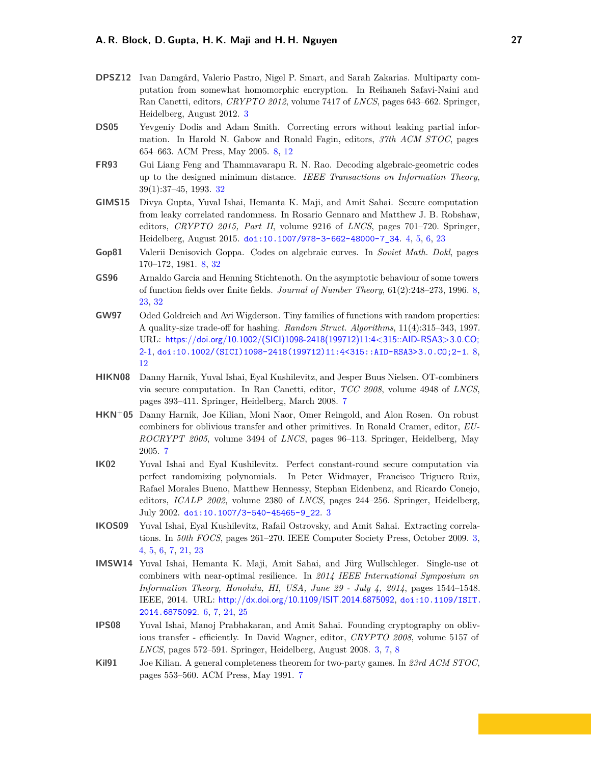- <span id="page-26-0"></span>**DPSZ12** Ivan Damgård, Valerio Pastro, Nigel P. Smart, and Sarah Zakarias. Multiparty computation from somewhat homomorphic encryption. In Reihaneh Safavi-Naini and Ran Canetti, editors, *CRYPTO 2012*, volume 7417 of *LNCS*, pages 643–662. Springer, Heidelberg, August 2012. [3](#page-2-4)
- <span id="page-26-9"></span>**DS05** Yevgeniy Dodis and Adam Smith. Correcting errors without leaking partial information. In Harold N. Gabow and Ronald Fagin, editors, *37th ACM STOC*, pages 654–663. ACM Press, May 2005. [8,](#page-7-2) [12](#page-11-4)
- <span id="page-26-13"></span>**FR93** Gui Liang Feng and Thammavarapu R. N. Rao. Decoding algebraic-geometric codes up to the designed minimum distance. *IEEE Transactions on Information Theory*, 39(1):37–45, 1993. [32](#page-31-2)
- <span id="page-26-4"></span>**GIMS15** Divya Gupta, Yuval Ishai, Hemanta K. Maji, and Amit Sahai. Secure computation from leaky correlated randomness. In Rosario Gennaro and Matthew J. B. Robshaw, editors, *CRYPTO 2015, Part II*, volume 9216 of *LNCS*, pages 701–720. Springer, Heidelberg, August 2015. [doi:10.1007/978-3-662-48000-7\\_34](http://dx.doi.org/10.1007/978-3-662-48000-7_34). [4,](#page-3-3) [5,](#page-4-5) [6,](#page-5-3) [23](#page-22-2)
- <span id="page-26-12"></span>**Gop81** Valerii Denisovich Goppa. Codes on algebraic curves. In *Soviet Math. Dokl*, pages 170–172, 1981. [8,](#page-7-2) [32](#page-31-2)
- <span id="page-26-11"></span>**GS96** Arnaldo Garcia and Henning Stichtenoth. On the asymptotic behaviour of some towers of function fields over finite fields. *Journal of Number Theory*, 61(2):248–273, 1996. [8,](#page-7-2) [23,](#page-22-2) [32](#page-31-2)
- <span id="page-26-10"></span>**GW97** Oded Goldreich and Avi Wigderson. Tiny families of functions with random properties: A quality-size trade-off for hashing. *Random Struct. Algorithms*, 11(4):315–343, 1997. URL: [https://doi.org/10.1002/\(SICI\)1098-2418\(199712\)11:4<315::AID-RSA3>3.0.CO;](https://doi.org/10.1002/(SICI)1098-2418(199712)11:4<315::AID-RSA3>3.0.CO;2-1) [2-1](https://doi.org/10.1002/(SICI)1098-2418(199712)11:4<315::AID-RSA3>3.0.CO;2-1), [doi:10.1002/\(SICI\)1098-2418\(199712\)11:4<315::AID-RSA3>3.0.CO;2-1](http://dx.doi.org/10.1002/(SICI)1098-2418(199712)11:4<315::AID-RSA3>3.0.CO;2-1). [8,](#page-7-2) [12](#page-11-4)
- <span id="page-26-8"></span>**HIKN08** Danny Harnik, Yuval Ishai, Eyal Kushilevitz, and Jesper Buus Nielsen. OT-combiners via secure computation. In Ran Canetti, editor, *TCC 2008*, volume 4948 of *LNCS*, pages 393–411. Springer, Heidelberg, March 2008. [7](#page-6-4)
- <span id="page-26-7"></span>**HKN**<sup>+</sup>**05** Danny Harnik, Joe Kilian, Moni Naor, Omer Reingold, and Alon Rosen. On robust combiners for oblivious transfer and other primitives. In Ronald Cramer, editor, *EU-ROCRYPT 2005*, volume 3494 of *LNCS*, pages 96–113. Springer, Heidelberg, May 2005. [7](#page-6-4)
- <span id="page-26-3"></span>**IK02** Yuval Ishai and Eyal Kushilevitz. Perfect constant-round secure computation via perfect randomizing polynomials. In Peter Widmayer, Francisco Triguero Ruiz, Rafael Morales Bueno, Matthew Hennessy, Stephan Eidenbenz, and Ricardo Conejo, editors, *ICALP 2002*, volume 2380 of *LNCS*, pages 244–256. Springer, Heidelberg, July 2002. [doi:10.1007/3-540-45465-9\\_22](http://dx.doi.org/10.1007/3-540-45465-9_22). [3](#page-2-4)
- <span id="page-26-2"></span>**IKOS09** Yuval Ishai, Eyal Kushilevitz, Rafail Ostrovsky, and Amit Sahai. Extracting correlations. In *50th FOCS*, pages 261–270. IEEE Computer Society Press, October 2009. [3,](#page-2-4) [4,](#page-3-3) [5,](#page-4-5) [6,](#page-5-3) [7,](#page-6-4) [21,](#page-20-2) [23](#page-22-2)
- <span id="page-26-5"></span>**IMSW14** Yuval Ishai, Hemanta K. Maji, Amit Sahai, and Jürg Wullschleger. Single-use ot combiners with near-optimal resilience. In *2014 IEEE International Symposium on Information Theory, Honolulu, HI, USA, June 29 - July 4, 2014*, pages 1544–1548. IEEE, 2014. URL: <http://dx.doi.org/10.1109/ISIT.2014.6875092>, [doi:10.1109/ISIT.](http://dx.doi.org/10.1109/ISIT.2014.6875092) [2014.6875092](http://dx.doi.org/10.1109/ISIT.2014.6875092). [6,](#page-5-3) [7,](#page-6-4) [24,](#page-23-3) [25](#page-24-1)
- <span id="page-26-1"></span>**IPS08** Yuval Ishai, Manoj Prabhakaran, and Amit Sahai. Founding cryptography on oblivious transfer - efficiently. In David Wagner, editor, *CRYPTO 2008*, volume 5157 of *LNCS*, pages 572–591. Springer, Heidelberg, August 2008. [3,](#page-2-4) [7,](#page-6-4) [8](#page-7-2)
- <span id="page-26-6"></span>**Kil91** Joe Kilian. A general completeness theorem for two-party games. In *23rd ACM STOC*, pages 553–560. ACM Press, May 1991. [7](#page-6-4)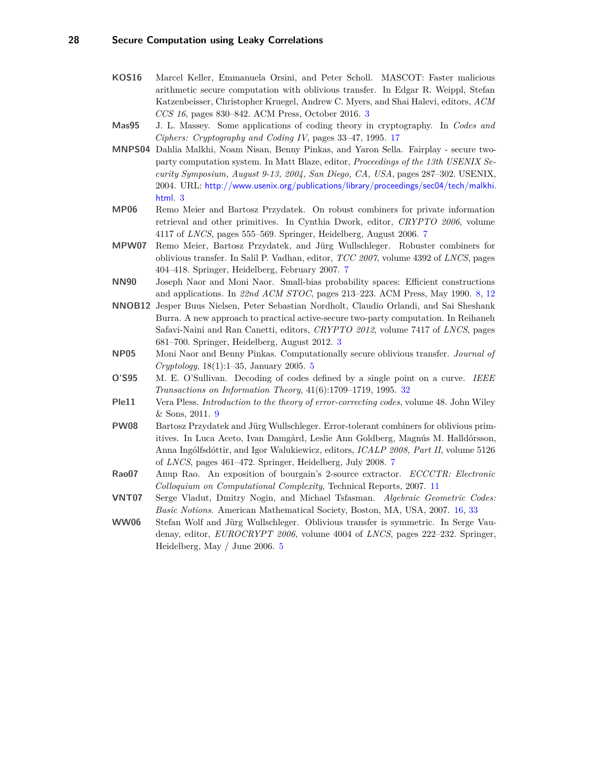- <span id="page-27-0"></span>**KOS16** Marcel Keller, Emmanuela Orsini, and Peter Scholl. MASCOT: Faster malicious arithmetic secure computation with oblivious transfer. In Edgar R. Weippl, Stefan Katzenbeisser, Christopher Kruegel, Andrew C. Myers, and Shai Halevi, editors, *ACM CCS 16*, pages 830–842. ACM Press, October 2016. [3](#page-2-4)
- <span id="page-27-12"></span>**Mas95** J. L. Massey. Some applications of coding theory in cryptography. In *Codes and Ciphers: Cryptography and Coding IV*, pages 33–47, 1995. [17](#page-16-2)
- <span id="page-27-1"></span>**MNPS04** Dahlia Malkhi, Noam Nisan, Benny Pinkas, and Yaron Sella. Fairplay - secure twoparty computation system. In Matt Blaze, editor, *Proceedings of the 13th USENIX Security Symposium, August 9-13, 2004, San Diego, CA, USA*, pages 287–302. USENIX, 2004. URL: [http://www.usenix.org/publications/library/proceedings/sec04/tech/malkhi.](http://www.usenix.org/publications/library/proceedings/sec04/tech/malkhi.html) [html](http://www.usenix.org/publications/library/proceedings/sec04/tech/malkhi.html). [3](#page-2-4)
- <span id="page-27-5"></span>**MP06** Remo Meier and Bartosz Przydatek. On robust combiners for private information retrieval and other primitives. In Cynthia Dwork, editor, *CRYPTO 2006*, volume 4117 of *LNCS*, pages 555–569. Springer, Heidelberg, August 2006. [7](#page-6-4)
- <span id="page-27-6"></span>**MPW07** Remo Meier, Bartosz Przydatek, and Jürg Wullschleger. Robuster combiners for oblivious transfer. In Salil P. Vadhan, editor, *TCC 2007*, volume 4392 of *LNCS*, pages 404–418. Springer, Heidelberg, February 2007. [7](#page-6-4)
- <span id="page-27-8"></span>**NN90** Joseph Naor and Moni Naor. Small-bias probability spaces: Efficient constructions and applications. In *22nd ACM STOC*, pages 213–223. ACM Press, May 1990. [8,](#page-7-2) [12](#page-11-4)
- <span id="page-27-2"></span>**NNOB12** Jesper Buus Nielsen, Peter Sebastian Nordholt, Claudio Orlandi, and Sai Sheshank Burra. A new approach to practical active-secure two-party computation. In Reihaneh Safavi-Naini and Ran Canetti, editors, *CRYPTO 2012*, volume 7417 of *LNCS*, pages 681–700. Springer, Heidelberg, August 2012. [3](#page-2-4)
- <span id="page-27-3"></span>**NP05** Moni Naor and Benny Pinkas. Computationally secure oblivious transfer. *Journal of Cryptology*, 18(1):1–35, January 2005. [5](#page-4-5)
- <span id="page-27-13"></span>**O'S95** M. E. O'Sullivan. Decoding of codes defined by a single point on a curve. *IEEE Transactions on Information Theory*, 41(6):1709–1719, 1995. [32](#page-31-2)
- <span id="page-27-9"></span>**Ple11** Vera Pless. *Introduction to the theory of error-correcting codes*, volume 48. John Wiley & Sons, 2011. [9](#page-8-2)
- <span id="page-27-7"></span>**PW08** Bartosz Przydatek and Jürg Wullschleger. Error-tolerant combiners for oblivious primitives. In Luca Aceto, Ivan Damgård, Leslie Ann Goldberg, Magnús M. Halldórsson, Anna Ingólfsdóttir, and Igor Walukiewicz, editors, *ICALP 2008, Part II*, volume 5126 of *LNCS*, pages 461–472. Springer, Heidelberg, July 2008. [7](#page-6-4)
- <span id="page-27-10"></span>**Rao07** Anup Rao. An exposition of bourgain's 2-source extractor. *ECCCTR: Electronic Colloquium on Computational Complexity*, Technical Reports, 2007. [11](#page-10-1)
- <span id="page-27-11"></span>**VNT07** Serge Vladut, Dmitry Nogin, and Michael Tsfasman. *Algebraic Geometric Codes: Basic Notions*. American Mathematical Society, Boston, MA, USA, 2007. [16,](#page-15-1) [33](#page-32-0)
- <span id="page-27-4"></span>**WW06** Stefan Wolf and Jürg Wullschleger. Oblivious transfer is symmetric. In Serge Vaudenay, editor, *EUROCRYPT 2006*, volume 4004 of *LNCS*, pages 222–232. Springer, Heidelberg, May / June 2006. [5](#page-4-5)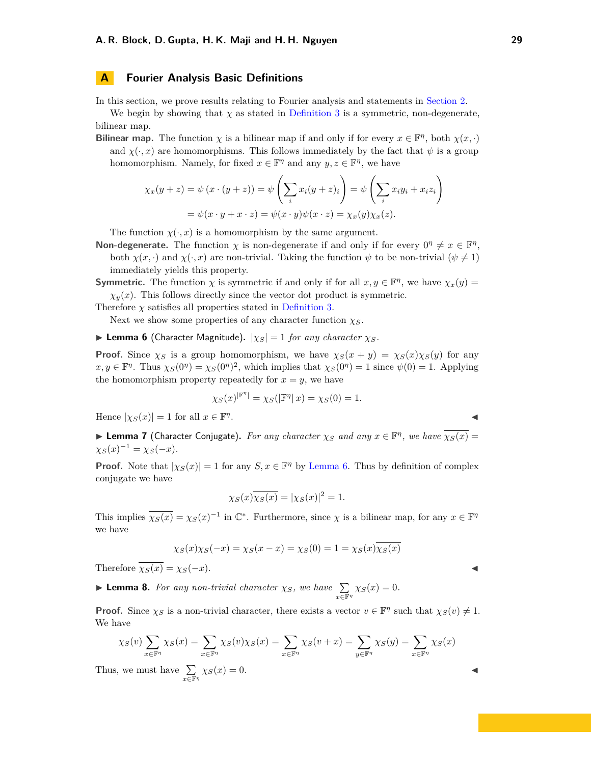#### <span id="page-28-0"></span>**A Fourier Analysis Basic Definitions**

In this section, we prove results relating to Fourier analysis and statements in [Section 2.](#page-9-0)

We begin by showing that  $\chi$  as stated in [Definition 3](#page-10-2) is a symmetric, non-degenerate, bilinear map.

**Bilinear map.** The function  $\chi$  is a bilinear map if and only if for every  $x \in \mathbb{F}^{\eta}$ , both  $\chi(x, \cdot)$ and  $\chi(\cdot,x)$  are homomorphisms. This follows immediately by the fact that  $\psi$  is a group homomorphism. Namely, for fixed  $x \in \mathbb{F}^{\eta}$  and any  $y, z \in \mathbb{F}^{\eta}$ , we have

$$
\chi_x(y+z) = \psi(x \cdot (y+z)) = \psi\left(\sum_i x_i(y+z)_i\right) = \psi\left(\sum_i x_i y_i + x_i z_i\right)
$$

$$
= \psi(x \cdot y + x \cdot z) = \psi(x \cdot y)\psi(x \cdot z) = \chi_x(y)\chi_x(z).
$$

The function  $\chi(\cdot, x)$  is a homomorphism by the same argument.

**Non-degenerate.** The function  $\chi$  is non-degenerate if and only if for every  $0^{\eta} \neq x \in \mathbb{F}^{\eta}$ , both  $\chi(x, \cdot)$  and  $\chi(\cdot, x)$  are non-trivial. Taking the function  $\psi$  to be non-trivial  $(\psi \neq 1)$ immediately yields this property.

**Symmetric.** The function  $\chi$  is symmetric if and only if for all  $x, y \in \mathbb{F}^n$ , we have  $\chi_x(y) =$  $\chi_y(x)$ . This follows directly since the vector dot product is symmetric.

Therefore  $\chi$  satisfies all properties stated in [Definition 3.](#page-10-2)

Next we show some properties of any character function *χS*.

<span id="page-28-1"></span>**I** Lemma 6 (Character Magnitude).  $|\chi_S| = 1$  *for any character*  $\chi_S$ *.* 

**Proof.** Since  $\chi$ *S* is a group homomorphism, we have  $\chi$ <sup>*S*</sup>(*x* + *y*) =  $\chi$ <sup>*S*</sup>(*x*)*/<sub>S</sub>*(*y*) for any  $x, y \in \mathbb{F}^{\eta}$ . Thus  $\chi_S(0^{\eta}) = \chi_S(0^{\eta})^2$ , which implies that  $\chi_S(0^{\eta}) = 1$  since  $\psi(0) = 1$ . Applying the homomorphism property repeatedly for  $x = y$ , we have

$$
\chi_S(x)^{|\mathbb{F}^\eta|} = \chi_S(|\mathbb{F}^\eta|x) = \chi_S(0) = 1.
$$

Hence  $|\chi_S(x)| = 1$  for all  $x \in \mathbb{F}^n$ . J

**I Lemma 7** (Character Conjugate). For any character  $\chi_S$  and any  $x \in \mathbb{F}^{\eta}$ , we have  $\overline{\chi_S(x)}$  =  $\chi_S(x)^{-1} = \chi_S(-x)$ *.* 

**Proof.** Note that  $|\chi_S(x)| = 1$  for any  $S, x \in \mathbb{F}^n$  by [Lemma 6.](#page-28-1) Thus by definition of complex conjugate we have

$$
\chi_S(x)\overline{\chi_S(x)} = |\chi_S(x)|^2 = 1.
$$

This implies  $\overline{\chi_S(x)} = \chi_S(x)^{-1}$  in  $\mathbb{C}^*$ . Furthermore, since  $\chi$  is a bilinear map, for any  $x \in \mathbb{F}^n$ we have

$$
\chi_S(x)\chi_S(-x) = \chi_S(x-x) = \chi_S(0) = 1 = \chi_S(x)\overline{\chi_S(x)}
$$

Therefore  $\overline{\chi_S(x)} = \chi_S(-x)$ .

<span id="page-28-2"></span>► **Lemma 8.** *For any non-trivial character*  $\chi_S$ *, we have*  $\sum_{x \in \mathbb{F}^n} \chi_S(x) = 0$ *.* 

**Proof.** Since  $\chi_S$  is a non-trivial character, there exists a vector  $v \in \mathbb{F}^{\eta}$  such that  $\chi_S(v) \neq 1$ . We have

$$
\chi_S(v) \sum_{x \in \mathbb{F}^{\eta}} \chi_S(x) = \sum_{x \in \mathbb{F}^{\eta}} \chi_S(v) \chi_S(x) = \sum_{x \in \mathbb{F}^{\eta}} \chi_S(v+x) = \sum_{y \in \mathbb{F}^{\eta}} \chi_S(y) = \sum_{x \in \mathbb{F}^{\eta}} \chi_S(x)
$$

Thus, we must have  $\Sigma$  $\sum_{x \in \mathbb{F}^n} \chi_S(x) = 0.$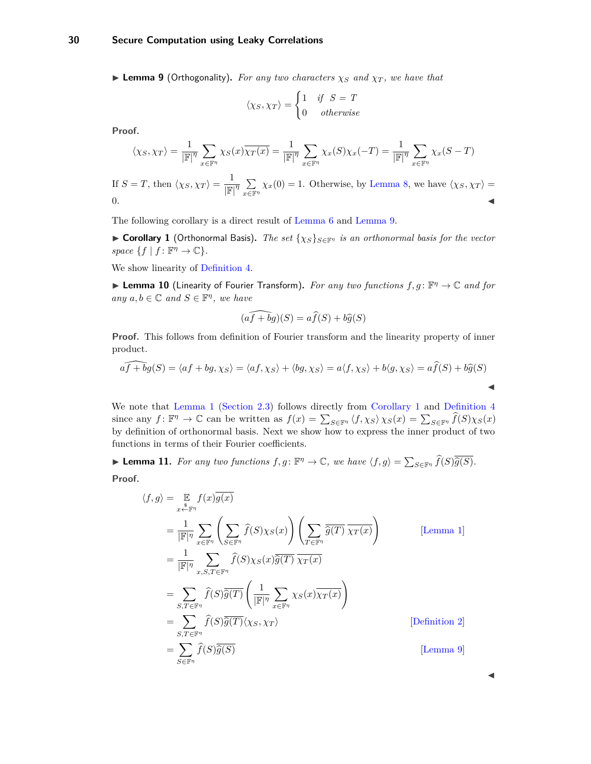#### **30 Secure Computation using Leaky Correlations**

<span id="page-29-0"></span>**I Lemma 9** (Orthogonality). For any two characters  $\chi_S$  and  $\chi_T$ , we have that

$$
\langle \chi_S, \chi_T \rangle = \begin{cases} 1 & \text{if } S = T \\ 0 & otherwise \end{cases}
$$

**Proof.**

$$
\langle \chi_S, \chi_T \rangle = \frac{1}{|\mathbb{F}|^{\eta}} \sum_{x \in \mathbb{F}^{\eta}} \chi_S(x) \overline{\chi_T(x)} = \frac{1}{|\mathbb{F}|^{\eta}} \sum_{x \in \mathbb{F}^{\eta}} \chi_x(S) \chi_x(-T) = \frac{1}{|\mathbb{F}|^{\eta}} \sum_{x \in \mathbb{F}^{\eta}} \chi_x(S - T)
$$

If  $S = T$ , then  $\langle \chi_S, \chi_T \rangle = \frac{1}{\ln 2}$  $\frac{1}{\left|\mathbb{F}\right|^{\eta}}\sum_{x\in\mathbb{F}}$  $\sum_{x \in \mathbb{F}^n} \chi_x(0) = 1$ . Otherwise, by [Lemma 8,](#page-28-2) we have  $\langle \chi_S, \chi_T \rangle =$  $\blacksquare$ 

The following corollary is a direct result of [Lemma 6](#page-28-1) and [Lemma 9.](#page-29-0)

<span id="page-29-1"></span>**► Corollary 1** (Orthonormal Basis). *The set*  $\{ \chi_S \}_{S \in \mathbb{F}^n}$  *is an orthonormal basis for the vector*  $space \{f | f : \mathbb{F}^{\eta} \to \mathbb{C}\}.$ 

We show linearity of [Definition 4.](#page-10-3)

**► Lemma 10** (Linearity of Fourier Transform). For any two functions  $f, g: \mathbb{F}^n \to \mathbb{C}$  and for  $any \ a,b \in \mathbb{C} \ and \ S \in \mathbb{F}^n, \ we \ have$ 

$$
\widehat{(af+bg)}(S) = a\widehat{f}(S) + b\widehat{g}(S)
$$

**Proof.** This follows from definition of Fourier transform and the linearity property of inner product.

$$
\widehat{af + bg}(S) = \langle af + bg, \chi_S \rangle = \langle af, \chi_S \rangle + \langle bg, \chi_S \rangle = a \langle f, \chi_S \rangle + b \langle g, \chi_S \rangle = a \widehat{f}(S) + b \widehat{g}(S)
$$

We note that [Lemma 1](#page-10-4) [\(Section 2.3\)](#page-10-0) follows directly from [Corollary 1](#page-29-1) and [Definition 4](#page-10-3)  $\sum_{S \in \mathbb{F}^n} \langle f, \chi_S \rangle \chi_S(x) = \sum_{S \in \mathbb{F}^n} \widehat{f}(S) \chi_S(x)$ <br>  $\sum_{S \in \mathbb{F}^n} \widehat{f}(S) \chi_S(x)$ by definition of orthonormal basis. Next we show how to express the inner product of two functions in terms of their Fourier coefficients.

► **Lemma 11.** *For any two functions*  $f, g: \mathbb{F}^{\eta} \to \mathbb{C}$ *, we have*  $\langle f, g \rangle = \sum_{S \in \mathbb{F}^{\eta}} \widehat{f}(S) \overline{\widehat{g}(S)}$ *.* **Proof.**

$$
\langle f, g \rangle = \mathop{\mathbb{E}}_{x \stackrel{s}{\leftarrow} \mathbb{F}^{\eta}} f(x) \overline{g(x)}
$$
  
\n
$$
= \frac{1}{|\mathbb{F}|^{\eta}} \sum_{x \in \mathbb{F}^{\eta}} \left( \sum_{S \in \mathbb{F}^{\eta}} \widehat{f}(S) \chi_{S}(x) \right) \left( \sum_{T \in \mathbb{F}^{\eta}} \overline{\widehat{g}(T)} \overline{\chi_{T}(x)} \right)
$$
 [Lemma 1]  
\n
$$
= \frac{1}{|\mathbb{F}|^{\eta}} \sum_{x, S, T \in \mathbb{F}^{\eta}} \widehat{f}(S) \chi_{S}(x) \overline{\widehat{g}(T)} \overline{\chi_{T}(x)}
$$
  
\n
$$
= \sum_{S, T \in \mathbb{F}^{\eta}} \widehat{f}(S) \overline{\widehat{g}(T)} \left( \frac{1}{|\mathbb{F}|^{\eta}} \sum_{x \in \mathbb{F}^{\eta}} \chi_{S}(x) \overline{\chi_{T}(x)} \right)
$$
  
\n
$$
= \sum_{S, T \in \mathbb{F}^{\eta}} \widehat{f}(S) \overline{\widehat{g}(T)} \langle \chi_{S}, \chi_{T} \rangle
$$
 [Definition 2]  
\n
$$
= \sum_{S \in \mathbb{F}^{\eta}} \widehat{f}(S) \overline{\widehat{g}(S)}
$$
 [Lemma 9]

 $\blacktriangleleft$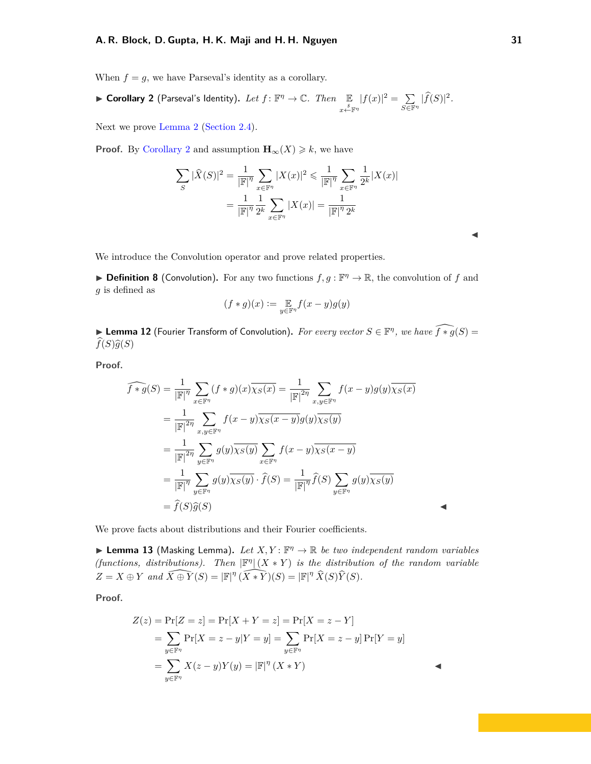#### **A. R. Block, D. Gupta, H. K. Maji and H. H. Nguyen 31**

When  $f = g$ , we have Parseval's identity as a corollary.

<span id="page-30-0"></span>**I Corollary 2** (Parseval's Identity). Let  $f: \mathbb{F}^{\eta} \to \mathbb{C}$ . Then  $\mathbb{E}$ *x \$*←F*<sup>η</sup>*  $|f(x)|^2 = \sum$  $\sum_{S\in\mathbb{F}^{\eta}}|\widehat{f}(S)|^2.$ 

Next we prove [Lemma 2](#page-11-5) [\(Section 2.4\)](#page-11-0).

**Proof.** By [Corollary 2](#page-30-0) and assumption  $\mathbf{H}_{\infty}(X) \geq k$ , we have

$$
\sum_{S} |\widehat{X}(S)|^2 = \frac{1}{|\mathbb{F}|^{\eta}} \sum_{x \in \mathbb{F}^{\eta}} |X(x)|^2 \leq \frac{1}{|\mathbb{F}|^{\eta}} \sum_{x \in \mathbb{F}^{\eta}} \frac{1}{2^k} |X(x)|
$$

$$
= \frac{1}{|\mathbb{F}|^{\eta}} \frac{1}{2^k} \sum_{x \in \mathbb{F}^{\eta}} |X(x)| = \frac{1}{|\mathbb{F}|^{\eta} 2^k}
$$

We introduce the Convolution operator and prove related properties.

**Definition 8** (Convolution). For any two functions  $f, g : \mathbb{F}^{\eta} \to \mathbb{R}$ , the convolution of f and *g* is defined as

$$
(f*g)(x):=\mathop{\mathbb{E}}\limits_{y\in\mathbb{F}^n}f(x-y)g(y)
$$

► Lemma 12 (Fourier Transform of Convolution). *For every vector*  $S \in \mathbb{F}^n$ , we have  $\widehat{f*g}(S) =$  $\widehat{f}(S)\widehat{g}(S)$ 

**Proof.**

$$
\widehat{f * g}(S) = \frac{1}{|\mathbb{F}|^{\eta}} \sum_{x \in \mathbb{F}^{\eta}} (f * g)(x) \overline{\chi_{S}(x)} = \frac{1}{|\mathbb{F}|^{2\eta}} \sum_{x,y \in \mathbb{F}^{\eta}} f(x - y)g(y) \overline{\chi_{S}(x)}
$$
\n
$$
= \frac{1}{|\mathbb{F}|^{2\eta}} \sum_{x,y \in \mathbb{F}^{\eta}} f(x - y) \overline{\chi_{S}(x - y)} g(y) \overline{\chi_{S}(y)}
$$
\n
$$
= \frac{1}{|\mathbb{F}|^{2\eta}} \sum_{y \in \mathbb{F}^{\eta}} g(y) \overline{\chi_{S}(y)} \sum_{x \in \mathbb{F}^{\eta}} f(x - y) \overline{\chi_{S}(x - y)}
$$
\n
$$
= \frac{1}{|\mathbb{F}|^{\eta}} \sum_{y \in \mathbb{F}^{\eta}} g(y) \overline{\chi_{S}(y)} \cdot \widehat{f}(S) = \frac{1}{|\mathbb{F}|^{\eta}} \widehat{f}(S) \sum_{y \in \mathbb{F}^{\eta}} g(y) \overline{\chi_{S}(y)}
$$
\n
$$
= \widehat{f}(S)\widehat{g}(S)
$$

We prove facts about distributions and their Fourier coefficients.

<span id="page-30-1"></span>**Example 13** (Masking Lemma). Let  $X, Y: \mathbb{F}^n \to \mathbb{R}$  be two independent random variables *(functions, distributions). Then*  $\mathbb{F}^{\eta}$   $(X * Y)$  *is the distribution of the random variable*  $Z = X \oplus Y$  *and*  $\widehat{X \oplus Y}(S) = |\mathbb{F}|^{\eta} (\widehat{X * Y})(S) = |\mathbb{F}|^{\eta} \widehat{X}(S)\widehat{Y}(S)$ .

**Proof.**

$$
Z(z) = \Pr[Z = z] = \Pr[X + Y = z] = \Pr[X = z - Y]
$$
  
=  $\sum_{y \in \mathbb{F}^n} \Pr[X = z - y | Y = y] = \sum_{y \in \mathbb{F}^n} \Pr[X = z - y] \Pr[Y = y]$   
=  $\sum_{y \in \mathbb{F}^n} X(z - y)Y(y) = |\mathbb{F}|^n (X * Y)$ 

 $\blacktriangleleft$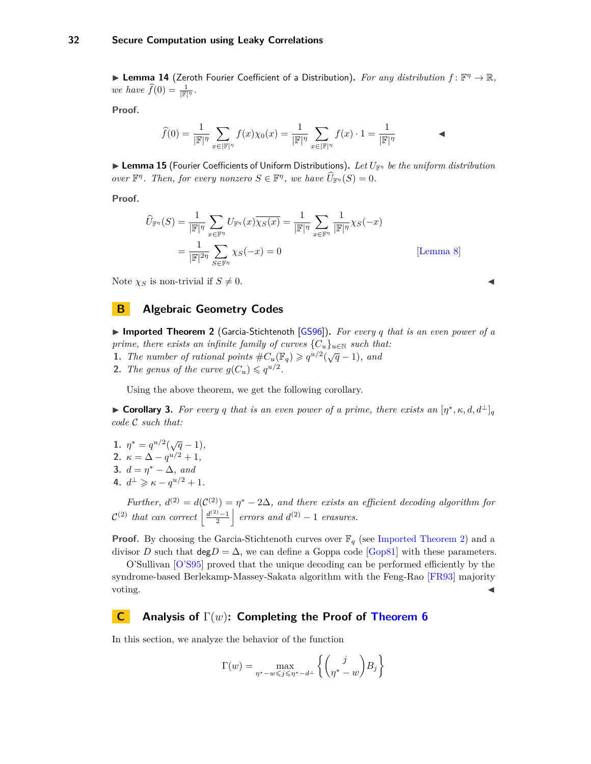#### <span id="page-31-2"></span>**32 Secure Computation using Leaky Correlations**

<span id="page-31-4"></span>**Example 14** (Zeroth Fourier Coefficient of a Distribution). For any distribution  $f: \mathbb{F}^n \to \mathbb{R}$ , *we have*  $\widehat{f}(0) = \frac{1}{|\mathbb{F}|^{\eta}}$ .

**Proof.**

$$
\widehat{f}(0) = \frac{1}{|\mathbb{F}|^{\eta}} \sum_{x \in |\mathbb{F}|^{\eta}} f(x) \chi_0(x) = \frac{1}{|\mathbb{F}|^{\eta}} \sum_{x \in |\mathbb{F}|^{\eta}} f(x) \cdot 1 = \frac{1}{|\mathbb{F}|^{\eta}}
$$

<span id="page-31-5"></span>I **Lemma 15** (Fourier Coefficients of Uniform Distributions)**.** *Let U*F*<sup>η</sup> be the uniform distribution over*  $\mathbb{F}^n$ *. Then, for every nonzero*  $S \in \mathbb{F}^n$ *, we have*  $\widehat{U}_{\mathbb{F}^n}(S) = 0$ *.* 

**Proof.**

$$
\widehat{U}_{\mathbb{F}^{\eta}}(S) = \frac{1}{|\mathbb{F}|^{\eta}} \sum_{x \in \mathbb{F}^{\eta}} U_{\mathbb{F}^{\eta}}(x) \overline{\chi_{S}(x)} = \frac{1}{|\mathbb{F}|^{\eta}} \sum_{x \in \mathbb{F}^{\eta}} \frac{1}{|\mathbb{F}|^{\eta}} \chi_{S}(-x)
$$
\n
$$
= \frac{1}{|\mathbb{F}|^{2\eta}} \sum_{S \in \mathbb{F}^{\eta}} \chi_{S}(-x) = 0
$$
\n[Lemma 8]

Note  $\chi_S$  is non-trivial if  $S \neq 0$ .

#### <span id="page-31-0"></span>**B Algebraic Geometry Codes**

<span id="page-31-3"></span>▶ Imported Theorem 2 (Garcia-Stichtenoth [\[GS96\]](#page-26-11)). *For every q that is an even power of a prime, there exists an infinite family of curves*  ${C_u}_{u \in \mathbb{N}}$  *such that:* 

- **1.** *The number of rational points*  $\#C_u(\mathbb{F}_q) \geq q^{u/2}(\sqrt{q}-1)$ *, and*
- **2.** *The genus of the curve*  $g(C_u) \leqslant q^{u/2}$ .

Using the above theorem, we get the following corollary.

► **Corollary 3.** For every q that is an even power of a prime, there exists an  $[\eta^*, \kappa, d, d^{\perp}]_q$ *code* C *such that:*

- **1.**  $\eta^* = q^{u/2}(\sqrt{q}-1),$ **2.**  $\kappa = \Delta - q^{u/2} + 1$ ,
- **3.**  $d = \eta^* \Delta$ *, and*
- **4.**  $d^{\perp} \geqslant \kappa q^{u/2} + 1$ .

*Further,*  $d^{(2)} = d(C^{(2)}) = \eta^* - 2\Delta$ , and there exists an efficient decoding algorithm for  $\mathcal{C}^{(2)}$  *that can correct*  $\left| \frac{d^{(2)}-1}{2} \right|$  *errors and*  $d^{(2)}-1$  *erasures.* 

**Proof.** By choosing the Garcia-Stichtenoth curves over  $\mathbb{F}_q$  (see [Imported Theorem 2\)](#page-31-3) and a divisor *D* such that  $\text{deg}D = \Delta$ , we can define a Goppa code [\[Gop81\]](#page-26-12) with these parameters.

O'Sullivan [\[O'S95\]](#page-27-13) proved that the unique decoding can be performed efficiently by the syndrome-based Berlekamp-Massey-Sakata algorithm with the Feng-Rao [\[FR93\]](#page-26-13) majority voting.  $\triangleleft$ 

#### <span id="page-31-1"></span>**C Analysis of** Γ(*w*)**: Completing the Proof of [Theorem 6](#page-12-3)**

In this section, we analyze the behavior of the function

$$
\Gamma(w) = \max_{\eta^* - w \leqslant j \leqslant \eta^* - d^\perp} \left\{ \binom{j}{\eta^* - w} B_j \right\}
$$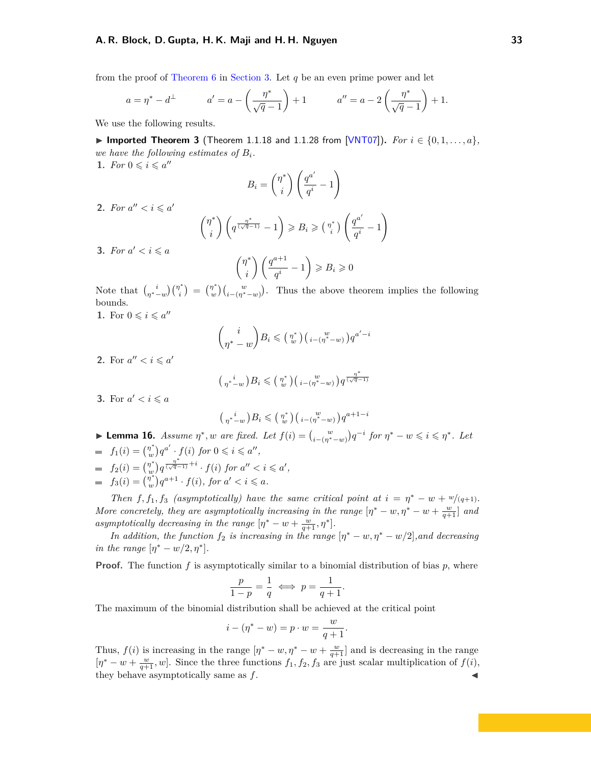<span id="page-32-0"></span>from the proof of [Theorem 6](#page-12-3) in [Section 3.](#page-12-1) Let *q* be an even prime power and let

$$
a = \eta^* - d^\perp
$$
  $a' = a - \left(\frac{\eta^*}{\sqrt{q} - 1}\right) + 1$   $a'' = a - 2\left(\frac{\eta^*}{\sqrt{q} - 1}\right) + 1.$ 

We use the following results.

▶ Imported Theorem 3 (Theorem 1.1.18 and 1.1.28 from [\[VNT07\]](#page-27-11)). *For*  $i \in \{0, 1, \ldots, a\}$ , *we have the following estimates of Bi.*

**1.** *For*  $0 \leq i \leq a''$ 

$$
B_i = \binom{\eta^*}{i} \left( \frac{q^{a'}}{q^i} - 1 \right)
$$

**2.** *For*  $a'' < i \leqslant a'$ 

$$
\binom{\eta^*}{i} \left( q^{\frac{\eta^*}{(\sqrt{q}-1)}} - 1 \right) \geq B_i \geq \binom{\eta^*}{i} \left( \frac{q^{a'}}{q^i} - 1 \right)
$$

**3.** *For*  $a' < i \leq a$ 

$$
\binom{\eta^*}{i} \left( \frac{q^{a+1}}{q^i} - 1 \right) \geq B_i \geq 0
$$

Note that  $\binom{i}{\eta^*-w}\binom{\eta^*}{i}$  $\binom{n^*}{i}$  =  $\binom{n^*}{w}$  $\binom{n^*}{w}\binom{w}{i-(n^*-w)}$ . Thus the above theorem implies the following bounds. **1.** For  $0 \leq i \leq a''$ 

$$
\binom{i}{\eta^* - w} B_i \leqslant \binom{\eta^*}{w} \binom{w}{i - (\eta^* - w)} q^{a' - i}
$$

**2.** For  $a'' < i \leqslant a'$ 

$$
\left(\begin{smallmatrix}i&\\ \eta^*-w\end{smallmatrix}\right)B_i\leqslant \left(\begin{smallmatrix}\eta^*\\ w\end{smallmatrix}\right)\left(\begin{smallmatrix}w&\\i-(\eta^*-w)\end{smallmatrix}\right)q^{\frac{\eta^*}{(\sqrt{q}-1)}}
$$

**3.** For  $a' < i \leqslant a$ 

$$
\left(\begin{smallmatrix}i&\\ \eta^*-w\end{smallmatrix}\right)B_i \leqslant \left(\begin{smallmatrix}\eta^*\\w\end{smallmatrix}\right)\left(\begin{smallmatrix}w&\\i-(\eta^*-w)\end{smallmatrix}\right)q^{a+1-i}
$$

<span id="page-32-1"></span>**Lemma 16.** Assume  $\eta^*$ , w are fixed. Let  $f(i) = {w \choose i - (\eta^* - w)} q^{-i}$  for  $\eta^* - w \leq i \leq \eta^*$ . Let  $f_1(i) = \binom{\eta^*}{w}$  $\int_{w}^{\pi}$  *q*<sup>*a*</sup> · *f*(*i*) *for*  $0 \le i \le a''$ ,  $f_2(i) = \binom{\eta^*}{w}$  $\int_{w}^{\pi}$ )  $q^{\frac{n^*}{(\sqrt{q}-1)}+i} \cdot f(i)$  *for*  $a'' < i \leqslant a'$ ,  $f_3(i) = \left(\begin{matrix} \tilde{\eta}^* \\ w \end{matrix}\right)$  $\int_{w}^{\pi} q^{a+1} \cdot f(i)$ , for  $a' < i \leq a$ .

*Then*  $f, f_1, f_3$  *(asymptotically) have the same critical point at*  $i = \eta^* - w + w/(q+1)$ *. More concretely, they are asymptotically increasing in the range*  $[\eta^* - w, \eta^* - w + \frac{w}{q+1}]$  and *asymptotically decreasing in the range*  $[\eta^* - w + \frac{w}{q+1}, \eta^*]$ *.* 

*In addition, the function*  $f_2$  *is increasing in the range*  $[\eta^* - w, \eta^* - w/2]$ *,and decreasing in the range*  $[\eta^* - w/2, \eta^*]$ *.* 

**Proof.** The function f is asymptotically similar to a binomial distribution of bias p, where

$$
\frac{p}{1-p} = \frac{1}{q} \iff p = \frac{1}{q+1}
$$

*.*

The maximum of the binomial distribution shall be achieved at the critical point

$$
i - (\eta^* - w) = p \cdot w = \frac{w}{q+1}.
$$

Thus,  $f(i)$  is increasing in the range  $[\eta^* - w, \eta^* - w + \frac{w}{q+1}]$  and is decreasing in the range  $[\eta^* - w + \frac{w}{q+1}, w]$ . Since the three functions  $f_1, f_2, f_3$  are just scalar multiplication of  $f(i)$ , they behave asymptotically same as *f*. J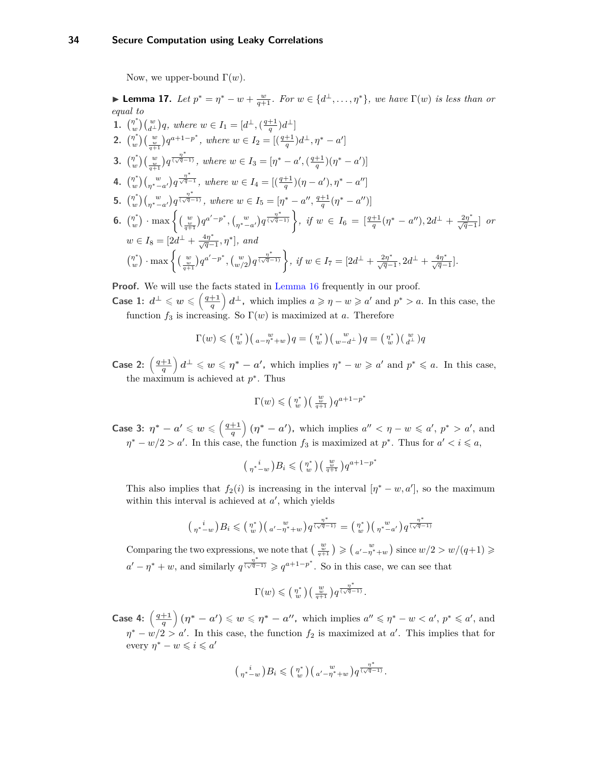Now, we upper-bound  $\Gamma(w)$ .

<span id="page-33-0"></span>► **Lemma 17.** *Let*  $p^* = \eta^* - w + \frac{w}{q+1}$ *. For*  $w \in \{d^{\perp}, \ldots, \eta^*\}$ *, we have*  $\Gamma(w)$  *is less than or equal to* **1.**  $\binom{n^*}{w}$  $w^{n^*}$ <sub>*w*</sub> $\left(\frac{w}{d^{\perp}}\right)q$ *, where*  $w \in I_1 = [d^{\perp}, \left(\frac{q+1}{q}\right)d^{\perp}]$ **2.**  $\binom{n^*}{n}$  $w^*$ <sub>*w*</sub>) $\left(\frac{w}{q+1}\right)q^{a+1-p^*}$ , where  $w \in I_2 = \left[\frac{q+1}{q}d^ \right]d^ \perp, \eta^* - a'\right]$ **3.**  $\binom{n^*}{w}$  $\binom{w}{w} \left( \frac{w}{q+1} \right) q^{\frac{n^*}{(\sqrt{q}-1)}}$ , where  $w \in I_3 = [\eta^* - a', (\frac{q+1}{q})(\eta^* - a')]$ **4.**  $\binom{n^*}{n}$  $w^*$ <sub>*w*</sub>  $\big(\frac{w}{\eta^*-\alpha'}\big)q^{\frac{\eta^*}{\sqrt{q}-1}}$ , where  $w \in I_4 = \frac{q+1}{q}$   $(\eta - a'), \eta^* - a''$ **5.**  $\binom{n^*}{w}$  $w^*$   $\int_{(\eta^*-\alpha')}\left(q^{\frac{\eta^*}{(\sqrt{q}-1)}}\right)$ , where  $w \in I_5 = [\eta^*-\alpha'', \frac{q+1}{q}(\eta^*-\alpha'')]$ **6.**  $\binom{n^*}{n}$  $\left\{ \sum_{w=0}^{n} y \right\} \cdot \max \left\{ \left( \frac{w}{q+1} \right) q^{a'-p^*}, \left( \frac{w}{\eta^{*}-a'} \right) q^{\frac{\eta^{*}}{(\sqrt{q}-1)}} \right\}, \text{ if } w \in I_6 = \left[ \frac{q+1}{q} (\eta^{*}-a''), 2d^{\perp} + \frac{2\eta^{*}}{\sqrt{q}-1} \right] \text{ or }$  $w \in I_8 = [2d^{\perp} + \frac{4\eta^*}{\sqrt{q}-1}, \eta^*], \text{ and}$  *η* ∗  $\left\{ \sum_{w=0}^{n} y \right\} \cdot \max \left\{ \left( \frac{w}{q+1} \right) q^{a'-p^*}, \left( \frac{w}{w/2} \right) q^{\frac{n^*}{(\sqrt{q}-1)}} \right\}, \text{ if } w \in I_7 = [2d^{\perp} + \frac{2\eta^*}{\sqrt{q}-1}, 2d^{\perp} + \frac{4\eta^*}{\sqrt{q}-1}].$ 

**Proof.** We will use the facts stated in [Lemma 16](#page-32-1) frequently in our proof.

**Case 1:**  $d^{\perp} \leqslant w \leqslant \left(\frac{q+1}{q}\right)$  $\left(\frac{+1}{q}\right)d^{\perp}$ , which implies  $a \geqslant \eta - w \geqslant a'$  and  $p^* > a$ . In this case, the function  $f_3$  is increasing. So  $\Gamma(w)$  is maximized at *a*. Therefore

$$
\Gamma(w) \leqslant \left(\begin{smallmatrix} \eta^* \\ w \end{smallmatrix}\right) \left(\begin{smallmatrix} w & w \\ a - \eta^* + w \end{smallmatrix}\right) q = \left(\begin{smallmatrix} \eta^* \\ w \end{smallmatrix}\right) \left(\begin{smallmatrix} w & w \\ w - d^\perp \end{smallmatrix}\right) q = \left(\begin{smallmatrix} \eta^* \\ w \end{smallmatrix}\right) \left(\begin{smallmatrix} w & w \\ d^\perp \end{smallmatrix}\right) q
$$

**Case 2:**  $\left(\frac{q+1}{q}\right)$  $\left(\frac{+1}{q}\right)d^{\perp} \leqslant w \leqslant \eta^* - a'$ , which implies  $\eta^* - w \geqslant a'$  and  $p^* \leqslant a$ . In this case, the maximum is achieved at  $p^*$ . Thus

$$
\Gamma(w) \leqslant \left(\begin{smallmatrix} \eta^* \\ w \end{smallmatrix}\right) \left(\begin{smallmatrix} w \\ \frac{w}{q+1} \end{smallmatrix}\right) q^{a+1-p^*}
$$

**Case 3:**  $\eta^* - a' \leqslant w \leqslant \left(\frac{q+1}{a}\right)$  $\left(\frac{+1}{q}\right)(\eta^* - a')$ , which implies  $a'' < \eta - w \leqslant a'$ ,  $p^* > a'$ , and  $\eta^* - w/2 > a'$ . In this case, the function  $f_3$  is maximized at  $p^*$ . Thus for  $a' < i \leq a$ ,

$$
\left(\begin{smallmatrix}i\\ \eta^*-w\end{smallmatrix}\right)B_i\leqslant \left(\begin{smallmatrix}\eta^*\\ w\end{smallmatrix}\right)\left(\begin{smallmatrix}w\\ \frac{w}{q+1}\end{smallmatrix}\right)q^{a+1-p^*}
$$

This also implies that  $f_2(i)$  is increasing in the interval  $[\eta^* - w, a']$ , so the maximum within this interval is achieved at  $a'$ , which yields

$$
\binom{i}{\eta^*-w}B_i \leqslant \binom{\eta^*}{w}\binom{w}{a'-\eta^*+w}q^{\frac{\eta^*}{(\sqrt{q}-1)}} = \binom{\eta^*}{w}\binom{w}{\eta^*-a'}q^{\frac{\eta^*}{(\sqrt{q}-1)}}
$$

Comparing the two expressions, we note that  $\left(\frac{w}{q+1}\right) \geqslant \left(a' - \eta^* + w\right)$  since  $w/2 > w/(q+1) \geqslant$  $a' - \eta^* + w$ , and similarly  $q^{\frac{\eta^*}{(\sqrt{q}-1)}} \geqslant q^{a+1-p^*}$ . So in this case, we can see that

$$
\Gamma(w) \leqslant \left(\begin{smallmatrix} \eta^* \\ w \end{smallmatrix}\right) \left(\begin{smallmatrix} w \\ \frac{w}{q+1} \end{smallmatrix}\right) q^{\frac{\eta^*}{(\sqrt{q}-1)}}.
$$

**Case 4:**  $\left(\frac{q+1}{q}\right)$  $\left(\frac{+1}{q}\right)(\eta^* - a') \leqslant w \leqslant \eta^* - a''$ , which implies  $a'' \leqslant \eta^* - w < a', p^* \leqslant a'$ , and  $\eta^* - w/2 > a'$ . In this case, the function  $f_2$  is maximized at *a*'. This implies that for every  $\eta^* - w \leqslant i \leqslant a'$ 

$$
\left(\begin{smallmatrix}i&\\ \eta^*\end{smallmatrix}\right)B_i\leqslant \left(\begin{smallmatrix}\eta^*\\w\end{smallmatrix}\right)\left(\begin{smallmatrix}w&\\ a'-\eta^*\end{smallmatrix}\right)q^{\frac{\eta^*}{(\sqrt{q}-1)}}.
$$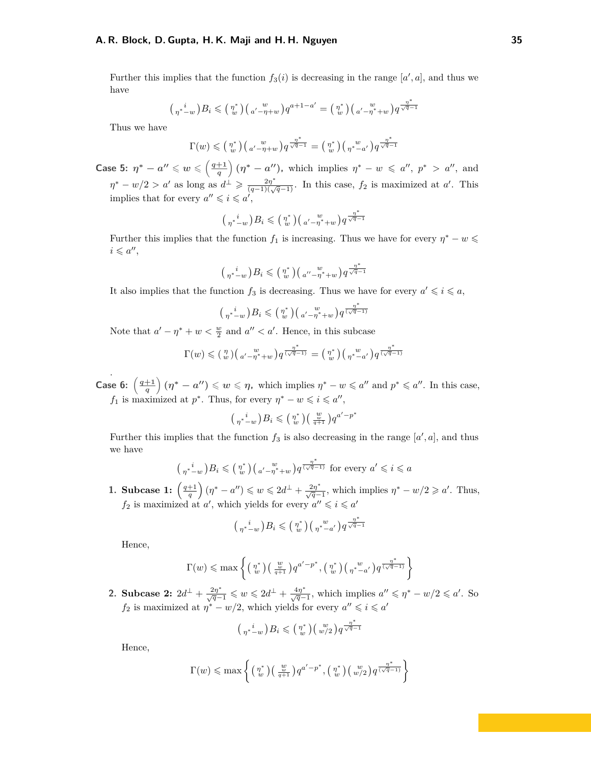#### **A. R. Block, D. Gupta, H. K. Maji and H. H. Nguyen 35**

Further this implies that the function  $f_3(i)$  is decreasing in the range  $[a', a]$ , and thus we have

$$
\binom{i}{\eta^* - w} B_i \leqslant \binom{\eta^*}{w} \binom{w}{a' - \eta + w} q^{a + 1 - a'} = \binom{\eta^*}{w} \binom{w}{a' - \eta^* + w} q^{\frac{\eta^*}{\sqrt{q} - 1}}
$$

Thus we have

$$
\Gamma(w) \leqslant \left(\begin{smallmatrix} \eta^* \\ w \end{smallmatrix}\right) \left(\begin{smallmatrix} w \\ a' - \eta + w \end{smallmatrix}\right) q^{\frac{\eta^*}{\sqrt{q}-1}} = \left(\begin{smallmatrix} \eta^* \\ w \end{smallmatrix}\right) \left(\begin{smallmatrix} w \\ \eta^{*} - a' \end{smallmatrix}\right) q^{\frac{\eta^*}{\sqrt{q}-1}}
$$

**Case 5:**  $\eta^* - a'' \leqslant w \leqslant \left(\frac{q+1}{q}\right)$  $\left(\frac{+1}{q}\right)(\eta^* - a'')$ , which implies  $\eta^* - w \leqslant a''$ ,  $p^* > a''$ , and  $\eta^* - w/2 > a'$  as long as  $d^{\perp} \geqslant \frac{2\eta^*}{(q-1)(\sqrt{q}-1)}$ . In this case,  $f_2$  is maximized at *a*'. This implies that for every  $a'' \leqslant i \leqslant a'$ ,

$$
\left(\begin{smallmatrix}i&\\ \eta^*-w\end{smallmatrix}\right)B_i\leqslant \left(\begin{smallmatrix}\eta^*\\w\end{smallmatrix}\right)\left(\begin{smallmatrix}w&\\ a'-\eta^*+w\end{smallmatrix}\right)q^{\frac{\eta^*}{\sqrt{q}-1}}
$$

Further this implies that the function  $f_1$  is increasing. Thus we have for every  $\eta^* - w \leq$  $i \leqslant a^{\prime\prime}$ 

$$
\left(\begin{smallmatrix}i&\\ \eta^*-w\end{smallmatrix}\right)B_i\leqslant \left(\begin{smallmatrix}\eta^*\\w\end{smallmatrix}\right)\left(\begin{smallmatrix}w&\\ a''-\eta^*+w\end{smallmatrix}\right)q^{\frac{\eta^*}{\sqrt{q}-1}}
$$

It also implies that the function  $f_3$  is decreasing. Thus we have for every  $a' \leqslant i \leqslant a$ ,

$$
\binom{i}{\eta^*-w}B_i\leqslant \binom{\eta^*}{w}\binom{w}{\alpha'-\eta^*+w}q^{\frac{\eta^*}{(\sqrt{q}-1)}}
$$

Note that  $a' - \eta^* + w < \frac{w}{2}$  and  $a'' < a'$ . Hence, in this subcase

$$
\Gamma(w) \leqslant \left(\begin{smallmatrix} \eta \\ w \end{smallmatrix}\right)\left(\begin{smallmatrix} w \\ a'-\eta^* + w \end{smallmatrix}\right) q^{\frac{\eta^*}{(\sqrt{q}-1)}} = \left(\begin{smallmatrix} \eta^* \\ w \end{smallmatrix}\right)\left(\begin{smallmatrix} w \\ \eta^* - a' \end{smallmatrix}\right) q^{\frac{\eta^*}{(\sqrt{q}-1)}}
$$

**Case 6:**  $\left(\frac{q+1}{q}\right)$  $\left(\frac{+1}{q}\right)(\eta^* - a'') \leqslant w \leqslant \eta$ , which implies  $\eta^* - w \leqslant a''$  and  $p^* \leqslant a''$ . In this case, *f*<sub>1</sub> is maximized at *p*<sup>\*</sup>. Thus, for every  $\eta$ <sup>\*</sup> –  $w \leqslant i \leqslant a''$ ,

$$
\binom{i}{\eta^*-w}B_i \leqslant \binom{\eta^*}{w}\binom{\frac{w}{w}}{\frac{q+1}{q+1}}q^{a'-p^*}
$$

Further this implies that the function  $f_3$  is also decreasing in the range  $[a', a]$ , and thus we have

$$
\left(\begin{smallmatrix}i&\\ \eta^*-w\end{smallmatrix}\right)B_i \leqslant \left(\begin{smallmatrix}\eta^*\\ w\end{smallmatrix}\right)\left(\begin{smallmatrix}w&\\ a'-\eta^*+w\end{smallmatrix}\right)q^{\frac{\eta^*}{(\sqrt{q}-1)}} \text{ for every }a'\leqslant i\leqslant a
$$

**1. Subcase 1:**  $\left(\frac{q+1}{q}\right)(\eta^* - a'') \leq w \leq 2d^{\perp} + \frac{2\eta^*}{\sqrt{q}-1}$ , which implies  $\eta^* - w/2 \geq a'$ . Thus,  $f_2$  is maximized at *a*', which yields for every  $a'' \leqslant i \leqslant a'$ 

$$
\left(\begin{smallmatrix}i\\ \eta^* - w\end{smallmatrix}\right)B_i \leqslant \left(\begin{smallmatrix}\eta^* \\ w\end{smallmatrix}\right) \left(\begin{smallmatrix}w\\ \eta^* - a'\end{smallmatrix}\right) q^{\frac{\eta^*}{\sqrt{q}-1}}
$$

Hence,

.

$$
\Gamma(w) \leqslant \max\left\{ \left( \begin{smallmatrix} \eta^* \\ w \end{smallmatrix} \right) \left( \begin{smallmatrix} w \\ \frac{w}{q+1} \end{smallmatrix} \right) q^{a'-p^*}, \left( \begin{smallmatrix} \eta^* \\ w \end{smallmatrix} \right) \left( \begin{smallmatrix} w \\ \eta^* - a' \end{smallmatrix} \right) q^{\frac{\eta^*}{(\sqrt{q}-1)}} \right\}
$$

**2. Subcase 2:**  $2d^{\perp} + \frac{2\eta^*}{\sqrt{q-1}} \leq w \leq 2d^{\perp} + \frac{4\eta^*}{\sqrt{q-1}}$ , which implies  $a'' \leq \eta^* - w/2 \leq a'$ . So *f*<sub>2</sub> is maximized at  $\eta^* - w/2$ , which yields for every  $a'' \leqslant i \leqslant a'$ 

$$
\left(\begin{smallmatrix}i&\\ \eta^*-w\end{smallmatrix}\right)B_i\leqslant\left(\begin{smallmatrix}\eta^*\\w\end{smallmatrix}\right)\left(\begin{smallmatrix}w\\w/2\end{smallmatrix}\right)q^{\frac{\eta^*}{\sqrt{q}-1}}
$$

Hence,

$$
\Gamma(w) \leqslant \max \left\{ \left( \begin{smallmatrix} \eta^* \\ w \end{smallmatrix} \right) \left( \begin{smallmatrix} w \\ \frac{w}{q+1} \end{smallmatrix} \right) q^{a'-p^*}, \left( \begin{smallmatrix} \eta^* \\ w \end{smallmatrix} \right) \left( \begin{smallmatrix} w \\ w/2 \end{smallmatrix} \right) q^{\frac{\eta^*}{(\sqrt{q}-1)}} \right\}
$$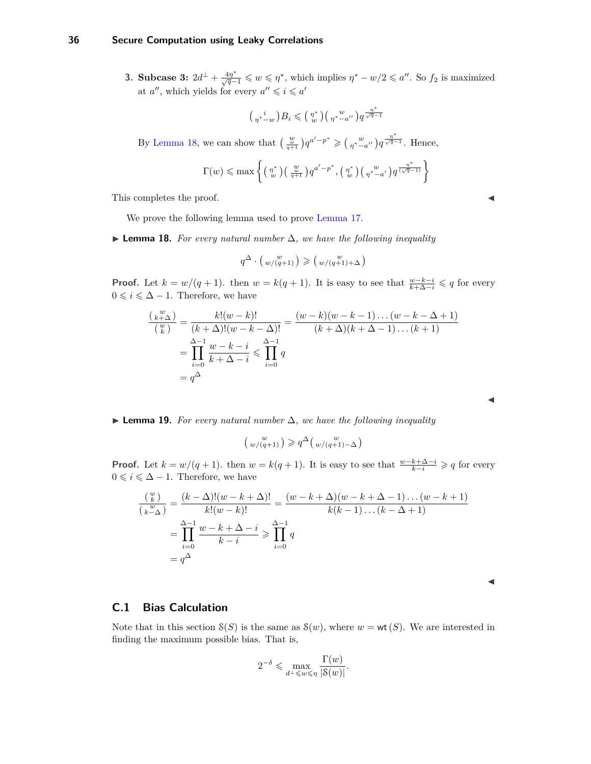#### **36 Secure Computation using Leaky Correlations**

**3. Subcase 3:**  $2d^{\perp} + \frac{4\eta^*}{\sqrt{q}-1} \leq w \leq \eta^*$ , which implies  $\eta^* - w/2 \leq a''$ . So  $f_2$  is maximized at  $a''$ , which yields for every  $a'' \leqslant i \leqslant a'$ 

$$
\big(\begin{smallmatrix}i\\ \eta^*\,-w\end{smallmatrix}\big)B_i\leqslant \big(\begin{smallmatrix}\eta^*\\ w\end{smallmatrix}\big)\big(\begin{smallmatrix}w\\ \eta^*-a''\end{smallmatrix}\big)q^{\frac{\eta^*}{\sqrt{q}-1}}
$$

By [Lemma 18,](#page-35-1) we can show that  $\left(\frac{w}{q+1}\right)q^{a'-p^*} \geqslant \left(\frac{w}{q^*-a''}\right)q^{\frac{\eta^*}{\sqrt{q}-1}}$ . Hence,

$$
\Gamma(w) \leqslant \max \left\{ \left( \begin{smallmatrix} \eta^* \\ w \end{smallmatrix} \right) \left( \begin{smallmatrix} w \\ \frac{w}{q+1} \end{smallmatrix} \right) q^{a'-p^*}, \left( \begin{smallmatrix} \eta^* \\ w \end{smallmatrix} \right) \left( \begin{smallmatrix} w \\ \eta^* - a' \end{smallmatrix} \right) q^{\frac{\eta^*}{(\sqrt{q}-1)}} \right\}
$$

This completes the proof.

We prove the following lemma used to prove [Lemma 17.](#page-33-0)

<span id="page-35-1"></span> $\triangleright$  **Lemma 18.** *For every natural number*  $\Delta$ *, we have the following inequality* 

$$
q^{\Delta} \cdot \left(\begin{array}{c} w \\ w/(q+1) \end{array}\right) \geqslant \left(\begin{array}{c} w \\ w/(q+1)+\Delta \end{array}\right)
$$

**Proof.** Let  $k = w/(q + 1)$ . then  $w = k(q + 1)$ . It is easy to see that  $\frac{w-k-i}{k+\Delta-i} \leq q$  for every  $0 \leqslant i \leqslant \Delta - 1$ . Therefore, we have

$$
\frac{\binom{w}{k+\Delta}}{\binom{w}{k}} = \frac{k!(w-k)!}{(k+\Delta)!(w-k-\Delta)!} = \frac{(w-k)(w-k-1)\dots(w-k-\Delta+1)}{(k+\Delta)(k+\Delta-1)\dots(k+1)}
$$

$$
= \prod_{i=0}^{\Delta-1} \frac{w-k-i}{k+\Delta-i} \leq \prod_{i=0}^{\Delta-1} q
$$

$$
= q^{\Delta}
$$

**► Lemma 19.** For every natural number  $\Delta$ , we have the following inequality

$$
\left(\begin{smallmatrix}w\\ w/(q+1)\end{smallmatrix}\right)\geqslant q^\Delta\left(\begin{smallmatrix}w\\ w/(q+1)-\Delta\end{smallmatrix}\right)
$$

**Proof.** Let  $k = w/(q + 1)$ . then  $w = k(q + 1)$ . It is easy to see that  $\frac{w-k+\Delta-i}{k-i} \geqslant q$  for every 0 ≤  $i$  ≤  $\Delta$  − 1. Therefore, we have

$$
\frac{\binom{w}{k}}{\binom{w}{k-\Delta}} = \frac{(k-\Delta)!(w-k+\Delta)!}{k!(w-k)!} = \frac{(w-k+\Delta)(w-k+\Delta-1)\dots(w-k+1)}{k(k-1)\dots(k-\Delta+1)}
$$

$$
= \prod_{i=0}^{\Delta-1} \frac{w-k+\Delta-i}{k-i} \ge \prod_{i=0}^{\Delta-1} q
$$

$$
= q^{\Delta}
$$

 $\blacktriangleleft$ 

 $\blacktriangleleft$ 

#### <span id="page-35-0"></span>**C.1 Bias Calculation**

Note that in this section  $S(S)$  is the same as  $S(w)$ , where  $w = \text{wt}(S)$ . We are interested in finding the maximum possible bias. That is,

$$
2^{-\delta}\leqslant \max_{d^\perp\leqslant w\leqslant \eta} \frac{\Gamma(w)}{|\mathcal{S}(w)|}.
$$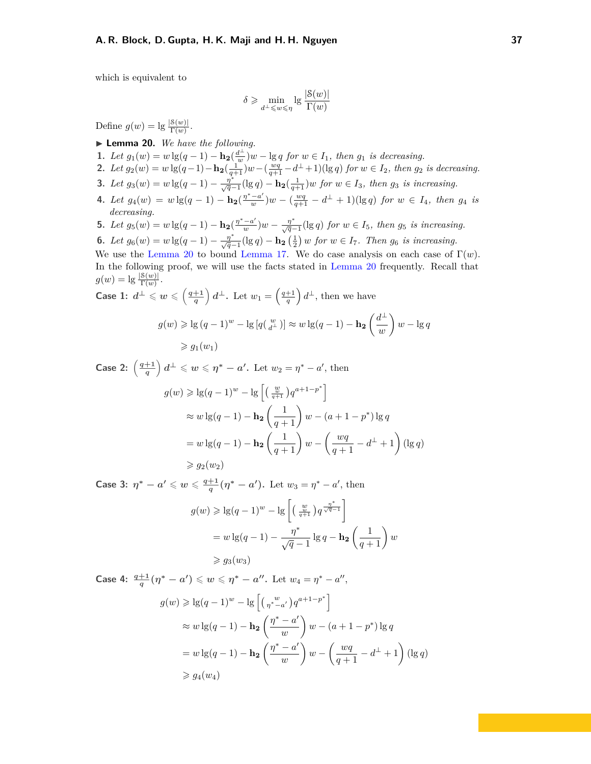which is equivalent to

$$
\delta \geqslant \min_{d^{\perp} \leqslant w \leqslant \eta} \lg \frac{|\mathcal{S}(w)|}{\Gamma(w)}
$$

Define  $g(w) = \lg \frac{|\mathcal{S}(w)|}{\Gamma(w)}$ .

- <span id="page-36-0"></span>I **Lemma 20.** *We have the following.*
- **1.** *Let*  $g_1(w) = w \lg(q-1) \mathbf{h_2}(\frac{d^{\perp}}{w})$  $\frac{d^{\perp}}{w}$ )*w* − lg *q for w* ∈ *I*<sub>1</sub>*, then g*<sub>1</sub> *is decreasing.*
- **2.** Let  $g_2(w) = w \lg(q-1) \ln_2(\frac{1}{q+1})w (\frac{wq}{q+1} d^{\perp} + 1)(\lg q)$  for  $w \in I_2$ , then  $g_2$  is decreasing.
- **3.** Let  $g_3(w) = w \lg(q-1) \frac{\eta^*}{\sqrt{q}-1} (\lg q) \mathbf{h_2}(\frac{1}{q+1})w$  for  $w \in I_3$ , then  $g_3$  is increasing.
- **4.** *Let*  $g_4(w) = w \lg(q-1) \mathbf{h}_2(\frac{\eta^*-a'}{w})$  $\frac{-a'}{w}$ ) $w - (\frac{wq}{q+1} - d^{\perp} + 1)(\lg q)$  *for*  $w \in I_4$ *, then g*<sub>4</sub> *is decreasing.*
- **5.** *Let*  $g_5(w) = w \lg(q-1) \ln_2(\frac{\eta^*-a'}{w})$  $\frac{(-a')}{w}$  *w* −  $\frac{\eta^*}{\sqrt{q}-1}$  (lg *q*) *for w* ∈ *I*<sub>5</sub>*, then g*<sub>5</sub> *is increasing.*
- **6.** *Let*  $g_6(w) = w \lg(q-1) \frac{\eta^*}{\sqrt{q-1}} (\lg q) \mathbf{h_2} \left(\frac{1}{2}\right) w$  *for*  $w \in I_7$ *. Then*  $g_6$  *is increasing.*

We use the [Lemma 20](#page-36-0) to bound [Lemma 17.](#page-33-0) We do case analysis on each case of  $\Gamma(w)$ . In the following proof, we will use the facts stated in [Lemma 20](#page-36-0) frequently. Recall that  $g(w) = \lg \frac{|\mathcal{S}(w)|}{\Gamma(w)}$ .

Case 1: 
$$
d^{\perp} \leq w \leq \left(\frac{q+1}{q}\right)d^{\perp}
$$
. Let  $w_1 = \left(\frac{q+1}{q}\right)d^{\perp}$ , then we have  
\n
$$
g(w) \geqslant \lg\left(q-1\right)^w - \lg\left[q\left(\frac{w}{d^{\perp}}\right)\right] \approx w \lg(q-1) - \ln\left(\frac{d^{\perp}}{w}\right)w - \lg q
$$
\n
$$
\geqslant g_1(w_1)
$$

**Case 2:**  $\left(\frac{q+1}{q}\right)$  $\left(\frac{+1}{q}\right)d^{\perp} \leqslant w \leqslant \eta^* - a'.$  Let  $w_2 = \eta^* - a'.$  then  $g(w) \geqslant \lg(q-1)^w - \lg \left[ \left( \frac{w}{q+1} \right) q^{a+1-p^*} \right]$  $\approx w \lg(q-1) - \mathbf{h_2} \left( \frac{1}{q+1} \right) w - (a+1-p^*) \lg q$  $= w \lg(q-1) - \mathbf{h_2} \left(\frac{1}{q+1}\right) w - \left(\frac{wq}{q+1}\right)$  $\frac{wq}{q+1} - d^{\perp} + 1$  (lg *q*)  $\geqslant q_2(w_2)$ 

**Case 3:**  $\eta^* - a' \leqslant w \leqslant \frac{q+1}{a}$  $\frac{+1}{q}(\eta^* - a')$ . Let  $w_3 = \eta^* - a'$ , then

$$
g(w) \geqslant \lg(q-1)^w - \lg\left[\left(\frac{w}{q+1}\right)q^{\frac{\eta^*}{\sqrt{q-1}}}\right]
$$
  
= 
$$
w \lg(q-1) - \frac{\eta^*}{\sqrt{q-1}} \lg q - \mathbf{h_2}\left(\frac{1}{q+1}\right)w
$$
  

$$
\geqslant g_3(w_3)
$$

**Case 4:**  $\frac{q+1}{q}(\eta^* - a') \leqslant w \leqslant \eta^* - a''$ . Let  $w_4 = \eta^* - a''$ ,

$$
g(w) \geqslant \lg(q-1)^w - \lg\left[\left(\frac{w}{w}\right)q^{a+1-p^*}\right]
$$
  
\n
$$
\approx w \lg(q-1) - \ln\left(\frac{\eta^*-a'}{w}\right)w - (a+1-p^*)\lg q
$$
  
\n
$$
= w \lg(q-1) - \ln\left(\frac{\eta^*-a'}{w}\right)w - \left(\frac{wq}{q+1} - d^\perp + 1\right)(\lg q)
$$
  
\n
$$
\geqslant g_4(w_4)
$$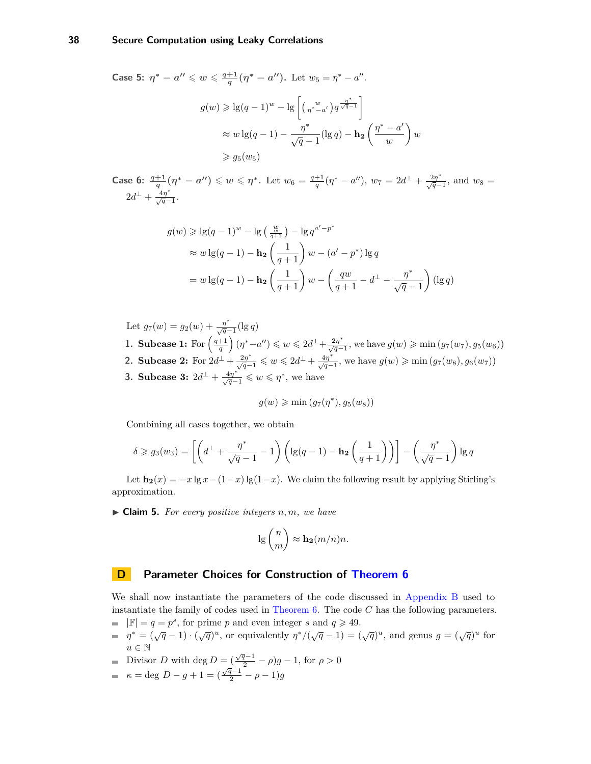#### **38 Secure Computation using Leaky Correlations**

**Case 5:**  $\eta^* - a'' \leqslant w \leqslant \frac{q+1}{a}$  $\frac{+1}{q}(\eta^* - a'')$ . Let  $w_5 = \eta^* - a''$ .  $g(w) \geqslant \lg(q-1)^w - \lg \left[ \binom{w}{q^*-a'} q^{\frac{\eta^*}{\sqrt{q-1}}} \right]$  $\approx w \lg(q-1) - \frac{\eta^*}{\sqrt{n}}$  $\frac{\eta^*}{\sqrt{q} - 1} (\lg q) - \mathbf{h_2} \left( \frac{\eta^* - a'}{w} \right)$ *w*  $\big)$  w  $\geqslant g_5(w_5)$ 

**Case 6:**  $\frac{q+1}{q}(\eta^* - a'') \leq w \leq \eta^*$ . Let  $w_6 = \frac{q+1}{q}(\eta^* - a'')$ ,  $w_7 = 2d^{\perp} + \frac{2\eta^*}{\sqrt{q}-1}$ , and  $w_8 =$  $2d^{\perp} + \frac{4\eta^*}{\sqrt{q}-1}.$ 

$$
g(w) \geqslant \lg(q-1)^w - \lg\left(\frac{w}{q+1}\right) - \lg q^{a'-p^*}
$$
  
\n
$$
\approx w \lg(q-1) - \mathbf{h_2} \left(\frac{1}{q+1}\right) w - (a'-p^*) \lg q
$$
  
\n
$$
= w \lg(q-1) - \mathbf{h_2} \left(\frac{1}{q+1}\right) w - \left(\frac{qw}{q+1} - d^{\perp} - \frac{\eta^*}{\sqrt{q}-1}\right) (\lg q)
$$

Let  $g_7(w) = g_2(w) + \frac{\eta^*}{\sqrt{q}-1}(\lg q)$ **1. Subcase 1:** For  $\left(\frac{q+1}{q}\right)(\eta^*-a'') \leq w \leq 2d^{\perp} + \frac{2\eta^*}{\sqrt{q}-1}$ , we have  $g(w) \geqslant \min(g_7(w_7), g_5(w_6))$ **2. Subcase 2:** For  $2d^{\perp} + \frac{2\eta^*}{\sqrt{q-1}} \leq w \leq 2d^{\perp} + \frac{4\eta^*}{\sqrt{q-1}}$ , we have  $g(w) \geq \min(g_7(w_8), g_6(w_7))$ **3. Subcase 3:**  $2d^{\perp} + \frac{4\eta^*}{\sqrt{q-1}} \leqslant w \leqslant \eta^*$ , we have

$$
g(w) \geqslant \min\left(g_{7}(\eta^*), g_{5}(w_{8})\right)
$$

Combining all cases together, we obtain

$$
\delta \ge g_3(w_3) = \left[ \left( d^\perp + \frac{\eta^*}{\sqrt{q} - 1} - 1 \right) \left( \lg(q - 1) - \mathbf{h_2} \left( \frac{1}{q + 1} \right) \right) \right] - \left( \frac{\eta^*}{\sqrt{q} - 1} \right) \lg q
$$

Let  $\mathbf{h}_2(x) = -x \lg x - (1-x) \lg(1-x)$ . We claim the following result by applying Stirling's approximation.

 $\blacktriangleright$  **Claim 5.** For every positive integers n, m, we have

$$
\lg \binom{n}{m} \approx \mathbf{h_2}(m/n)n.
$$

#### <span id="page-37-0"></span>**D Parameter Choices for Construction of [Theorem 6](#page-12-3)**

We shall now instantiate the parameters of the code discussed in [Appendix B](#page-31-0) used to instantiate the family of codes used in [Theorem 6.](#page-12-3) The code *C* has the following parameters.  $|\mathbb{F}| = q = p^s$ , for prime *p* and even integer *s* and  $q \ge 49$ .

- 
- $\eta^* = (\sqrt{q} 1) \cdot (\sqrt{q})^u$ , or equivalently  $\eta^*/(\sqrt{q} 1) = (\sqrt{q})^u$ , and genus  $g = (\sqrt{q})^u$  for  $u \in \mathbb{N}$
- Divisor *D* with deg  $D = (\frac{\sqrt{q}-1}{2} \rho)g 1$ , for  $\rho > 0$

$$
k = \deg D - g + 1 = (\frac{\sqrt{q-1}}{2} - \rho - 1)g
$$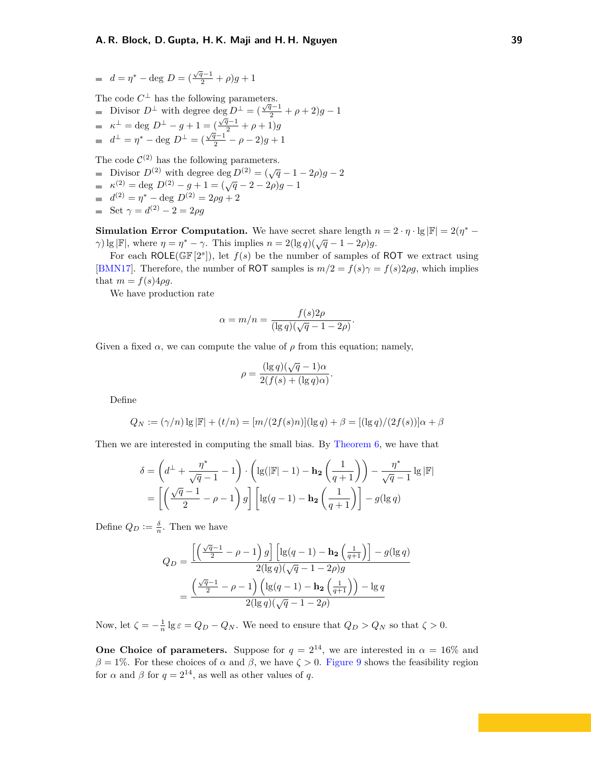<span id="page-38-0"></span>
$$
= d = \eta^* - \deg D = (\frac{\sqrt{q}-1}{2} + \rho)g + 1
$$

The code  $C^{\perp}$  has the following parameters.

Divisor  $D^{\perp}$  with degree deg  $D^{\perp} = (\frac{\sqrt{q}-1}{2} + \rho + 2)g - 1$  $\kappa^{\perp} = \deg D^{\perp} - g + 1 = (\frac{\sqrt{q}-1}{2} + \rho + 1)g$  $d^{\perp} = \eta^* - \text{deg } D^{\perp} = (\frac{\sqrt{q}-1}{2} - \rho - 2)g + 1$ 

The code  $\mathcal{C}^{(2)}$  has the following parameters.

- Divisor  $D^{(2)}$  with degree deg  $D^{(2)} = (\sqrt{q} 1 2\rho)g 2$
- $\kappa^{(2)} = \text{deg } D^{(2)} g + 1 = (\sqrt{q} 2 2\rho)g 1$
- $d^{(2)} = \eta^* \text{deg } D^{(2)} = 2\rho g + 2$
- Set  $\gamma = d^{(2)} 2 = 2\rho g$

**Simulation Error Computation.** We have secret share length  $n = 2 \cdot \eta \cdot \lg |\mathbb{F}| = 2(\eta^* - \eta^*)$ *γ*) lg |F|, where  $\eta = \eta^* - \gamma$ . This implies  $n = 2(\lg q)(\sqrt{q} - 1 - 2\rho)g$ .

For each ROLE( $\mathbb{GF}[2^s]$ ), let  $f(s)$  be the number of samples of ROT we extract using [\[BMN17\]](#page-25-7). Therefore, the number of ROT samples is  $m/2 = f(s)\gamma = f(s)2\rho g$ , which implies that  $m = f(s)4\rho g$ .

We have production rate

$$
\alpha = m/n = \frac{f(s)2\rho}{(\lg q)(\sqrt{q} - 1 - 2\rho)}.
$$

Given a fixed  $\alpha$ , we can compute the value of  $\rho$  from this equation; namely,

$$
\rho = \frac{(\lg q)(\sqrt{q} - 1)\alpha}{2(f(s) + (\lg q)\alpha)}.
$$

Define

$$
Q_N := (\gamma/n) \lg |\mathbb{F}| + (t/n) = [m/(2f(s)n)](\lg q) + \beta = [(\lg q)/(2f(s))] \alpha + \beta
$$

Then we are interested in computing the small bias. By [Theorem 6,](#page-12-3) we have that

$$
\delta = \left(d^{\perp} + \frac{\eta^*}{\sqrt{q} - 1} - 1\right) \cdot \left(\lg(|\mathbb{F}| - 1) - \mathbf{h_2}\left(\frac{1}{q + 1}\right)\right) - \frac{\eta^*}{\sqrt{q} - 1} \lg|\mathbb{F}|
$$

$$
= \left[\left(\frac{\sqrt{q} - 1}{2} - \rho - 1\right)g\right] \left[\lg(q - 1) - \mathbf{h_2}\left(\frac{1}{q + 1}\right)\right] - g(\lg q)
$$

Define  $Q_D := \frac{\delta}{n}$ . Then we have

$$
Q_D = \frac{\left[\left(\frac{\sqrt{q}-1}{2} - \rho - 1\right)g\right] \left[\lg(q-1) - \mathbf{h_2}\left(\frac{1}{q+1}\right)\right] - g(\lg q)}{2(\lg q)(\sqrt{q}-1-2\rho)g}
$$

$$
= \frac{\left(\frac{\sqrt{q}-1}{2} - \rho - 1\right) \left(\lg(q-1) - \mathbf{h_2}\left(\frac{1}{q+1}\right)\right) - \lg q}{2(\lg q)(\sqrt{q}-1-2\rho)}
$$

Now, let  $\zeta = -\frac{1}{n} \lg \varepsilon = Q_D - Q_N$ . We need to ensure that  $Q_D > Q_N$  so that  $\zeta > 0$ .

**One Choice of parameters.** Suppose for  $q = 2^{14}$ , we are interested in  $\alpha = 16\%$  and  $β = 1\%$ . For these choices of *α* and *β*, we have  $ζ > 0$ . [Figure 9](#page-24-0) shows the feasibility region for  $\alpha$  and  $\beta$  for  $q = 2^{14}$ , as well as other values of q.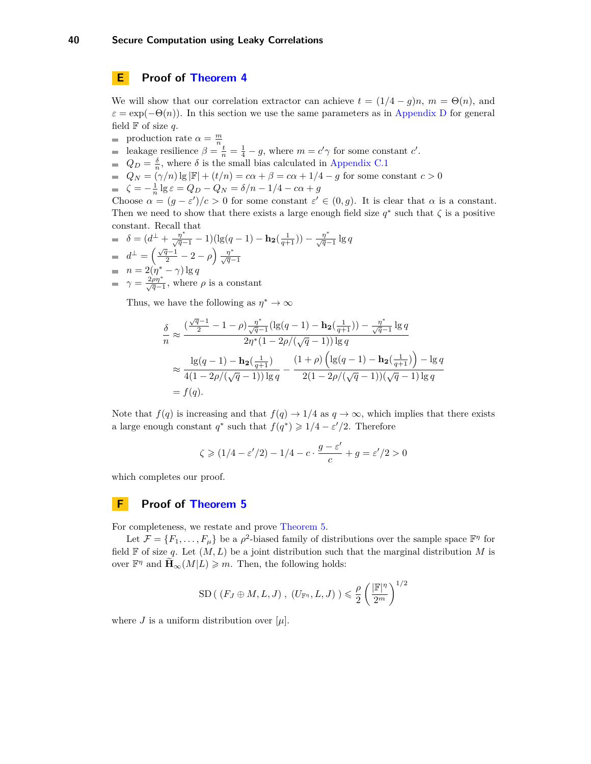<span id="page-39-0"></span>**E Proof of [Theorem 4](#page-5-0)**

We will show that our correlation extractor can achieve  $t = (1/4 - g)n$ ,  $m = \Theta(n)$ , and  $\varepsilon = \exp(-\Theta(n))$ . In this section we use the same parameters as in [Appendix D](#page-37-0) for general field  $\mathbb F$  of size q.

- production rate  $\alpha = \frac{m}{n}$
- leakage resilience  $\beta = \frac{t}{n} = \frac{1}{4} g$ , where  $m = c' \gamma$  for some constant *c'*.
- $Q_D = \frac{\delta}{n}$ , where  $\delta$  is the small bias calculated in [Appendix C.1](#page-35-0)
- $Q_N = (γ/n) \lg |\mathbb{F}| + (t/n) = cα + β = cα + 1/4 g$  for some constant *c* > 0
- *ζ* =  $-\frac{1}{n}$  lg  $\varepsilon$  =  $Q_D Q_N = \delta/n 1/4 c\alpha + g$

Choose  $\alpha = (g - \varepsilon')/c > 0$  for some constant  $\varepsilon' \in (0, g)$ . It is clear that  $\alpha$  is a constant. Then we need to show that there exists a large enough field size  $q^*$  such that  $\zeta$  is a positive constant. Recall that

 $\delta = (d^{\perp} + \frac{\eta^*}{\sqrt{q}-1} - 1)(\lg(q-1) - \mathbf{h_2}(\frac{1}{q+1})) - \frac{\eta^*}{\sqrt{q}-1}\lg q$  $d^{\perp} = \left(\frac{\sqrt{q}-1}{2} - 2 - \rho\right) \frac{\eta^*}{\sqrt{q}-1}$  $n = 2(\eta^* - \gamma) \lg q$  $\gamma = \frac{2\rho\eta^*}{\sqrt{q}-1}$ , where  $\rho$  is a constant

Thus, we have the following as  $\eta^* \to \infty$ 

$$
\frac{\delta}{n} \approx \frac{\left(\frac{\sqrt{q}-1}{2} - 1 - \rho\right) \frac{\eta^*}{\sqrt{q}-1} (\lg(q-1) - \mathbf{h_2}(\frac{1}{q+1})) - \frac{\eta^*}{\sqrt{q}-1} \lg q}{2\eta^*(1 - 2\rho/(\sqrt{q}-1)) \lg q}
$$
\n
$$
\approx \frac{\lg(q-1) - \mathbf{h_2}(\frac{1}{q+1})}{4(1 - 2\rho/(\sqrt{q}-1)) \lg q} - \frac{(1+\rho)\left(\lg(q-1) - \mathbf{h_2}(\frac{1}{q+1})\right) - \lg q}{2(1 - 2\rho/(\sqrt{q}-1))(\sqrt{q}-1) \lg q}
$$
\n
$$
= f(q).
$$

Note that  $f(q)$  is increasing and that  $f(q) \to 1/4$  as  $q \to \infty$ , which implies that there exists a large enough constant  $q^*$  such that  $f(q^*) \geq 1/4 - \varepsilon'/2$ . Therefore

$$
\zeta \geqslant (1/4-\varepsilon'/2) - 1/4 - c \cdot \frac{g-\varepsilon'}{c} + g = \varepsilon'/2 > 0
$$

which completes our proof.

### <span id="page-39-1"></span>**F Proof of [Theorem 5](#page-11-2)**

For completeness, we restate and prove [Theorem 5.](#page-11-2)

Let  $\mathcal{F} = \{F_1, \ldots, F_\mu\}$  be a  $\rho^2$ -biased family of distributions over the sample space  $\mathbb{F}^{\eta}$  for field  $\mathbb F$  of size q. Let  $(M, L)$  be a joint distribution such that the marginal distribution M is over  $\mathbb{F}^{\eta}$  and  $\widetilde{\mathbf{H}}_{\infty}(M|L) \geqslant m$ . Then, the following holds:

$$
SD((F_J \oplus M, L, J), (U_{\mathbb{F}^{\eta}}, L, J)) \leqslant \frac{\rho}{2} \left(\frac{|\mathbb{F}|^{\eta}}{2^m}\right)^{1/2}
$$

where *J* is a uniform distribution over  $[\mu]$ .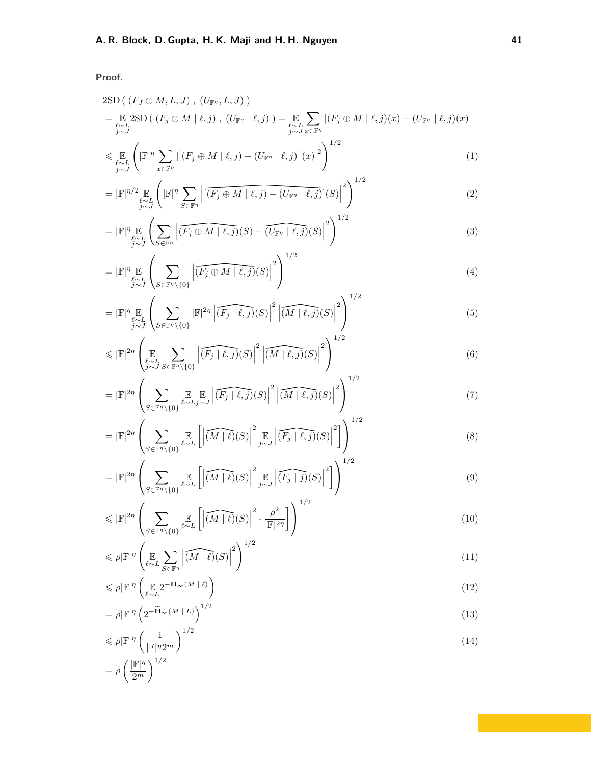**Proof.**

$$
2\text{SD}\left((F_J \oplus M, L, J), (U_{\mathbb{F}^n}, L, J)\right)
$$
\n
$$
= \underset{j \sim J}{\mathbb{E}} 2\text{SD}\left((F_j \oplus M \mid \ell, j), (U_{\mathbb{F}^n} \mid \ell, j)\right) = \underset{j \sim J}{\mathbb{E}} \sum_{x \in \mathbb{F}^n} |(F_j \oplus M \mid \ell, j)(x) - (U_{\mathbb{F}^n} \mid \ell, j)(x)|
$$
\n
$$
< \mathbb{F} \left(\underset{j \sim J}{\mathbb{F}} \left(\underset{\mathbb{F} \mid \mathcal{D}}{\mathbb{F}} \sum |(F_i \oplus M \mid \ell, j) - (U_{\mathbb{F}^n} \mid \ell, j)(x)|^2\right)\right)^{1/2}
$$
\n
$$
(1)
$$

$$
\leqslant \mathop{\mathbb{E}}_{\substack{\ell \sim L \\ j \sim J}} \left( \left| \mathbb{F} \right|^{\eta} \sum_{x \in \mathbb{F}^{\eta}} \left| \left[ (F_j \oplus M \mid \ell, j) - (U_{\mathbb{F}^{\eta}} \mid \ell, j) \right] (x) \right|^2 \right)
$$
\n
$$
\tag{1}
$$

$$
=|\mathbb{F}|^{\eta/2}\mathop{\mathbb{E}}_{\substack{\ell\sim L\\j\sim J}}\left(|\mathbb{F}|^{\eta}\sum_{S\in\mathbb{F}^{\eta}}\left|\left[\overline{(F_j\oplus M \mid \ell,j)-(U_{\mathbb{F}^{\eta}}\mid \ell,j)}\right](S)\right|^{2}\right)^{1/2} \tag{2}
$$

$$
=|\mathbb{F}|^{\eta} \mathop{\mathbb{E}}_{\substack{i \sim I \\ j \sim J}} \left( \sum_{S \in \mathbb{F}^{\eta}} \left| \widehat{(F_j \oplus M \mid \ell, j)}(S) - \widehat{(U_{\mathbb{F}^{\eta}} \mid \ell, j)}(S) \right|^{2} \right)^{1/2}
$$
\n
$$
= |\mathbb{F}|^{\eta} \mathop{\mathbb{E}}_{\mu} \left( \sum_{\mathbf{I} \in \mathcal{F}} \left| \widehat{(F_j \oplus M \mid \ell, j)}(S) \right|^{2} \right)^{1/2}
$$
\n(3)

$$
=|\mathbb{F}|^{\eta}\mathop{\mathbb{E}}_{\substack{\ell\sim L\\j\sim J}}\left(\sum_{S\in\mathbb{F}^{\eta}}\left|\widehat{(F_j\oplus M \mid \ell,j)}(S)-\widehat{(U_{\mathbb{F}^{\eta}} \mid \ell,j)}(S)\right|^{2}\right)^{1/2}
$$
\n
$$
=|\mathbb{F}|^{\eta}\mathop{\mathbb{E}}_{\substack{\ell\sim L\\j\sim J}}\left(\sum_{S\in\mathbb{F}^{\eta}\setminus\{0\}}\left|\widehat{(F_j\oplus M \mid \ell,j)}(S)\right|^{2}\right)^{1/2}
$$
\n(3)

$$
=|\mathbb{F}|^{\eta/2} \mathbb{E}_{\substack{\ell \sim L \\ j \sim J}} \left( |\mathbb{F}|^{\eta} \sum_{S \in \mathbb{F}^{\eta}} \left| \overline{[(F_j \oplus M \mid \ell, j) - (U_{\mathbb{F}^{\eta}} \mid \ell, j)]}(S) \right|^{2} \right)^{1/2}
$$
\n
$$
=|\mathbb{F}|^{\eta} \mathbb{E}_{\substack{\ell \sim L \\ j \sim J}} \left( \sum_{S \in \mathbb{F}^{\eta}} \left| \overline{(F_j \oplus M \mid \ell, j)}(S) - \overline{(U_{\mathbb{F}^{\eta}} \mid \ell, j)}(S) \right|^{2} \right)^{1/2}
$$
\n
$$
=|\mathbb{F}|^{\eta} \mathbb{E}_{\substack{\ell \sim L \\ j \sim J}} \left( \sum_{S \in \mathbb{F}^{\eta} \setminus \{0\}} \left| \overline{(F_j \oplus M \mid \ell, j)}(S) \right|^{2} \right)^{1/2}
$$
\n
$$
=|\mathbb{F}|^{\eta} \mathbb{E}_{\substack{\ell \sim L \\ j \sim J}} \left( \sum_{S \in \mathbb{F}^{\eta} \setminus \{0\}} |\mathbb{F}|^{2\eta} \left| \overline{(F_j \mid \ell, j)}(S) \right|^{2} \left| \overline{(M \mid \ell, j)}(S) \right|^{2} \right)^{1/2}
$$
\n
$$
\leq |\mathbb{F}|^{2\eta} \left( \sum_{S \in \mathbb{F}^{\eta} \setminus \{0\}} |\overline{(F_j \mid \ell, j)}(S)|^{2} \left| \overline{(M \mid \ell, j)}(S) \right|^{2} \right)^{1/2}
$$
\n
$$
\leq |\mathbb{F}|^{2\eta} \left( \sum_{S \in \mathbb{F}^{\eta} \setminus \{0\}} |\overline{(F \mid \ell, j)}(S)|^{2} \left| \overline{(M \mid \ell, j)}(S) \right|^{2} \right)^{1/2}
$$
\n
$$
\leq |\mathbb{F}|^{2\eta} \left( \sum_{S \in \mathbb{F}^{\eta} \setminus \{0\}} |\overline{(F \mid \ell, j)}(S)|^{2} \left| \overline{(M \mid
$$

$$
\leq |\mathbb{F}|^{2\eta} \left( \mathop{\mathbb{E}}_{\substack{\ell \sim L \\ j \sim J}} \sum_{S \in \mathbb{F}^{\eta} \setminus \{0\}} \left| \widehat{(F_j \mid \ell, j)}(S) \right|^2 \left| \widehat{(M \mid \ell, j)}(S) \right|^2 \right)^{1/2} \tag{6}
$$
\n
$$
= |\mathbb{F}|^{2\eta} \left( \sum_{\substack{\ell \sim L \\ \ell \sim J}} \mathbb{F} \left| \widehat{(F_{\ell} \mid \ell, j)}(S) \right|^2 \left| \widehat{(M \mid \ell, j)}(S) \right|^2 \right)^{1/2} \tag{7}
$$

$$
= |\mathbb{F}|^{2\eta} \left( \sum_{S \in \mathbb{F}^{\eta} \setminus \{0\}} \mathbb{E}_{\epsilon \sim Lj \sim J} \left| \widehat{(F_j | \ell, j)}(S) \right|^2 \left| \widehat{(M | \ell, j)}(S) \right|^2 \right)^{1/2} \tag{7}
$$
\n
$$
|\mathbb{F}|^{2\eta} \left( \sum_{\mathbb{F} \in \mathbb{F}^{\eta} \setminus \{0\}} \mathbb{E}_{\epsilon \sim Lj \sim J} \left| \widehat{(F_j | \ell, j)}(S) \right|^2 \right)^{1/2} \tag{8}
$$

$$
= |\mathbb{F}|^{2\eta} \left( \sum_{S \in \mathbb{F}^{\eta} \setminus \{0\}} \mathbb{E}_{\epsilon \sim L} \left[ \left| \widehat{(M \mid \ell)}(S) \right|^2 \mathbb{E}_{j \sim J} \left| \widehat{(F_j \mid \ell, j)}(S) \right|^2 \right] \right)^{1/2} \tag{8}
$$

$$
= |\mathbb{F}|^{2\eta} \left( \sum_{S \in \mathbb{F}^{\eta} \setminus \{0\}} \mathbb{E}_{\ell \sim L} \left[ \left| \widehat{(M \mid \ell)}(S) \right|^2 \mathbb{E}_{j \sim J} \left| \widehat{(F_j \mid j)}(S) \right|^2 \right] \right)^{1/2} \tag{9}
$$

$$
\leqslant |\mathbb{F}|^{2\eta} \left( \sum_{S \in \mathbb{F}^{\eta} \backslash \{0\}} \mathbb{E}_{\ell \sim L} \left[ \left| \widehat{(M \mid \ell)}(S) \right|^2 \cdot \frac{\rho^2}{|\mathbb{F}|^{2\eta}} \right] \right)^{1/2} \tag{10}
$$

$$
\leq \rho |\mathbb{F}|^{\eta} \left( \mathop{\mathbb{E}}_{\ell \sim L} \sum_{S \in \mathbb{F}^{\eta}} \left| \widehat{(M \mid \ell)}(S) \right|^2 \right)^{1/2} \tag{11}
$$

$$
\leqslant \rho |\mathbb{F}|^{\eta} \left( \mathop{\mathbb{E}}_{\ell \sim L} 2^{-\mathbf{H}_{\infty}(M \,|\, \ell)} \right) \tag{12}
$$

$$
\leq P|\mathbb{F}| \left( \exp\left( \frac{1}{\epsilon_0 L} \right) \right) \tag{12}
$$
\n
$$
= e|\mathbb{F}|^{\eta} \left( 2^{-\widetilde{\mathbf{H}}_{\infty}(M+L)} \right)^{1/2} \tag{13}
$$

$$
= \rho |\mathbb{F}|^{\eta} \left( 2^{-\widetilde{\mathbf{H}}_{\infty}(M+L)} \right)^{1/2} \tag{13}
$$

$$
= \rho |\mathbb{F}|^{\eta} \left( 2^{-\mathbf{H}_{\infty}(M \mid L)} \right)^{-1}
$$
\n
$$
\left( 1 \right)^{-1/2} \tag{13}
$$

$$
(\mu \| \mathbf{r})^T \left( 2^{-2\log\left(\frac{2\pi}{\log\left(\frac{2\pi}{\log\left(\frac{2\pi}{\log\left(\frac{2\pi}{\log\left(\frac{2\pi}{\log\left(\frac{2\pi}{\log\left(\frac{2\pi}{\log\left(\frac{2\pi}{\log\left(\frac{2\pi}{\log\left(\frac{2\pi}{\log\left(\frac{2\pi}{\log\left(\frac{2\pi}{\log\left(\frac{2\pi}{\log\left(\frac{2\pi}{\log\left(\frac{2\pi}{\log\left(\frac{2\pi}{\log\left(\frac{2\pi}{\log\left(\frac{2\pi}{\log\left(\frac{2\pi}{\log\left(\frac{2\pi}{\log\left(\frac{2\pi}{\log\left(\frac{2\pi}{\log\left(\frac{2\pi}{\log\left(\frac{2\pi}{\log\left(\frac{2\pi}{\log\left(\frac{2\pi}{\log\left(\frac{2\pi}{\log\left(\frac{2\pi}{\log\left(\frac{2\pi}{\log\left(\frac{2\pi}{\log\left(\frac{2\pi}{\log\left(\frac{2\pi}{\log\left(\frac{2\pi}{\log\left(\frac{2\pi}{\log\left(\frac{2\pi}{\log\left(\frac{2\pi}{\log\left(\frac{2\pi}{\log\left(\frac{2\pi}{\log\left(\frac{2\pi}{\log\left(\frac{2\pi}{\log\left(\frac{2\pi}{\log\left(\frac{2\pi}{\log\left(\frac{2\pi}{\log\left(\frac{2\pi}{\log\left(\frac{2\pi}{\log\left(\frac{2\pi}{\log\left(\frac{2\pi}{\log\left(\frac{2\pi}{\log\left(\frac{2\pi}{\log\left(\frac{2\pi}{\log\left(\frac{2\pi}{\log\left(\frac{2\pi}{\log\left(\frac{2\pi}{\log\left(\frac{2\pi}{\log\left(\frac{2\pi}{\log\left(\frac{2\pi}{\log\left(\frac{2\pi}{\log\left(\frac{2\pi}{\log\left(\frac{2\pi}{\log\left(\frac{2\pi}{\log\left(\frac{2\pi}{\log\left(\frac{2\pi}{\log\left(\frac{2\pi}{\log\left(\frac{2\pi}{\log\left(\frac{2\pi}{\log\left(\frac{2\pi}{\log\left(\frac{2\pi}{\log\left
$$

|F| *<sup>η</sup>*2*<sup>m</sup>*

 $\setminus^{1/2}$ 

 $= \rho \left( \frac{|\mathbb{F}|^{\eta}}{\alpha m} \right)$ 2*<sup>m</sup>*

$$
= \rho |\mathbb{F}|^{\eta} \left( 2^{-\frac{1}{1-\omega(1-\omega)}} \right) \tag{13}
$$

$$
\leq \rho |\mathbb{F}|^{\eta} \left( \frac{1}{|\mathbb{F}|n \cdot \Omega^m} \right)^{1/2} \tag{14}
$$

$$
\left|\frac{\eta}{2} \left(2 - \widetilde{\mathbf{H}}_{\infty}(M \mid L)\right)\right|^{1/2} \tag{1}
$$

$$
\rho |\mathbb{F}|^{\eta} \left( 2^{-\mathbf{H}_{\infty}(M+L)} \right)^{1/2} \tag{13}
$$

$$
\mathbb{F}|^{\eta} \left( 2^{-\widetilde{\mathbf{H}}_{\infty}(M \mid L)} \right)^{1/2} \tag{1}
$$

$$
||^{\eta} \left( 2^{-\widetilde{\mathbf{H}}_{\infty}(M+L)} \right)^{1/2}
$$
\n
$$
\left( 1 - \frac{1}{2} \right)^{1/2}
$$
\n(1)

$$
\widetilde{H}_{\infty}(M \mid L) \bigg)^{1/2}
$$

$$
\left(2^{-\widetilde{\mathbf{H}}_{\infty}(M+L)}\right)^{1/2} \tag{1}
$$

$$
\left| L \right) \bigg)^{1/2}
$$

$$
\left(\begin{array}{c}\n(M \mid \ell)\n\end{array}\right)
$$

$$
(\mathcal{M}_\mathcal{A},\mathcal{M}_\mathcal{A},\mathcal{M}_\mathcal{A},\mathcal{M}_\mathcal{A},\mathcal{M}_\mathcal{A},\mathcal{M}_\mathcal{A},\mathcal{M}_\mathcal{A},\mathcal{M}_\mathcal{A},\mathcal{M}_\mathcal{A},\mathcal{M}_\mathcal{A},\mathcal{M}_\mathcal{A},\mathcal{M}_\mathcal{A},\mathcal{M}_\mathcal{A},\mathcal{M}_\mathcal{A},\mathcal{M}_\mathcal{A},\mathcal{M}_\mathcal{A},\mathcal{M}_\mathcal{A},\mathcal{M}_\mathcal{A},\mathcal{M}_\mathcal{A},\mathcal{M}_\mathcal{A},\mathcal{M}_\mathcal{A},\mathcal{M}_\mathcal{A},\mathcal{M}_\mathcal{A},\mathcal{M}_\mathcal{A},\mathcal{M}_\mathcal{A},\mathcal{M}_\mathcal{A},\mathcal{M}_\mathcal{A},\mathcal{M}_\mathcal{A},\mathcal{M}_\mathcal{A},\mathcal{M}_\mathcal{A},\mathcal{M}_\mathcal{A},\mathcal{M}_\mathcal{A},\mathcal{M}_\mathcal{A},\mathcal{M}_\mathcal{A},\mathcal{M}_\mathcal{A},\mathcal{M}_\mathcal{A},\mathcal{M}_\mathcal{A},\mathcal{M}_\mathcal{A},\mathcal{M}_\mathcal{A},\mathcal{M}_\mathcal{A},\mathcal{M}_\mathcal{A},\mathcal{M}_\mathcal{A},\mathcal{M}_\mathcal{A},\mathcal{M}_\mathcal{A},\mathcal{M}_\mathcal{A},\mathcal{M}_\mathcal{A},\mathcal{M}_\mathcal{A},\mathcal{M}_\mathcal{A},\mathcal{M}_\mathcal{A},\mathcal{M}_\mathcal{A},\mathcal{M}_\mathcal{A},\mathcal{M}_\mathcal{A},\mathcal{M}_\mathcal{A},\mathcal{M}_\mathcal{A},\mathcal{M}_\mathcal{A},\mathcal{M}_\mathcal{A},\mathcal{M}_\mathcal{A},\mathcal{M}_\mathcal{A},\mathcal{M}_\mathcal{A},\mathcal{M}_\mathcal{A},\mathcal{M}_\mathcal{A},\mathcal{M}_\mathcal{A},\mathcal{M}_\mathcal{A},\mathcal
$$

$$
\mathbb{E}_{\mathbb{E}_{J}}\left|\widehat{(F_{j}|\ell,j)}(S)\right|^{2}\right)
$$

$$
\mathbb{E}_{\mathbb{E}_{J}}\left|\widehat{(F_{j}|\ell,j)}(S)\right|^{2}\right|^{1/2}
$$